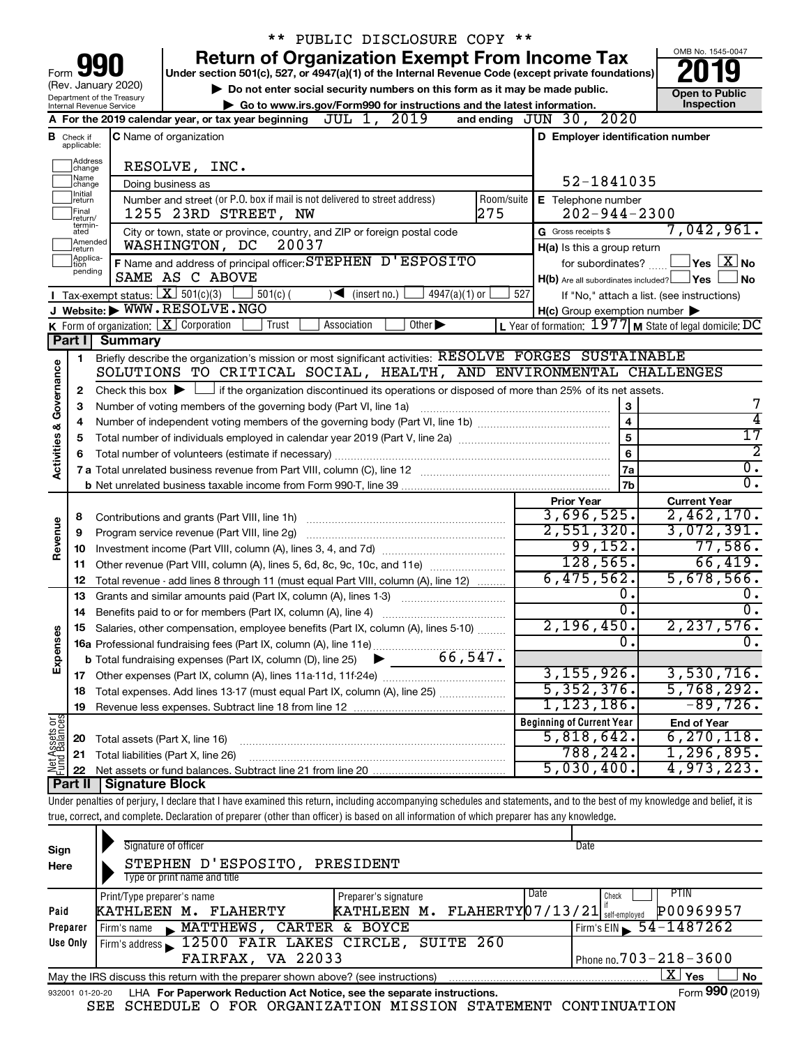|                         |                                       |                                                        | ** PUBLIC DISCLOSURE COPY **                                                                                                                                               |                                   |                             |            |                                                     |                                                         |
|-------------------------|---------------------------------------|--------------------------------------------------------|----------------------------------------------------------------------------------------------------------------------------------------------------------------------------|-----------------------------------|-----------------------------|------------|-----------------------------------------------------|---------------------------------------------------------|
|                         |                                       |                                                        | <b>Return of Organization Exempt From Income Tax</b>                                                                                                                       |                                   |                             |            |                                                     | OMB No. 1545-0047                                       |
| Form                    |                                       |                                                        | Under section 501(c), 527, or 4947(a)(1) of the Internal Revenue Code (except private foundations)                                                                         |                                   |                             |            |                                                     |                                                         |
|                         |                                       | (Rev. January 2020)                                    | Do not enter social security numbers on this form as it may be made public.                                                                                                |                                   |                             |            |                                                     | Open to Public                                          |
|                         |                                       | Department of the Treasury<br>Internal Revenue Service | Go to www.irs.gov/Form990 for instructions and the latest information.                                                                                                     |                                   |                             |            |                                                     | Inspection                                              |
|                         |                                       |                                                        | A For the 2019 calendar year, or tax year beginning $JUL$ 1, $2019$                                                                                                        |                                   |                             |            | and ending JUN 30, 2020                             |                                                         |
|                         | <b>B</b> Check if applicable:         |                                                        | <b>C</b> Name of organization                                                                                                                                              |                                   |                             |            | D Employer identification number                    |                                                         |
|                         | Address<br>change                     |                                                        | RESOLVE, INC.                                                                                                                                                              |                                   |                             |            |                                                     |                                                         |
|                         | Name<br> change                       |                                                        | Doing business as                                                                                                                                                          |                                   |                             |            | 52-1841035                                          |                                                         |
|                         | Initial<br>∣return                    |                                                        | Number and street (or P.O. box if mail is not delivered to street address)                                                                                                 |                                   |                             | Room/suite | E Telephone number                                  |                                                         |
|                         | Final<br>return/                      |                                                        | 1255 23RD STREET, NW                                                                                                                                                       |                                   |                             | 275        | $202 - 944 - 2300$                                  |                                                         |
|                         | termin-<br>ated<br>Amended<br>Ireturn |                                                        | City or town, state or province, country, and ZIP or foreign postal code<br>20037<br>WASHINGTON, DC                                                                        |                                   |                             |            | G Gross receipts \$<br>H(a) Is this a group return  | 7,042,961.                                              |
|                         | Applica-<br>Ition                     |                                                        | F Name and address of principal officer: STEPHEN D'ESPOSITO                                                                                                                |                                   |                             |            | for subordinates?                                   | $\,$ Yes $\,$ $\rm X$ No $\,$                           |
|                         | pending                               |                                                        | SAME AS C ABOVE                                                                                                                                                            |                                   |                             |            | $H(b)$ Are all subordinates included? $\Box$ Yes    | No                                                      |
|                         |                                       | Tax-exempt status: $X \over 301(c)(3)$                 | $501(c)$ (                                                                                                                                                                 | $\sqrt{\frac{1}{1}}$ (insert no.) | $4947(a)(1)$ or             | 527        |                                                     | If "No," attach a list. (see instructions)              |
|                         |                                       |                                                        | J Website: WWW.RESOLVE.NGO                                                                                                                                                 |                                   |                             |            | $H(c)$ Group exemption number $\blacktriangleright$ |                                                         |
|                         |                                       |                                                        | K Form of organization: $X$ Corporation<br>Trust                                                                                                                           | Association                       | Other $\blacktriangleright$ |            |                                                     | L Year of formation: 1977 M State of legal domicile: DC |
|                         | Part I                                | Summary                                                |                                                                                                                                                                            |                                   |                             |            |                                                     |                                                         |
|                         | 1                                     |                                                        | Briefly describe the organization's mission or most significant activities: RESOLVE FORGES SUSTAINABLE                                                                     |                                   |                             |            |                                                     |                                                         |
|                         |                                       |                                                        | SOLUTIONS TO CRITICAL SOCIAL, HEALTH, AND ENVIRONMENTAL CHALLENGES                                                                                                         |                                   |                             |            |                                                     |                                                         |
| Governance              | 2                                     | Check this box $\blacktriangleright$ $\Box$            | If the organization discontinued its operations or disposed of more than 25% of its net assets.                                                                            |                                   |                             |            |                                                     |                                                         |
|                         | З                                     |                                                        | Number of voting members of the governing body (Part VI, line 1a)                                                                                                          |                                   |                             |            | 3                                                   | 7                                                       |
|                         | 4                                     |                                                        |                                                                                                                                                                            |                                   |                             |            | $\overline{\mathbf{4}}$<br>5                        | 4                                                       |
|                         | 5                                     |                                                        | $\overline{17}$                                                                                                                                                            |                                   |                             |            |                                                     |                                                         |
| <b>Activities &amp;</b> | 6                                     |                                                        |                                                                                                                                                                            |                                   |                             |            | 6                                                   | 2                                                       |
|                         |                                       |                                                        |                                                                                                                                                                            |                                   |                             |            | 7a                                                  | σ.                                                      |
|                         |                                       |                                                        |                                                                                                                                                                            |                                   |                             |            | 7b                                                  | $\overline{0}$ .                                        |
|                         |                                       |                                                        |                                                                                                                                                                            |                                   |                             |            | <b>Prior Year</b><br>3,696,525.                     | <b>Current Year</b><br>2,462,170.                       |
|                         | 8                                     |                                                        |                                                                                                                                                                            |                                   |                             |            | 2,551,320.                                          | 3,072,391.                                              |
| Revenue                 | 9                                     |                                                        | Program service revenue (Part VIII, line 2g)                                                                                                                               |                                   |                             |            | 99, 152.                                            | 77,586.                                                 |
|                         | 10<br>11                              |                                                        | Other revenue (Part VIII, column (A), lines 5, 6d, 8c, 9c, 10c, and 11e)                                                                                                   |                                   |                             |            | 128,565.                                            | 66,419.                                                 |
|                         | 12                                    |                                                        | Total revenue - add lines 8 through 11 (must equal Part VIII, column (A), line 12)                                                                                         |                                   |                             |            | 6,475,562.                                          | 5,678,566.                                              |
|                         | 13                                    |                                                        | Grants and similar amounts paid (Part IX, column (A), lines 1-3)                                                                                                           |                                   |                             |            | О.                                                  | О.                                                      |
|                         | 14                                    |                                                        |                                                                                                                                                                            |                                   |                             |            | σ.                                                  | σ.                                                      |
|                         |                                       |                                                        | 15 Salaries, other compensation, employee benefits (Part IX, column (A), lines 5-10)                                                                                       |                                   |                             |            | 2,196,450.                                          | 2,237,576.                                              |
|                         |                                       |                                                        |                                                                                                                                                                            |                                   |                             |            | 0.                                                  | Ο.                                                      |
| Expenses                |                                       |                                                        |                                                                                                                                                                            |                                   |                             |            |                                                     |                                                         |
|                         |                                       |                                                        |                                                                                                                                                                            |                                   |                             |            | 3, 155, 926.                                        | 3,530,716.                                              |
|                         | 18                                    |                                                        | Total expenses. Add lines 13-17 (must equal Part IX, column (A), line 25)                                                                                                  |                                   |                             |            | 5,352,376.                                          | 5,768,292.                                              |
|                         | 19                                    |                                                        |                                                                                                                                                                            |                                   |                             |            | 1,123,186.                                          | $-89,726.$                                              |
| Net Assets or           |                                       |                                                        |                                                                                                                                                                            |                                   |                             |            | <b>Beginning of Current Year</b>                    | <b>End of Year</b>                                      |
|                         | 20                                    | Total assets (Part X, line 16)                         |                                                                                                                                                                            |                                   |                             |            | 5,818,642.                                          | 6, 270, 118.                                            |
|                         | 21                                    |                                                        | Total liabilities (Part X, line 26)                                                                                                                                        |                                   |                             |            | 788,242.                                            | 1,296,895.                                              |
|                         | 22                                    |                                                        |                                                                                                                                                                            |                                   |                             |            | 5,030,400.                                          | 4,973,223.                                              |
|                         | ∣ Part II                             | <b>Signature Block</b>                                 |                                                                                                                                                                            |                                   |                             |            |                                                     |                                                         |
|                         |                                       |                                                        | Under penalties of perjury, I declare that I have examined this return, including accompanying schedules and statements, and to the best of my knowledge and belief, it is |                                   |                             |            |                                                     |                                                         |
|                         |                                       |                                                        | true, correct, and complete. Declaration of preparer (other than officer) is based on all information of which preparer has any knowledge.                                 |                                   |                             |            |                                                     |                                                         |
|                         |                                       |                                                        | Signature of officer                                                                                                                                                       |                                   |                             |            | Date                                                |                                                         |
| Sign                    |                                       |                                                        |                                                                                                                                                                            |                                   |                             |            |                                                     |                                                         |
| Here                    |                                       |                                                        | STEPHEN D'ESPOSITO, PRESIDENT<br>Type or print name and title                                                                                                              |                                   |                             |            |                                                     |                                                         |
|                         |                                       | Dirich (T)                                             |                                                                                                                                                                            | Draporario giapoturo              |                             |            | I Date<br>$h$ chook                                 | TI PTIN                                                 |

|                                                                                                       | Print/Type preparer's name |                                                                        | Preparer's signature           |  |  | Date | Check | <b>PTIN</b>                      |  |
|-------------------------------------------------------------------------------------------------------|----------------------------|------------------------------------------------------------------------|--------------------------------|--|--|------|-------|----------------------------------|--|
| Paid                                                                                                  |                            | KATHLEEN M. FLAHERTY                                                   | $KATHLEEN M. FLAHERTY07/13/21$ |  |  |      |       | P00969957                        |  |
| Preparer                                                                                              | Firm's name                | $\blacktriangleright$ MATTHEWS, CARTER & BOYCE                         |                                |  |  |      |       | $Firm's EIN \ 54 - 1487262$      |  |
| Use Only                                                                                              |                            | Firm's address 12500 FAIR LAKES CIRCLE, SUITE 260                      |                                |  |  |      |       |                                  |  |
|                                                                                                       |                            | FAIRFAX, VA 22033                                                      |                                |  |  |      |       | $1$ Phone no. $703 - 218 - 3600$ |  |
| Yes<br><b>No</b><br>May the IRS discuss this return with the preparer shown above? (see instructions) |                            |                                                                        |                                |  |  |      |       |                                  |  |
| 932001 01-20-20                                                                                       |                            | LHA For Paperwork Reduction Act Notice, see the separate instructions. |                                |  |  |      |       | Form 990 (2019)                  |  |

| SEE SCHEDULE O FOR ORGANIZATION MISSION STATEMENT CONTINUATION |  |  |
|----------------------------------------------------------------|--|--|

**990**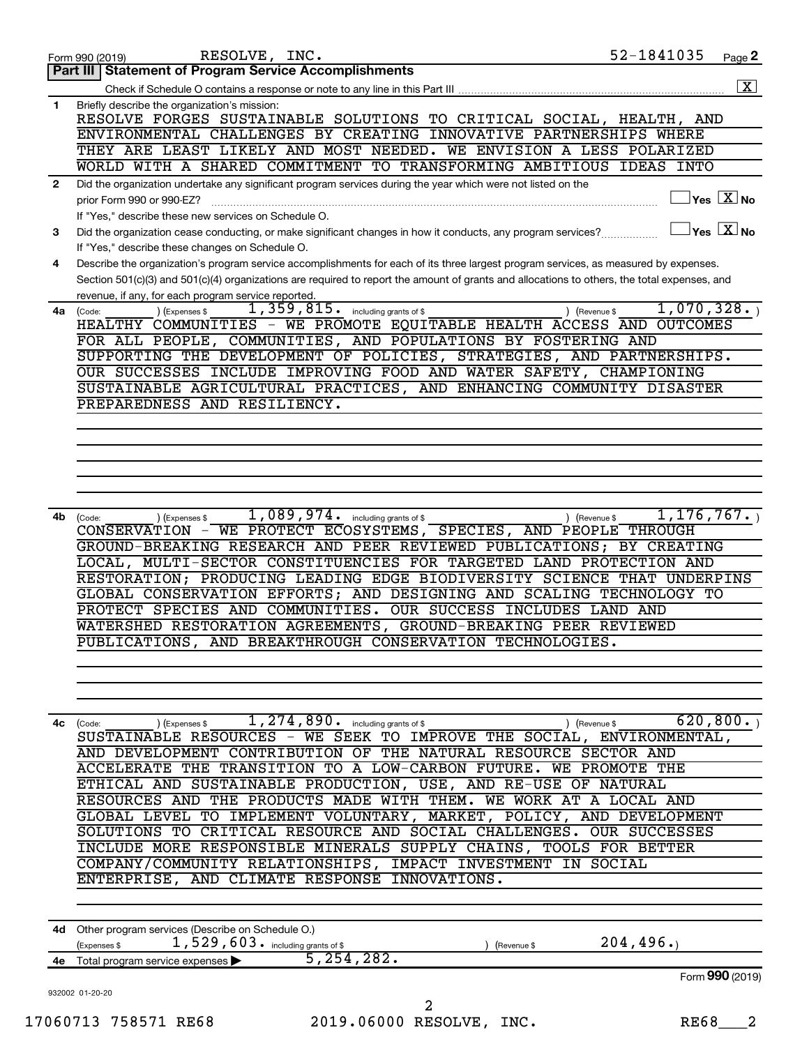|              | RESOLVE, INC.<br>Form 990 (2019)                                                                                                             | 52-1841035                       | Page 2                                    |
|--------------|----------------------------------------------------------------------------------------------------------------------------------------------|----------------------------------|-------------------------------------------|
|              | <b>Part III   Statement of Program Service Accomplishments</b>                                                                               |                                  |                                           |
|              |                                                                                                                                              |                                  | $\boxed{\text{X}}$                        |
| 1            | Briefly describe the organization's mission:                                                                                                 |                                  |                                           |
|              | RESOLVE FORGES SUSTAINABLE SOLUTIONS TO CRITICAL SOCIAL, HEALTH, AND<br>ENVIRONMENTAL CHALLENGES BY CREATING INNOVATIVE PARTNERSHIPS WHERE   |                                  |                                           |
|              | THEY ARE LEAST LIKELY AND MOST NEEDED. WE ENVISION A LESS POLARIZED                                                                          |                                  |                                           |
|              | WORLD WITH A SHARED COMMITMENT TO TRANSFORMING AMBITIOUS IDEAS INTO                                                                          |                                  |                                           |
| $\mathbf{2}$ | Did the organization undertake any significant program services during the year which were not listed on the                                 |                                  |                                           |
|              | prior Form 990 or 990-EZ?                                                                                                                    |                                  | $\overline{\ }$ Yes $\overline{\rm X}$ No |
|              | If "Yes," describe these new services on Schedule O.                                                                                         |                                  |                                           |
| 3            | Did the organization cease conducting, or make significant changes in how it conducts, any program services?                                 | $\Box$ Yes $\boxed{\text{X}}$ No |                                           |
|              | If "Yes," describe these changes on Schedule O.                                                                                              |                                  |                                           |
| 4            | Describe the organization's program service accomplishments for each of its three largest program services, as measured by expenses.         |                                  |                                           |
|              | Section 501(c)(3) and 501(c)(4) organizations are required to report the amount of grants and allocations to others, the total expenses, and |                                  |                                           |
|              | revenue, if any, for each program service reported.                                                                                          |                                  |                                           |
| 4a           | 1, 359, 815. including grants of \$<br>) (Expenses \$<br>(Code:                                                                              | 1,070,328.<br>) (Revenue \$      |                                           |
|              | HEALTHY COMMUNITIES - WE PROMOTE EQUITABLE HEALTH ACCESS AND OUTCOMES                                                                        |                                  |                                           |
|              | FOR ALL PEOPLE, COMMUNITIES, AND POPULATIONS BY FOSTERING AND                                                                                |                                  |                                           |
|              | SUPPORTING THE DEVELOPMENT OF POLICIES, STRATEGIES, AND PARTNERSHIPS.                                                                        |                                  |                                           |
|              | OUR SUCCESSES INCLUDE IMPROVING FOOD AND WATER SAFETY, CHAMPIONING<br>SUSTAINABLE AGRICULTURAL PRACTICES, AND ENHANCING COMMUNITY DISASTER   |                                  |                                           |
|              | PREPAREDNESS AND RESILIENCY.                                                                                                                 |                                  |                                           |
|              |                                                                                                                                              |                                  |                                           |
|              |                                                                                                                                              |                                  |                                           |
|              |                                                                                                                                              |                                  |                                           |
|              |                                                                                                                                              |                                  |                                           |
|              |                                                                                                                                              |                                  |                                           |
|              |                                                                                                                                              |                                  |                                           |
| 4b           | $1,089,974.$ including grants of \$<br>(Expenses \$<br>(Code:                                                                                | 1, 176, 767.<br>) (Revenue \$    |                                           |
|              | CONSERVATION - WE PROTECT ECOSYSTEMS, SPECIES, AND PEOPLE THROUGH                                                                            |                                  |                                           |
|              | GROUND-BREAKING RESEARCH AND PEER REVIEWED PUBLICATIONS; BY CREATING                                                                         |                                  |                                           |
|              | LOCAL, MULTI-SECTOR CONSTITUENCIES FOR TARGETED LAND PROTECTION AND                                                                          |                                  |                                           |
|              | RESTORATION; PRODUCING LEADING EDGE BIODIVERSITY SCIENCE THAT UNDERPINS                                                                      |                                  |                                           |
|              | GLOBAL CONSERVATION EFFORTS; AND DESIGNING AND SCALING TECHNOLOGY TO                                                                         |                                  |                                           |
|              | PROTECT SPECIES AND COMMUNITIES. OUR SUCCESS INCLUDES LAND AND                                                                               |                                  |                                           |
|              | WATERSHED RESTORATION AGREEMENTS, GROUND-BREAKING PEER REVIEWED                                                                              |                                  |                                           |
|              | PUBLICATIONS, AND BREAKTHROUGH CONSERVATION TECHNOLOGIES.                                                                                    |                                  |                                           |
|              |                                                                                                                                              |                                  |                                           |
|              |                                                                                                                                              |                                  |                                           |
|              |                                                                                                                                              |                                  |                                           |
|              |                                                                                                                                              |                                  |                                           |
| 4с           | $\overline{1,274,890}$ . including grants of \$<br>(Expenses \$<br>(Code:                                                                    | 620, 800.<br>) (Revenue \$       |                                           |
|              | SUSTAINABLE RESOURCES - WE SEEK TO IMPROVE THE SOCIAL, ENVIRONMENTAL,                                                                        |                                  |                                           |
|              | AND DEVELOPMENT CONTRIBUTION OF THE NATURAL RESOURCE SECTOR AND                                                                              |                                  |                                           |
|              | ACCELERATE THE TRANSITION TO A LOW-CARBON FUTURE. WE PROMOTE THE                                                                             |                                  |                                           |
|              | ETHICAL AND SUSTAINABLE PRODUCTION, USE, AND RE-USE OF NATURAL                                                                               |                                  |                                           |
|              | RESOURCES AND THE PRODUCTS MADE WITH THEM. WE WORK AT A LOCAL AND                                                                            |                                  |                                           |
|              | GLOBAL LEVEL TO IMPLEMENT VOLUNTARY, MARKET, POLICY, AND DEVELOPMENT                                                                         |                                  |                                           |
|              | SOLUTIONS TO CRITICAL RESOURCE AND SOCIAL CHALLENGES. OUR SUCCESSES<br>INCLUDE MORE RESPONSIBLE MINERALS SUPPLY CHAINS, TOOLS FOR BETTER     |                                  |                                           |
|              | COMPANY/COMMUNITY RELATIONSHIPS, IMPACT INVESTMENT IN SOCIAL                                                                                 |                                  |                                           |
|              | ENTERPRISE, AND CLIMATE RESPONSE INNOVATIONS.                                                                                                |                                  |                                           |
|              |                                                                                                                                              |                                  |                                           |
|              |                                                                                                                                              |                                  |                                           |
|              | 4d Other program services (Describe on Schedule O.)                                                                                          |                                  |                                           |
|              | 1,529,603. including grants of \$<br>(Expenses \$<br>(Revenue \$                                                                             | 204, 496.                        |                                           |
|              | 5, 254, 282.<br>4e Total program service expenses >                                                                                          | Form 990 (2019)                  |                                           |
|              | 932002 01-20-20                                                                                                                              |                                  |                                           |
|              | 2                                                                                                                                            |                                  |                                           |
|              | 17060713 758571 RE68<br>2019.06000 RESOLVE, INC.                                                                                             | <b>RE68</b>                      | $\overline{\phantom{a}}^2$                |
|              |                                                                                                                                              |                                  |                                           |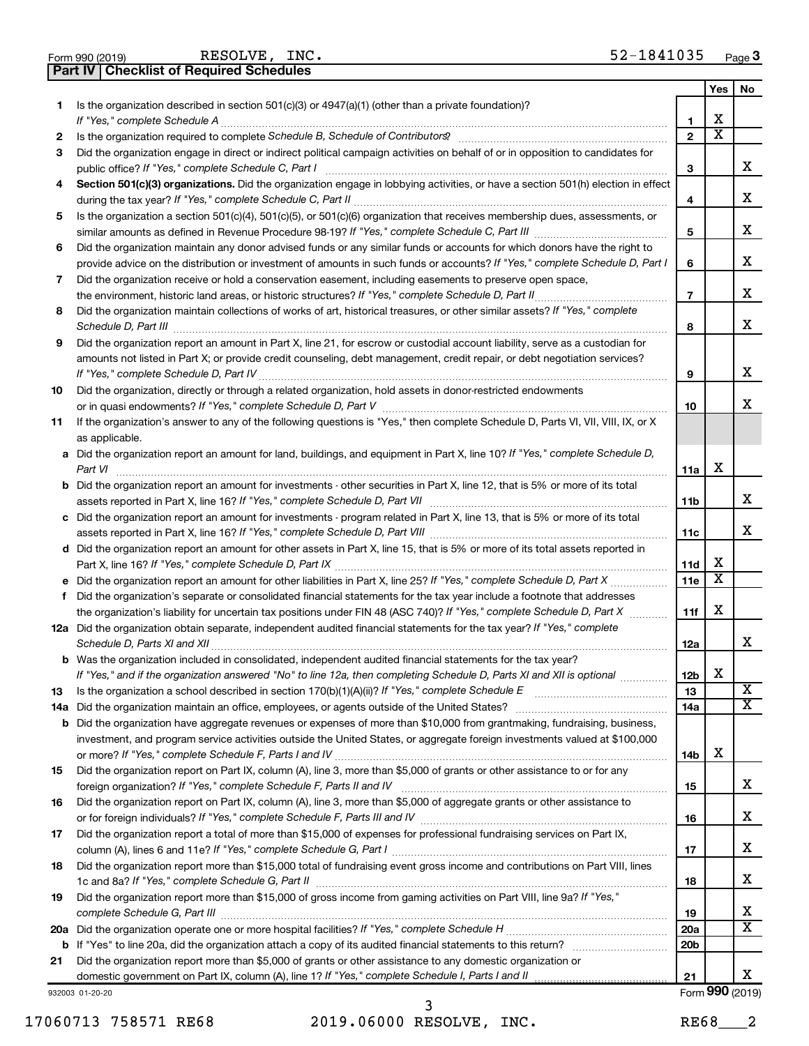|  | Form 990 (2019) |
|--|-----------------|
|  |                 |

**Part IV Checklist of Required Schedules**

|           |                                                                                                                                                                                                                                                           |                          | Yes | No                      |
|-----------|-----------------------------------------------------------------------------------------------------------------------------------------------------------------------------------------------------------------------------------------------------------|--------------------------|-----|-------------------------|
| 1.        | Is the organization described in section 501(c)(3) or 4947(a)(1) (other than a private foundation)?                                                                                                                                                       |                          |     |                         |
|           |                                                                                                                                                                                                                                                           | 1                        | х   |                         |
| 2         |                                                                                                                                                                                                                                                           | $\mathbf{2}$             | х   |                         |
| 3         | Did the organization engage in direct or indirect political campaign activities on behalf of or in opposition to candidates for                                                                                                                           |                          |     |                         |
|           | public office? If "Yes," complete Schedule C, Part I                                                                                                                                                                                                      | 3                        |     | x.                      |
|           | Section 501(c)(3) organizations. Did the organization engage in lobbying activities, or have a section 501(h) election in effect                                                                                                                          |                          |     |                         |
|           |                                                                                                                                                                                                                                                           | 4                        |     | х                       |
| 5         | Is the organization a section 501(c)(4), 501(c)(5), or 501(c)(6) organization that receives membership dues, assessments, or                                                                                                                              |                          |     | х                       |
|           |                                                                                                                                                                                                                                                           | 5                        |     |                         |
| 6         | Did the organization maintain any donor advised funds or any similar funds or accounts for which donors have the right to<br>provide advice on the distribution or investment of amounts in such funds or accounts? If "Yes," complete Schedule D, Part I |                          |     | х                       |
|           |                                                                                                                                                                                                                                                           | 6                        |     |                         |
| 7         | Did the organization receive or hold a conservation easement, including easements to preserve open space,                                                                                                                                                 | $\overline{\phantom{a}}$ |     | x                       |
| 8         | Did the organization maintain collections of works of art, historical treasures, or other similar assets? If "Yes," complete                                                                                                                              |                          |     |                         |
|           |                                                                                                                                                                                                                                                           | 8                        |     | x                       |
| 9         | Did the organization report an amount in Part X, line 21, for escrow or custodial account liability, serve as a custodian for                                                                                                                             |                          |     |                         |
|           | amounts not listed in Part X; or provide credit counseling, debt management, credit repair, or debt negotiation services?                                                                                                                                 |                          |     |                         |
|           |                                                                                                                                                                                                                                                           | 9                        |     | х                       |
| 10        | Did the organization, directly or through a related organization, hold assets in donor-restricted endowments                                                                                                                                              |                          |     |                         |
|           |                                                                                                                                                                                                                                                           | 10                       |     | x                       |
| 11        | If the organization's answer to any of the following questions is "Yes," then complete Schedule D, Parts VI, VII, VIII, IX, or X                                                                                                                          |                          |     |                         |
|           | as applicable.                                                                                                                                                                                                                                            |                          |     |                         |
|           | a Did the organization report an amount for land, buildings, and equipment in Part X, line 10? If "Yes," complete Schedule D,                                                                                                                             |                          |     |                         |
|           | Part VI                                                                                                                                                                                                                                                   | 11a                      | X   |                         |
|           | <b>b</b> Did the organization report an amount for investments - other securities in Part X, line 12, that is 5% or more of its total                                                                                                                     |                          |     |                         |
|           | assets reported in Part X, line 16? If "Yes," complete Schedule D, Part VII [[[[[[[[[[[[[[[[[[[[[[[[[[[[[[[[[                                                                                                                                             | 11b                      |     | x                       |
|           | c Did the organization report an amount for investments - program related in Part X, line 13, that is 5% or more of its total                                                                                                                             |                          |     |                         |
|           |                                                                                                                                                                                                                                                           | 11c                      |     | х                       |
|           | d Did the organization report an amount for other assets in Part X, line 15, that is 5% or more of its total assets reported in                                                                                                                           |                          |     |                         |
|           |                                                                                                                                                                                                                                                           | 11d                      | x   |                         |
|           |                                                                                                                                                                                                                                                           | 11e                      | х   |                         |
| f         | Did the organization's separate or consolidated financial statements for the tax year include a footnote that addresses                                                                                                                                   |                          |     |                         |
|           | the organization's liability for uncertain tax positions under FIN 48 (ASC 740)? If "Yes," complete Schedule D, Part X                                                                                                                                    | 11f                      | X   |                         |
|           | 12a Did the organization obtain separate, independent audited financial statements for the tax year? If "Yes," complete                                                                                                                                   |                          |     | x                       |
|           |                                                                                                                                                                                                                                                           | 12a                      |     |                         |
|           | <b>b</b> Was the organization included in consolidated, independent audited financial statements for the tax year?                                                                                                                                        |                          | X   |                         |
|           | If "Yes," and if the organization answered "No" to line 12a, then completing Schedule D, Parts XI and XII is optional                                                                                                                                     | 12 <sub>b</sub><br>13    |     | $\overline{\textbf{x}}$ |
| 13<br>14a |                                                                                                                                                                                                                                                           | 14a                      |     | x                       |
| b         | Did the organization have aggregate revenues or expenses of more than \$10,000 from grantmaking, fundraising, business,                                                                                                                                   |                          |     |                         |
|           | investment, and program service activities outside the United States, or aggregate foreign investments valued at \$100,000                                                                                                                                |                          |     |                         |
|           |                                                                                                                                                                                                                                                           | 14b                      | х   |                         |
| 15        | Did the organization report on Part IX, column (A), line 3, more than \$5,000 of grants or other assistance to or for any                                                                                                                                 |                          |     |                         |
|           |                                                                                                                                                                                                                                                           | 15                       |     | х                       |
| 16        | Did the organization report on Part IX, column (A), line 3, more than \$5,000 of aggregate grants or other assistance to                                                                                                                                  |                          |     |                         |
|           |                                                                                                                                                                                                                                                           | 16                       |     | х                       |
| 17        | Did the organization report a total of more than \$15,000 of expenses for professional fundraising services on Part IX,                                                                                                                                   |                          |     |                         |
|           |                                                                                                                                                                                                                                                           | 17                       |     | х                       |
| 18        | Did the organization report more than \$15,000 total of fundraising event gross income and contributions on Part VIII, lines                                                                                                                              |                          |     |                         |
|           |                                                                                                                                                                                                                                                           | 18                       |     | х                       |
| 19        | Did the organization report more than \$15,000 of gross income from gaming activities on Part VIII, line 9a? If "Yes,"                                                                                                                                    |                          |     |                         |
|           |                                                                                                                                                                                                                                                           | 19                       |     | х                       |
| 20a       |                                                                                                                                                                                                                                                           | 20a                      |     | x                       |
|           |                                                                                                                                                                                                                                                           | 20 <sub>b</sub>          |     |                         |
| 21        | Did the organization report more than \$5,000 of grants or other assistance to any domestic organization or                                                                                                                                               |                          |     |                         |
|           |                                                                                                                                                                                                                                                           | 21                       |     | х                       |
|           | 932003 01-20-20                                                                                                                                                                                                                                           |                          |     | Form 990 (2019)         |

17060713 758571 RE68 2019.06000 RESOLVE, INC. RE68 RE68 3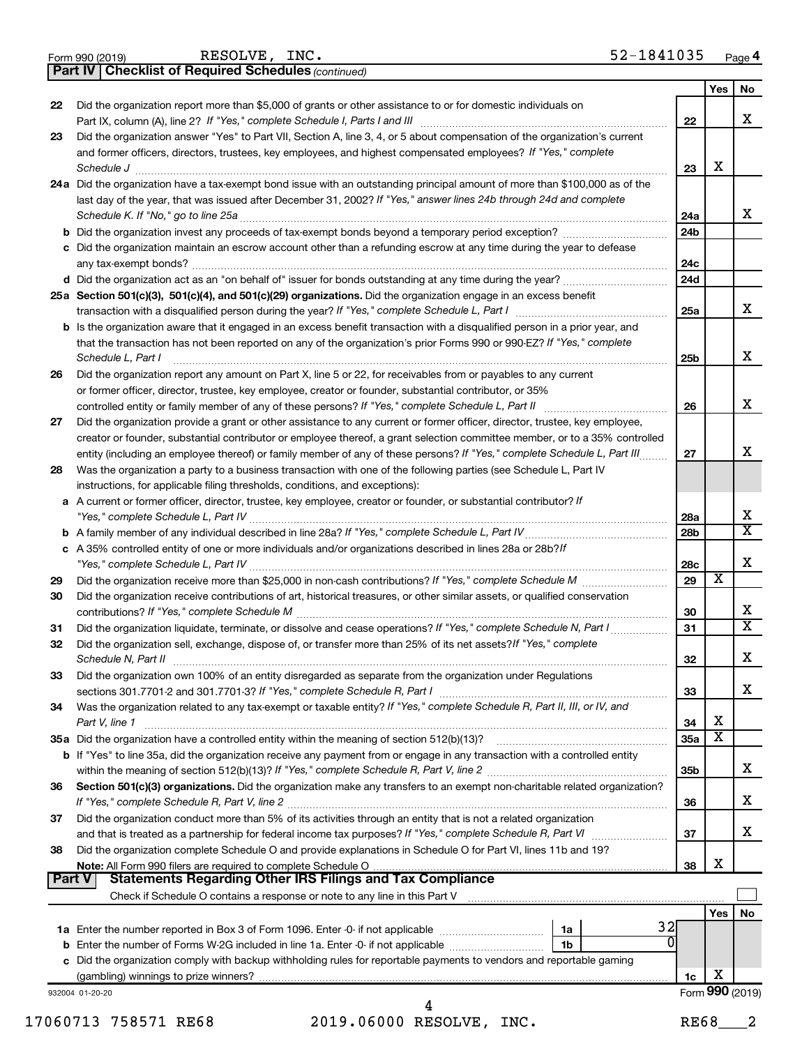| Form 990 (2019) |  |  |
|-----------------|--|--|

**Part IV Checklist of Required Schedules**

*(continued)*

|        |                                                                                                                                                                                                               |                 | Yes                          | No                      |
|--------|---------------------------------------------------------------------------------------------------------------------------------------------------------------------------------------------------------------|-----------------|------------------------------|-------------------------|
| 22     | Did the organization report more than \$5,000 of grants or other assistance to or for domestic individuals on                                                                                                 |                 |                              |                         |
|        | Part IX, column (A), line 2? If "Yes," complete Schedule I, Parts I and III [11]] [11]] [11] [11] [11] [11] [1                                                                                                | 22              |                              | x                       |
| 23     | Did the organization answer "Yes" to Part VII, Section A, line 3, 4, or 5 about compensation of the organization's current                                                                                    |                 |                              |                         |
|        | and former officers, directors, trustees, key employees, and highest compensated employees? If "Yes," complete                                                                                                |                 |                              |                         |
|        | Schedule J                                                                                                                                                                                                    | 23              | X                            |                         |
|        | 24a Did the organization have a tax-exempt bond issue with an outstanding principal amount of more than \$100,000 as of the                                                                                   |                 |                              |                         |
|        | last day of the year, that was issued after December 31, 2002? If "Yes," answer lines 24b through 24d and complete                                                                                            |                 |                              |                         |
|        | Schedule K. If "No," go to line 25a                                                                                                                                                                           | 24a             |                              | x                       |
|        | <b>b</b> Did the organization invest any proceeds of tax-exempt bonds beyond a temporary period exception?                                                                                                    | 24 <sub>b</sub> |                              |                         |
|        | c Did the organization maintain an escrow account other than a refunding escrow at any time during the year to defease                                                                                        |                 |                              |                         |
|        | any tax-exempt bonds?                                                                                                                                                                                         | 24c             |                              |                         |
|        |                                                                                                                                                                                                               | 24 <sub>d</sub> |                              |                         |
|        | 25a Section 501(c)(3), 501(c)(4), and 501(c)(29) organizations. Did the organization engage in an excess benefit                                                                                              |                 |                              | x                       |
|        |                                                                                                                                                                                                               | 25a             |                              |                         |
|        | <b>b</b> Is the organization aware that it engaged in an excess benefit transaction with a disqualified person in a prior year, and                                                                           |                 |                              |                         |
|        | that the transaction has not been reported on any of the organization's prior Forms 990 or 990-EZ? If "Yes," complete                                                                                         |                 |                              | x                       |
|        | Schedule L, Part I                                                                                                                                                                                            | 25b             |                              |                         |
| 26     | Did the organization report any amount on Part X, line 5 or 22, for receivables from or payables to any current                                                                                               |                 |                              |                         |
|        | or former officer, director, trustee, key employee, creator or founder, substantial contributor, or 35%<br>controlled entity or family member of any of these persons? If "Yes," complete Schedule L, Part II | 26              |                              | x                       |
| 27     | Did the organization provide a grant or other assistance to any current or former officer, director, trustee, key employee,                                                                                   |                 |                              |                         |
|        | creator or founder, substantial contributor or employee thereof, a grant selection committee member, or to a 35% controlled                                                                                   |                 |                              |                         |
|        | entity (including an employee thereof) or family member of any of these persons? If "Yes," complete Schedule L, Part III                                                                                      | 27              |                              | x                       |
| 28     | Was the organization a party to a business transaction with one of the following parties (see Schedule L, Part IV                                                                                             |                 |                              |                         |
|        | instructions, for applicable filing thresholds, conditions, and exceptions):                                                                                                                                  |                 |                              |                         |
|        | a A current or former officer, director, trustee, key employee, creator or founder, or substantial contributor? If                                                                                            |                 |                              |                         |
|        | "Yes," complete Schedule L, Part IV                                                                                                                                                                           | 28a             |                              | х                       |
|        |                                                                                                                                                                                                               | 28b             |                              | $\overline{\mathtt{x}}$ |
|        | c A 35% controlled entity of one or more individuals and/or organizations described in lines 28a or 28b?If                                                                                                    |                 |                              |                         |
|        |                                                                                                                                                                                                               | 28c             |                              | х                       |
| 29     |                                                                                                                                                                                                               | 29              | X                            |                         |
| 30     | Did the organization receive contributions of art, historical treasures, or other similar assets, or qualified conservation                                                                                   |                 |                              |                         |
|        |                                                                                                                                                                                                               | 30              |                              | x                       |
| 31     | Did the organization liquidate, terminate, or dissolve and cease operations? If "Yes," complete Schedule N, Part I                                                                                            | 31              |                              | $\overline{\mathtt{x}}$ |
| 32     | Did the organization sell, exchange, dispose of, or transfer more than 25% of its net assets? If "Yes," complete                                                                                              |                 |                              |                         |
|        | Schedule N, Part II                                                                                                                                                                                           | 32              |                              | X                       |
| 33     | Did the organization own 100% of an entity disregarded as separate from the organization under Regulations                                                                                                    |                 |                              |                         |
|        |                                                                                                                                                                                                               | 33              |                              | x                       |
| 34     | Was the organization related to any tax-exempt or taxable entity? If "Yes," complete Schedule R, Part II, III, or IV, and                                                                                     |                 |                              |                         |
|        | Part V, line 1                                                                                                                                                                                                | 34              | X<br>$\overline{\mathbf{x}}$ |                         |
|        |                                                                                                                                                                                                               | 35a             |                              |                         |
|        | <b>b</b> If "Yes" to line 35a, did the organization receive any payment from or engage in any transaction with a controlled entity                                                                            |                 |                              | x                       |
|        | Section 501(c)(3) organizations. Did the organization make any transfers to an exempt non-charitable related organization?                                                                                    | 35b             |                              |                         |
| 36     |                                                                                                                                                                                                               | 36              |                              | х                       |
| 37     | Did the organization conduct more than 5% of its activities through an entity that is not a related organization                                                                                              |                 |                              |                         |
|        | and that is treated as a partnership for federal income tax purposes? If "Yes," complete Schedule R, Part VI                                                                                                  | 37              |                              | x                       |
| 38     | Did the organization complete Schedule O and provide explanations in Schedule O for Part VI, lines 11b and 19?                                                                                                |                 |                              |                         |
|        |                                                                                                                                                                                                               | 38              | х                            |                         |
| Part V | <b>Statements Regarding Other IRS Filings and Tax Compliance</b>                                                                                                                                              |                 |                              |                         |
|        |                                                                                                                                                                                                               |                 |                              |                         |
|        |                                                                                                                                                                                                               |                 | Yes                          | No                      |
|        | 32<br>1a                                                                                                                                                                                                      |                 |                              |                         |
|        | $\Omega$<br><b>b</b> Enter the number of Forms W-2G included in line 1a. Enter -0- if not applicable <i>manumerane</i> of the<br>1 <sub>b</sub>                                                               |                 |                              |                         |
|        | c Did the organization comply with backup withholding rules for reportable payments to vendors and reportable gaming                                                                                          |                 |                              |                         |
|        |                                                                                                                                                                                                               | 1c              | х                            |                         |
|        | 932004 01-20-20                                                                                                                                                                                               |                 |                              | Form 990 (2019)         |
|        | 4                                                                                                                                                                                                             |                 |                              |                         |

 $17060713$   $758571$  RE68  $2019.06000$  RESOLVE, INC.  $\,$  RE68  $\_$  2  $\,$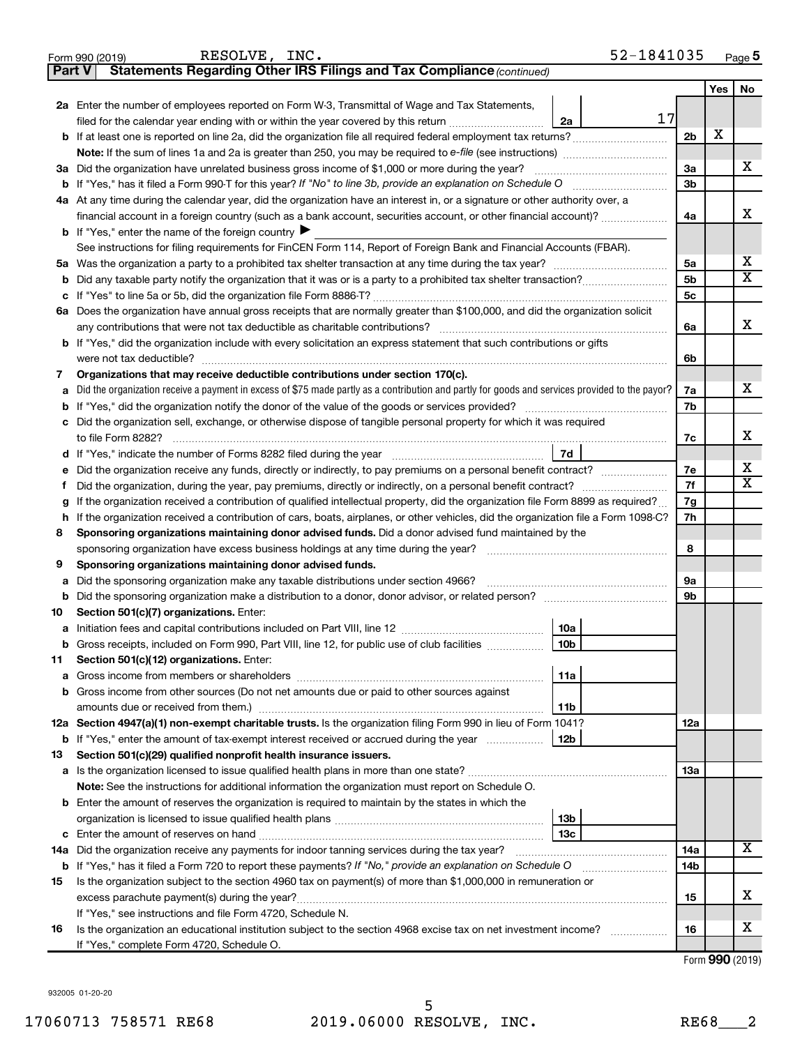|        | 52-1841035<br>RESOLVE, INC.<br>Form 990 (2019)                                                                                                  |                |     | Page 5                  |  |  |  |  |  |
|--------|-------------------------------------------------------------------------------------------------------------------------------------------------|----------------|-----|-------------------------|--|--|--|--|--|
| Part V | Statements Regarding Other IRS Filings and Tax Compliance (continued)                                                                           |                |     |                         |  |  |  |  |  |
|        |                                                                                                                                                 |                | Yes | No                      |  |  |  |  |  |
|        | 2a Enter the number of employees reported on Form W-3, Transmittal of Wage and Tax Statements,                                                  |                |     |                         |  |  |  |  |  |
|        | 17<br>filed for the calendar year ending with or within the year covered by this return <i>[[[[[[[[[[[[[]]]</i> ]]<br>2a                        |                | X   |                         |  |  |  |  |  |
|        |                                                                                                                                                 |                |     |                         |  |  |  |  |  |
|        | Note: If the sum of lines 1a and 2a is greater than 250, you may be required to e-file (see instructions) <i>marroummann</i>                    |                |     |                         |  |  |  |  |  |
|        | 3a Did the organization have unrelated business gross income of \$1,000 or more during the year?                                                | 3a             |     | x                       |  |  |  |  |  |
|        | <b>b</b> If "Yes," has it filed a Form 990-T for this year? If "No" to line 3b, provide an explanation on Schedule O                            | 3b             |     |                         |  |  |  |  |  |
|        | 4a At any time during the calendar year, did the organization have an interest in, or a signature or other authority over, a                    |                |     |                         |  |  |  |  |  |
|        | financial account in a foreign country (such as a bank account, securities account, or other financial account)?                                | 4a             |     | х                       |  |  |  |  |  |
|        | <b>b</b> If "Yes," enter the name of the foreign country $\blacktriangleright$                                                                  |                |     |                         |  |  |  |  |  |
|        | See instructions for filing requirements for FinCEN Form 114, Report of Foreign Bank and Financial Accounts (FBAR).                             |                |     |                         |  |  |  |  |  |
|        |                                                                                                                                                 | 5a             |     | х                       |  |  |  |  |  |
|        |                                                                                                                                                 | 5 <sub>b</sub> |     | $\overline{\mathbf{X}}$ |  |  |  |  |  |
| с      |                                                                                                                                                 | 5c             |     |                         |  |  |  |  |  |
|        | 6a Does the organization have annual gross receipts that are normally greater than \$100,000, and did the organization solicit                  |                |     |                         |  |  |  |  |  |
|        | any contributions that were not tax deductible as charitable contributions?                                                                     | 6a             |     | x                       |  |  |  |  |  |
|        | <b>b</b> If "Yes," did the organization include with every solicitation an express statement that such contributions or gifts                   |                |     |                         |  |  |  |  |  |
|        | were not tax deductible?                                                                                                                        | 6b             |     |                         |  |  |  |  |  |
| 7      | Organizations that may receive deductible contributions under section 170(c).                                                                   |                |     |                         |  |  |  |  |  |
| a      | Did the organization receive a payment in excess of \$75 made partly as a contribution and partly for goods and services provided to the payor? | 7a             |     | x                       |  |  |  |  |  |
| b      |                                                                                                                                                 | 7b             |     |                         |  |  |  |  |  |
|        | c Did the organization sell, exchange, or otherwise dispose of tangible personal property for which it was required                             |                |     |                         |  |  |  |  |  |
|        | to file Form 8282?                                                                                                                              | 7c             |     | х                       |  |  |  |  |  |
|        | 7d                                                                                                                                              |                |     |                         |  |  |  |  |  |
| е      | Did the organization receive any funds, directly or indirectly, to pay premiums on a personal benefit contract?                                 | 7e             |     | х<br>X                  |  |  |  |  |  |
| Ť      | Did the organization, during the year, pay premiums, directly or indirectly, on a personal benefit contract?                                    | 7f             |     |                         |  |  |  |  |  |
| g      | If the organization received a contribution of qualified intellectual property, did the organization file Form 8899 as required?                | 7g             |     |                         |  |  |  |  |  |
| h      | If the organization received a contribution of cars, boats, airplanes, or other vehicles, did the organization file a Form 1098-C?              | 7h             |     |                         |  |  |  |  |  |
|        | Sponsoring organizations maintaining donor advised funds. Did a donor advised fund maintained by the<br>8                                       |                |     |                         |  |  |  |  |  |
|        | sponsoring organization have excess business holdings at any time during the year?                                                              | 8              |     |                         |  |  |  |  |  |
| 9      | Sponsoring organizations maintaining donor advised funds.                                                                                       |                |     |                         |  |  |  |  |  |
| а      | Did the sponsoring organization make any taxable distributions under section 4966?                                                              | 9а             |     |                         |  |  |  |  |  |
| b      |                                                                                                                                                 | 9b             |     |                         |  |  |  |  |  |
| 10     | Section 501(c)(7) organizations. Enter:                                                                                                         |                |     |                         |  |  |  |  |  |
| а      | 10a                                                                                                                                             |                |     |                         |  |  |  |  |  |
| b      | Gross receipts, included on Form 990, Part VIII, line 12, for public use of club facilities<br>10b                                              |                |     |                         |  |  |  |  |  |
| 11     | Section 501(c)(12) organizations. Enter:<br>11a                                                                                                 |                |     |                         |  |  |  |  |  |
| а      | Gross income from other sources (Do not net amounts due or paid to other sources against                                                        |                |     |                         |  |  |  |  |  |
| b      |                                                                                                                                                 |                |     |                         |  |  |  |  |  |
|        | 11b<br>12a Section 4947(a)(1) non-exempt charitable trusts. Is the organization filing Form 990 in lieu of Form 1041?                           | 12a            |     |                         |  |  |  |  |  |
|        | <b>b</b> If "Yes," enter the amount of tax-exempt interest received or accrued during the year<br>12b                                           |                |     |                         |  |  |  |  |  |
| 13     | Section 501(c)(29) qualified nonprofit health insurance issuers.                                                                                |                |     |                         |  |  |  |  |  |
|        |                                                                                                                                                 | 13a            |     |                         |  |  |  |  |  |
|        | Note: See the instructions for additional information the organization must report on Schedule O.                                               |                |     |                         |  |  |  |  |  |
|        | <b>b</b> Enter the amount of reserves the organization is required to maintain by the states in which the                                       |                |     |                         |  |  |  |  |  |
|        | 13b                                                                                                                                             |                |     |                         |  |  |  |  |  |
|        | 13c                                                                                                                                             |                |     |                         |  |  |  |  |  |
| 14a    | Did the organization receive any payments for indoor tanning services during the tax year?                                                      | 14a            |     | х                       |  |  |  |  |  |
|        | b If "Yes," has it filed a Form 720 to report these payments? If "No," provide an explanation on Schedule O                                     | 14b            |     |                         |  |  |  |  |  |
| 15     | Is the organization subject to the section 4960 tax on payment(s) of more than \$1,000,000 in remuneration or                                   |                |     |                         |  |  |  |  |  |
|        |                                                                                                                                                 | 15             |     | х                       |  |  |  |  |  |
|        | If "Yes," see instructions and file Form 4720, Schedule N.                                                                                      |                |     |                         |  |  |  |  |  |
| 16     | Is the organization an educational institution subject to the section 4968 excise tax on net investment income?<br>.                            | 16             |     | х                       |  |  |  |  |  |
|        | If "Yes," complete Form 4720, Schedule O.                                                                                                       |                |     |                         |  |  |  |  |  |
|        |                                                                                                                                                 |                |     |                         |  |  |  |  |  |

Form (2019) **990**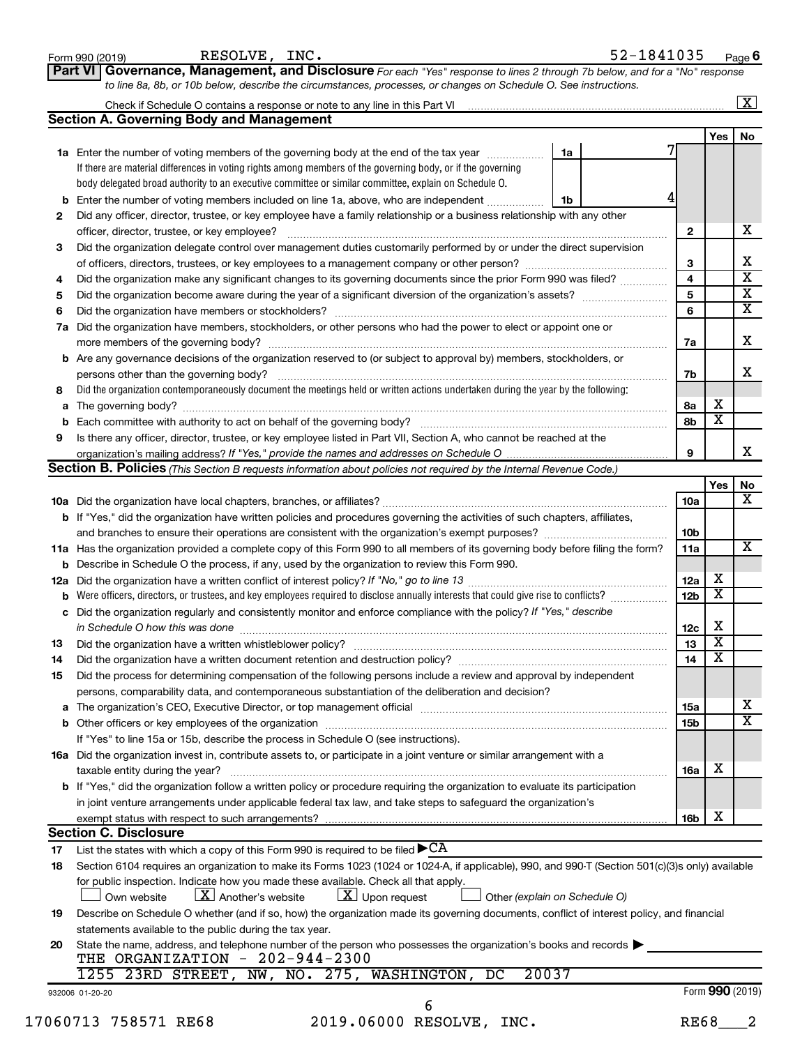|    | RESOLVE, INC.<br>Form 990 (2019)                                                                                                                                                                                               |    | 52-1841035 |                 |                         | Page 6                  |
|----|--------------------------------------------------------------------------------------------------------------------------------------------------------------------------------------------------------------------------------|----|------------|-----------------|-------------------------|-------------------------|
|    | Part VI   Governance, Management, and Disclosure For each "Yes" response to lines 2 through 7b below, and for a "No" response                                                                                                  |    |            |                 |                         |                         |
|    | to line 8a, 8b, or 10b below, describe the circumstances, processes, or changes on Schedule O. See instructions.                                                                                                               |    |            |                 |                         |                         |
|    |                                                                                                                                                                                                                                |    |            |                 |                         | $\boxed{\textbf{X}}$    |
|    | <b>Section A. Governing Body and Management</b>                                                                                                                                                                                |    |            |                 |                         |                         |
|    |                                                                                                                                                                                                                                |    |            |                 | Yes                     | No                      |
|    | 1a Enter the number of voting members of the governing body at the end of the tax year                                                                                                                                         | 1a |            |                 |                         |                         |
|    | If there are material differences in voting rights among members of the governing body, or if the governing                                                                                                                    |    |            |                 |                         |                         |
|    | body delegated broad authority to an executive committee or similar committee, explain on Schedule O.<br><b>b</b> Enter the number of voting members included on line 1a, above, who are independent                           |    |            |                 |                         |                         |
| 2  | Did any officer, director, trustee, or key employee have a family relationship or a business relationship with any other                                                                                                       | 1b |            |                 |                         |                         |
|    |                                                                                                                                                                                                                                |    |            | 2               |                         | х                       |
| 3  | Did the organization delegate control over management duties customarily performed by or under the direct supervision                                                                                                          |    |            |                 |                         |                         |
|    |                                                                                                                                                                                                                                |    |            | 3               |                         | х                       |
| 4  | Did the organization make any significant changes to its governing documents since the prior Form 990 was filed?                                                                                                               |    |            | 4               |                         | $\overline{\textbf{x}}$ |
| 5  |                                                                                                                                                                                                                                |    |            | 5               |                         | $\overline{\mathbf{x}}$ |
| 6  |                                                                                                                                                                                                                                |    |            | 6               |                         | $\overline{\mathbf{x}}$ |
|    | 7a Did the organization have members, stockholders, or other persons who had the power to elect or appoint one or                                                                                                              |    |            |                 |                         |                         |
|    |                                                                                                                                                                                                                                |    |            | 7a              |                         | х                       |
|    | <b>b</b> Are any governance decisions of the organization reserved to (or subject to approval by) members, stockholders, or                                                                                                    |    |            |                 |                         |                         |
|    | persons other than the governing body?                                                                                                                                                                                         |    |            | 7b              |                         | х                       |
| 8  | Did the organization contemporaneously document the meetings held or written actions undertaken during the year by the following:                                                                                              |    |            |                 |                         |                         |
|    |                                                                                                                                                                                                                                |    |            | 8a              | х                       |                         |
|    |                                                                                                                                                                                                                                |    |            | 8b              | $\overline{\textbf{x}}$ |                         |
| 9  | Is there any officer, director, trustee, or key employee listed in Part VII, Section A, who cannot be reached at the                                                                                                           |    |            |                 |                         |                         |
|    |                                                                                                                                                                                                                                |    |            | 9               |                         | x                       |
|    | Section B. Policies (This Section B requests information about policies not required by the Internal Revenue Code.)                                                                                                            |    |            |                 |                         |                         |
|    |                                                                                                                                                                                                                                |    |            |                 | Yes                     | No                      |
|    |                                                                                                                                                                                                                                |    |            | 10a             |                         | $\overline{\mathbf{X}}$ |
|    | <b>b</b> If "Yes," did the organization have written policies and procedures governing the activities of such chapters, affiliates,                                                                                            |    |            |                 |                         |                         |
|    |                                                                                                                                                                                                                                |    |            | 10b             |                         |                         |
|    | 11a Has the organization provided a complete copy of this Form 990 to all members of its governing body before filing the form?                                                                                                |    |            | 11a             |                         | $\overline{\mathbf{X}}$ |
|    | <b>b</b> Describe in Schedule O the process, if any, used by the organization to review this Form 990.                                                                                                                         |    |            |                 |                         |                         |
|    |                                                                                                                                                                                                                                |    |            | 12a             | х                       |                         |
|    | <b>b</b> Were officers, directors, or trustees, and key employees required to disclose annually interests that could give rise to conflicts?                                                                                   |    |            | 12 <sub>b</sub> | X                       |                         |
|    | c Did the organization regularly and consistently monitor and enforce compliance with the policy? If "Yes," describe                                                                                                           |    |            |                 | х                       |                         |
|    | in Schedule O how this was done encourance and an according to the state of the state of the state of the state of the state of the state of the state of the state of the state of the state of the state of the state of the |    |            | 12c             |                         |                         |
| 13 |                                                                                                                                                                                                                                |    |            | 13              | A<br>X                  |                         |
| 14 |                                                                                                                                                                                                                                |    |            | 14              |                         |                         |
| 15 | Did the process for determining compensation of the following persons include a review and approval by independent<br>persons, comparability data, and contemporaneous substantiation of the deliberation and decision?        |    |            |                 |                         |                         |
|    |                                                                                                                                                                                                                                |    |            | <b>15a</b>      |                         | х                       |
|    |                                                                                                                                                                                                                                |    |            | 15b             |                         | $\overline{\mathtt{x}}$ |
|    | If "Yes" to line 15a or 15b, describe the process in Schedule O (see instructions).                                                                                                                                            |    |            |                 |                         |                         |
|    | 16a Did the organization invest in, contribute assets to, or participate in a joint venture or similar arrangement with a                                                                                                      |    |            |                 |                         |                         |
|    | taxable entity during the year?                                                                                                                                                                                                |    |            | <b>16a</b>      | х                       |                         |
|    | <b>b</b> If "Yes," did the organization follow a written policy or procedure requiring the organization to evaluate its participation                                                                                          |    |            |                 |                         |                         |
|    | in joint venture arrangements under applicable federal tax law, and take steps to safeguard the organization's                                                                                                                 |    |            |                 |                         |                         |
|    |                                                                                                                                                                                                                                |    |            | 16 <sub>b</sub> | х                       |                         |
|    | <b>Section C. Disclosure</b>                                                                                                                                                                                                   |    |            |                 |                         |                         |
| 17 | List the states with which a copy of this Form 990 is required to be filed $\blacktriangleright$ CA                                                                                                                            |    |            |                 |                         |                         |
| 18 | Section 6104 requires an organization to make its Forms 1023 (1024 or 1024-A, if applicable), 990, and 990-T (Section 501(c)(3)s only) available                                                                               |    |            |                 |                         |                         |
|    | for public inspection. Indicate how you made these available. Check all that apply.                                                                                                                                            |    |            |                 |                         |                         |
|    | $\lfloor x \rfloor$ Another's website<br>$\lfloor x \rfloor$ Upon request<br>Own website<br>Other (explain on Schedule O)                                                                                                      |    |            |                 |                         |                         |
| 19 | Describe on Schedule O whether (and if so, how) the organization made its governing documents, conflict of interest policy, and financial                                                                                      |    |            |                 |                         |                         |
|    | statements available to the public during the tax year.                                                                                                                                                                        |    |            |                 |                         |                         |
| 20 | State the name, address, and telephone number of the person who possesses the organization's books and records                                                                                                                 |    |            |                 |                         |                         |
|    | THE ORGANIZATION - 202-944-2300                                                                                                                                                                                                |    |            |                 |                         |                         |
|    | 1255 23RD STREET, NW, NO. 275, WASHINGTON, DC<br>20037                                                                                                                                                                         |    |            |                 |                         |                         |
|    | 932006 01-20-20                                                                                                                                                                                                                |    |            |                 | Form 990 (2019)         |                         |
|    | 6<br>2019.06000 RESOLVE, INC.<br>17060713 758571 RE68                                                                                                                                                                          |    |            |                 |                         |                         |
|    |                                                                                                                                                                                                                                |    |            |                 | RE68 2                  |                         |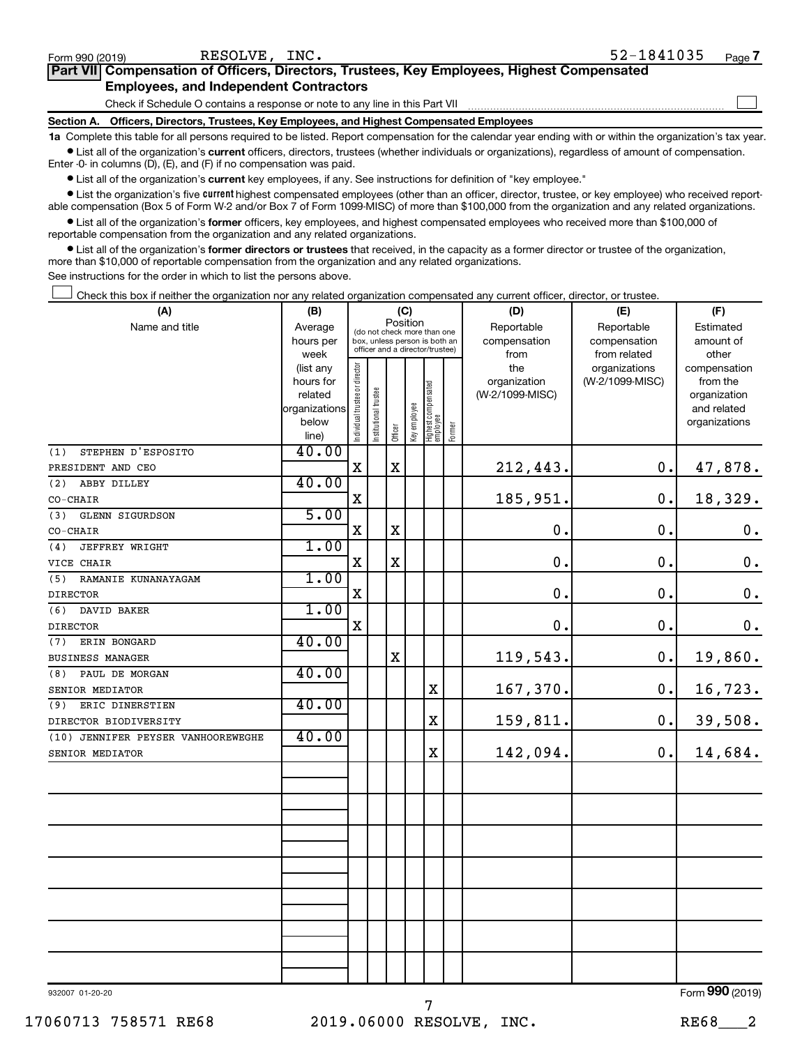| Part VII Compensation of Officers, Directors, Trustees, Key Employees, Highest Compensated |  |
|--------------------------------------------------------------------------------------------|--|
| <b>Employees, and Independent Contractors</b>                                              |  |
| Check if Schedule O contains a response or note to any line in this Part VII               |  |

**Section A. Officers, Directors, Trustees, Key Employees, and Highest Compensated Employees**

**1a**  Complete this table for all persons required to be listed. Report compensation for the calendar year ending with or within the organization's tax year.  $\bullet$  List all of the organization's current officers, directors, trustees (whether individuals or organizations), regardless of amount of compensation.

Enter -0- in columns (D), (E), and (F) if no compensation was paid.

**•** List all of the organization's current key employees, if any. See instructions for definition of "key employee."

• List the organization's five *current* highest compensated employees (other than an officer, director, trustee, or key employee) who received reportable compensation (Box 5 of Form W-2 and/or Box 7 of Form 1099-MISC) of more than \$100,000 from the organization and any related organizations.

 $\bullet$  List all of the organization's former officers, key employees, and highest compensated employees who received more than \$100,000 of reportable compensation from the organization and any related organizations.

**•** List all of the organization's former directors or trustees that received, in the capacity as a former director or trustee of the organization, more than \$10,000 of reportable compensation from the organization and any related organizations.

See instructions for the order in which to list the persons above.

Check this box if neither the organization nor any related organization compensated any current officer, director, or trustee.  $\Box$ 

| (A)                                |                | (C)<br>(B)                     |                                                              |                                 |              |                                 |        | (D)             | (E)             | (F)             |
|------------------------------------|----------------|--------------------------------|--------------------------------------------------------------|---------------------------------|--------------|---------------------------------|--------|-----------------|-----------------|-----------------|
| Name and title                     | Average        |                                |                                                              | Position                        |              |                                 |        | Reportable      | Reportable      | Estimated       |
|                                    | hours per      |                                | (do not check more than one<br>box, unless person is both an |                                 |              |                                 |        | compensation    | compensation    | amount of       |
|                                    | week           |                                |                                                              | officer and a director/trustee) |              |                                 |        | from            | from related    | other           |
|                                    | (list any      |                                |                                                              |                                 |              |                                 |        | the             | organizations   | compensation    |
|                                    | hours for      |                                |                                                              |                                 |              |                                 |        | organization    | (W-2/1099-MISC) | from the        |
|                                    | related        |                                |                                                              |                                 |              |                                 |        | (W-2/1099-MISC) |                 | organization    |
|                                    | organizations  |                                |                                                              |                                 |              |                                 |        |                 |                 | and related     |
|                                    | below          | Individual trustee or director | nstitutional trustee                                         | Officer                         | Key employee | Highest compensated<br>employee | Former |                 |                 | organizations   |
| STEPHEN D'ESPOSITO<br>(1)          | line)<br>40.00 |                                |                                                              |                                 |              |                                 |        |                 |                 |                 |
| PRESIDENT AND CEO                  |                | X                              |                                                              | $\mathbf X$                     |              |                                 |        | 212,443.        | 0.              | 47,878.         |
| (2)<br>ABBY DILLEY                 | 40.00          |                                |                                                              |                                 |              |                                 |        |                 |                 |                 |
| CO-CHAIR                           |                | $\mathbf X$                    |                                                              |                                 |              |                                 |        | 185,951.        | 0.              | 18,329.         |
| <b>GLENN SIGURDSON</b><br>(3)      | 5.00           |                                |                                                              |                                 |              |                                 |        |                 |                 |                 |
| CO-CHAIR                           |                | X                              |                                                              | $\mathbf X$                     |              |                                 |        | 0.              | 0.              | $\mathbf 0$ .   |
| (4)<br><b>JEFFREY WRIGHT</b>       | 1.00           |                                |                                                              |                                 |              |                                 |        |                 |                 |                 |
| VICE CHAIR                         |                | $\mathbf X$                    |                                                              | $\mathbf X$                     |              |                                 |        | $\mathbf 0$ .   | $\mathbf 0$ .   | $\mathbf 0$ .   |
| (5)<br>RAMANIE KUNANAYAGAM         | 1.00           |                                |                                                              |                                 |              |                                 |        |                 |                 |                 |
| <b>DIRECTOR</b>                    |                | X                              |                                                              |                                 |              |                                 |        | $\mathbf 0$ .   | $\mathbf 0$ .   | $\mathbf 0$ .   |
| (6)<br>DAVID BAKER                 | 1.00           |                                |                                                              |                                 |              |                                 |        |                 |                 |                 |
| <b>DIRECTOR</b>                    |                | $\mathbf X$                    |                                                              |                                 |              |                                 |        | $\mathbf 0$ .   | 0.              | 0.              |
| ERIN BONGARD<br>(7)                | 40.00          |                                |                                                              |                                 |              |                                 |        |                 |                 |                 |
| <b>BUSINESS MANAGER</b>            |                |                                |                                                              | $\mathbf X$                     |              |                                 |        | 119,543.        | 0.              | 19,860.         |
| (8)<br>PAUL DE MORGAN              | 40.00          |                                |                                                              |                                 |              |                                 |        |                 |                 |                 |
| SENIOR MEDIATOR                    |                |                                |                                                              |                                 |              | X                               |        | 167,370.        | 0.              | 16,723.         |
| (9)<br>ERIC DINERSTIEN             | 40.00          |                                |                                                              |                                 |              |                                 |        |                 |                 |                 |
| DIRECTOR BIODIVERSITY              |                |                                |                                                              |                                 |              | X                               |        | 159,811.        | 0.              | 39,508.         |
| (10) JENNIFER PEYSER VANHOOREWEGHE | 40.00          |                                |                                                              |                                 |              |                                 |        |                 |                 |                 |
| SENIOR MEDIATOR                    |                |                                |                                                              |                                 |              | $\mathbf x$                     |        | 142,094.        | 0.              | 14,684.         |
|                                    |                |                                |                                                              |                                 |              |                                 |        |                 |                 |                 |
|                                    |                |                                |                                                              |                                 |              |                                 |        |                 |                 |                 |
|                                    |                |                                |                                                              |                                 |              |                                 |        |                 |                 |                 |
|                                    |                |                                |                                                              |                                 |              |                                 |        |                 |                 |                 |
|                                    |                |                                |                                                              |                                 |              |                                 |        |                 |                 |                 |
|                                    |                |                                |                                                              |                                 |              |                                 |        |                 |                 |                 |
|                                    |                |                                |                                                              |                                 |              |                                 |        |                 |                 |                 |
|                                    |                |                                |                                                              |                                 |              |                                 |        |                 |                 |                 |
|                                    |                |                                |                                                              |                                 |              |                                 |        |                 |                 |                 |
|                                    |                |                                |                                                              |                                 |              |                                 |        |                 |                 |                 |
|                                    |                |                                |                                                              |                                 |              |                                 |        |                 |                 |                 |
|                                    |                |                                |                                                              |                                 |              |                                 |        |                 |                 |                 |
|                                    |                |                                |                                                              |                                 |              |                                 |        |                 |                 | $000 \approx 1$ |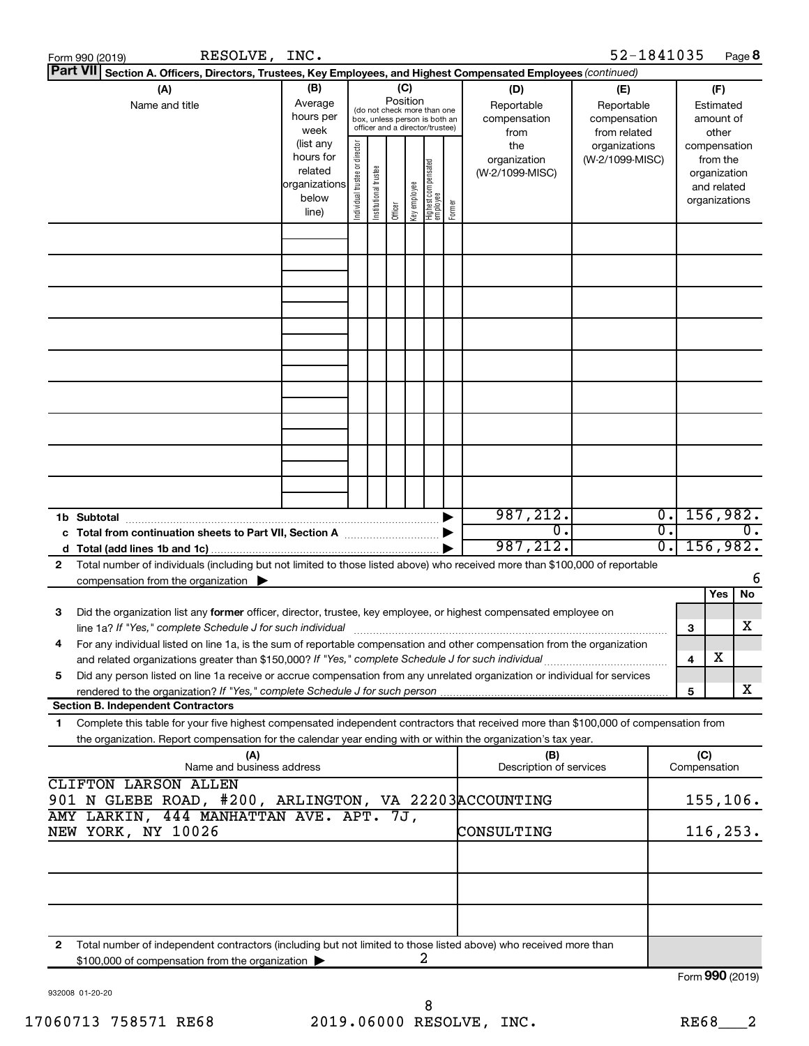| Form 990 (2019)                                                                                                                                                                                                                                                                                                                                    | RESOLVE, INC.                                                        |                               |                       |         |                                                                                                                    |                                   |        |                                           | 52-1841035                                        |                        |                     | Page 8                                                                   |
|----------------------------------------------------------------------------------------------------------------------------------------------------------------------------------------------------------------------------------------------------------------------------------------------------------------------------------------------------|----------------------------------------------------------------------|-------------------------------|-----------------------|---------|--------------------------------------------------------------------------------------------------------------------|-----------------------------------|--------|-------------------------------------------|---------------------------------------------------|------------------------|---------------------|--------------------------------------------------------------------------|
| <b>Part VII</b><br>Section A. Officers, Directors, Trustees, Key Employees, and Highest Compensated Employees (continued)                                                                                                                                                                                                                          |                                                                      |                               |                       |         |                                                                                                                    |                                   |        |                                           |                                                   |                        |                     |                                                                          |
| (A)<br>Name and title                                                                                                                                                                                                                                                                                                                              | (B)<br>Average<br>hours per<br>week                                  |                               |                       |         | (C)<br>Position<br>(do not check more than one<br>box, unless person is both an<br>officer and a director/trustee) |                                   |        | (D)<br>Reportable<br>compensation<br>from | (E)<br>Reportable<br>compensation<br>from related |                        |                     | (F)<br>Estimated<br>amount of<br>other                                   |
|                                                                                                                                                                                                                                                                                                                                                    | (list any<br>hours for<br>related<br>organizations<br>below<br>line) | ndividual trustee or director | Institutional trustee | Officer | Key employee                                                                                                       | Highest compensated<br>  employee | Former | the<br>organization<br>(W-2/1099-MISC)    | organizations<br>(W-2/1099-MISC)                  |                        |                     | compensation<br>from the<br>organization<br>and related<br>organizations |
|                                                                                                                                                                                                                                                                                                                                                    |                                                                      |                               |                       |         |                                                                                                                    |                                   |        |                                           |                                                   |                        |                     |                                                                          |
|                                                                                                                                                                                                                                                                                                                                                    |                                                                      |                               |                       |         |                                                                                                                    |                                   |        |                                           |                                                   |                        |                     |                                                                          |
|                                                                                                                                                                                                                                                                                                                                                    |                                                                      |                               |                       |         |                                                                                                                    |                                   |        |                                           |                                                   |                        |                     |                                                                          |
|                                                                                                                                                                                                                                                                                                                                                    |                                                                      |                               |                       |         |                                                                                                                    |                                   |        |                                           |                                                   |                        |                     |                                                                          |
|                                                                                                                                                                                                                                                                                                                                                    |                                                                      |                               |                       |         |                                                                                                                    |                                   |        |                                           |                                                   |                        |                     |                                                                          |
|                                                                                                                                                                                                                                                                                                                                                    |                                                                      |                               |                       |         |                                                                                                                    |                                   |        | 987, 212.<br>$\overline{0}$ .             |                                                   | $\overline{0}$ .<br>σ. |                     | 156,982.                                                                 |
| Total number of individuals (including but not limited to those listed above) who received more than \$100,000 of reportable<br>2                                                                                                                                                                                                                  |                                                                      |                               |                       |         |                                                                                                                    |                                   |        | 987, 212.                                 |                                                   | $\overline{0}$ .       |                     | $\overline{0}$ .<br>156,982.                                             |
| compensation from the organization $\blacktriangleright$                                                                                                                                                                                                                                                                                           |                                                                      |                               |                       |         |                                                                                                                    |                                   |        |                                           |                                                   |                        |                     | 6                                                                        |
| Did the organization list any former officer, director, trustee, key employee, or highest compensated employee on<br>3                                                                                                                                                                                                                             |                                                                      |                               |                       |         |                                                                                                                    |                                   |        |                                           |                                                   |                        | 3                   | Yes<br>No<br>х                                                           |
| line 1a? If "Yes," complete Schedule J for such individual [11] manufacture manufacture in the set of the set o<br>For any individual listed on line 1a, is the sum of reportable compensation and other compensation from the organization<br>and related organizations greater than \$150,000? If "Yes," complete Schedule J for such individual |                                                                      |                               |                       |         |                                                                                                                    |                                   |        |                                           |                                                   |                        | 4                   | х                                                                        |
| Did any person listed on line 1a receive or accrue compensation from any unrelated organization or individual for services<br>5                                                                                                                                                                                                                    |                                                                      |                               |                       |         |                                                                                                                    |                                   |        |                                           |                                                   |                        | 5                   | x                                                                        |
| <b>Section B. Independent Contractors</b><br>Complete this table for your five highest compensated independent contractors that received more than \$100,000 of compensation from<br>1                                                                                                                                                             |                                                                      |                               |                       |         |                                                                                                                    |                                   |        |                                           |                                                   |                        |                     |                                                                          |
| the organization. Report compensation for the calendar year ending with or within the organization's tax year.                                                                                                                                                                                                                                     |                                                                      |                               |                       |         |                                                                                                                    |                                   |        |                                           |                                                   |                        |                     |                                                                          |
| <b>CLIFTON LARSON ALLEN</b>                                                                                                                                                                                                                                                                                                                        | (A)<br>Name and business address                                     |                               |                       |         |                                                                                                                    |                                   |        | (B)<br>Description of services            |                                                   |                        | (C)<br>Compensation |                                                                          |
| 901 N GLEBE ROAD, #200, ARLINGTON, VA 22203ACCOUNTING<br>AMY LARKIN, 444 MANHATTAN AVE. APT. 7J,                                                                                                                                                                                                                                                   |                                                                      |                               |                       |         |                                                                                                                    |                                   |        |                                           |                                                   |                        |                     | 155,106.                                                                 |
| NEW YORK, NY 10026                                                                                                                                                                                                                                                                                                                                 |                                                                      |                               |                       |         |                                                                                                                    |                                   |        | CONSULTING                                |                                                   |                        |                     | 116, 253.                                                                |
|                                                                                                                                                                                                                                                                                                                                                    |                                                                      |                               |                       |         |                                                                                                                    |                                   |        |                                           |                                                   |                        |                     |                                                                          |
|                                                                                                                                                                                                                                                                                                                                                    |                                                                      |                               |                       |         |                                                                                                                    |                                   |        |                                           |                                                   |                        |                     |                                                                          |
| Total number of independent contractors (including but not limited to those listed above) who received more than<br>2<br>\$100,000 of compensation from the organization >                                                                                                                                                                         |                                                                      |                               |                       |         |                                                                                                                    | 2                                 |        |                                           |                                                   |                        |                     |                                                                          |
|                                                                                                                                                                                                                                                                                                                                                    |                                                                      |                               |                       |         |                                                                                                                    |                                   |        |                                           |                                                   |                        |                     | Form 990 (2019)                                                          |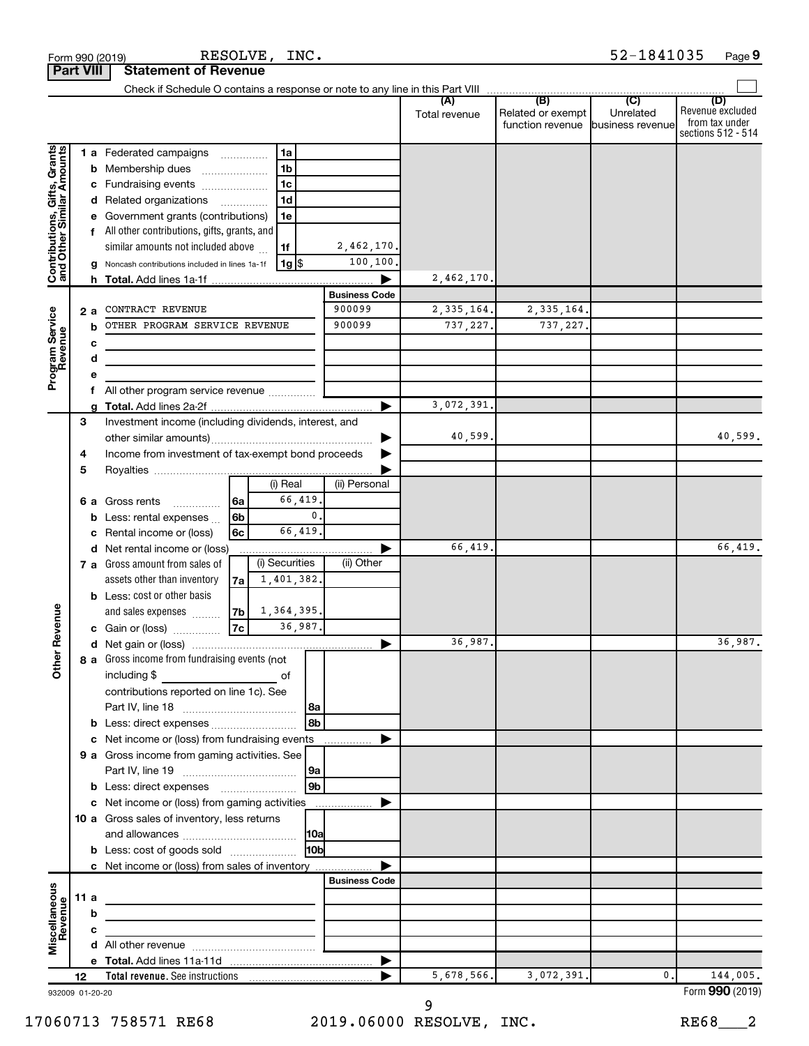|                                                           |                                                    |      | Form 990 (2019)                                                            | RESOLVE,       | INC.            |                      |               |                                       | 52-1841035                    | Page 9                                                          |
|-----------------------------------------------------------|----------------------------------------------------|------|----------------------------------------------------------------------------|----------------|-----------------|----------------------|---------------|---------------------------------------|-------------------------------|-----------------------------------------------------------------|
| <b>Part VIII</b>                                          |                                                    |      | <b>Statement of Revenue</b>                                                |                |                 |                      |               |                                       |                               |                                                                 |
|                                                           |                                                    |      |                                                                            |                |                 |                      |               |                                       |                               |                                                                 |
|                                                           |                                                    |      |                                                                            |                |                 |                      | Total revenue | Related or exempt<br>function revenue | Unrelated<br>business revenue | (D)<br>Revenue excluded<br>from tax under<br>sections 512 - 514 |
|                                                           |                                                    |      | 1 a Federated campaigns                                                    |                | 1a              |                      |               |                                       |                               |                                                                 |
| Contributions, Gifts, Grants<br>and Other Similar Amounts |                                                    |      | <b>b</b> Membership dues                                                   |                | 1 <sub>b</sub>  |                      |               |                                       |                               |                                                                 |
|                                                           |                                                    |      | c Fundraising events                                                       |                | 1 <sub>c</sub>  |                      |               |                                       |                               |                                                                 |
|                                                           |                                                    | d    | Related organizations                                                      |                | 1 <sub>d</sub>  |                      |               |                                       |                               |                                                                 |
|                                                           |                                                    |      | e Government grants (contributions)                                        |                | 1e              |                      |               |                                       |                               |                                                                 |
|                                                           |                                                    |      | All other contributions, gifts, grants, and                                |                |                 |                      |               |                                       |                               |                                                                 |
|                                                           |                                                    |      | similar amounts not included above                                         |                | 1f              | 2,462,170.           |               |                                       |                               |                                                                 |
|                                                           |                                                    |      | Noncash contributions included in lines 1a-1f                              |                | $1g$ \$         | 100,100.             |               |                                       |                               |                                                                 |
|                                                           |                                                    |      |                                                                            |                |                 | ▶                    | 2,462,170.    |                                       |                               |                                                                 |
|                                                           |                                                    |      |                                                                            |                |                 | <b>Business Code</b> |               |                                       |                               |                                                                 |
| Program Service<br>Revenue                                |                                                    | 2 a  | CONTRACT REVENUE                                                           |                |                 | 900099               | 2, 335, 164.  | 2,335,164.                            |                               |                                                                 |
|                                                           |                                                    | b    | OTHER PROGRAM SERVICE REVENUE                                              |                |                 | 900099               | 737, 227.     | 737,227.                              |                               |                                                                 |
|                                                           |                                                    | c    |                                                                            |                |                 |                      |               |                                       |                               |                                                                 |
|                                                           |                                                    | d    | the control of the control of the control of the control of the control of |                |                 |                      |               |                                       |                               |                                                                 |
|                                                           |                                                    | e    |                                                                            |                |                 |                      |               |                                       |                               |                                                                 |
|                                                           |                                                    | f    | All other program service revenue <i></i>                                  |                |                 |                      |               |                                       |                               |                                                                 |
|                                                           |                                                    |      |                                                                            |                |                 |                      | 3,072,391.    |                                       |                               |                                                                 |
|                                                           | 3                                                  |      | Investment income (including dividends, interest, and                      |                |                 |                      | 40,599.       |                                       |                               | 40,599.                                                         |
|                                                           | Income from investment of tax-exempt bond proceeds |      |                                                                            |                |                 |                      |               |                                       |                               |                                                                 |
|                                                           | 4<br>5                                             |      |                                                                            |                |                 |                      |               |                                       |                               |                                                                 |
|                                                           |                                                    |      |                                                                            |                | (i) Real        | (ii) Personal        |               |                                       |                               |                                                                 |
|                                                           |                                                    |      | <b>6 a</b> Gross rents<br>.                                                | 6a             | 66,419.         |                      |               |                                       |                               |                                                                 |
|                                                           |                                                    | b    | Less: rental expenses                                                      | 6b             | $\mathbf{0}$ .  |                      |               |                                       |                               |                                                                 |
|                                                           |                                                    | c    | Rental income or (loss)                                                    | 6c             | 66,419.         |                      |               |                                       |                               |                                                                 |
|                                                           |                                                    | d    | Net rental income or (loss)                                                |                |                 |                      | 66,419.       |                                       |                               | 66,419.                                                         |
|                                                           |                                                    |      | 7 a Gross amount from sales of                                             |                | (i) Securities  | (ii) Other           |               |                                       |                               |                                                                 |
|                                                           |                                                    |      | assets other than inventory                                                | 7a             | 1,401,382.      |                      |               |                                       |                               |                                                                 |
|                                                           |                                                    |      | <b>b</b> Less: cost or other basis                                         |                |                 |                      |               |                                       |                               |                                                                 |
|                                                           |                                                    |      | and sales expenses                                                         | 7 <sub>b</sub> | 1,364,395.      |                      |               |                                       |                               |                                                                 |
| evenue                                                    |                                                    |      | c Gain or (loss)                                                           | 7c             | 36,987.         |                      |               |                                       |                               |                                                                 |
|                                                           |                                                    |      |                                                                            |                |                 |                      | 36,987.       |                                       |                               | 36,987.                                                         |
| Other F                                                   |                                                    |      | 8 a Gross income from fundraising events (not                              |                |                 |                      |               |                                       |                               |                                                                 |
|                                                           |                                                    |      | including \$                                                               |                |                 |                      |               |                                       |                               |                                                                 |
|                                                           |                                                    |      | contributions reported on line 1c). See                                    |                |                 |                      |               |                                       |                               |                                                                 |
|                                                           |                                                    |      |                                                                            |                |                 |                      |               |                                       |                               |                                                                 |
|                                                           |                                                    |      | <b>b</b> Less: direct expenses <i></i>                                     |                | l 8b            |                      |               |                                       |                               |                                                                 |
|                                                           |                                                    |      | c Net income or (loss) from fundraising events                             |                |                 |                      |               |                                       |                               |                                                                 |
|                                                           |                                                    |      | 9 a Gross income from gaming activities. See                               |                |                 |                      |               |                                       |                               |                                                                 |
|                                                           |                                                    |      |                                                                            |                | l 9b            |                      |               |                                       |                               |                                                                 |
|                                                           |                                                    |      | c Net income or (loss) from gaming activities                              |                |                 |                      |               |                                       |                               |                                                                 |
|                                                           |                                                    |      | 10 a Gross sales of inventory, less returns                                |                |                 |                      |               |                                       |                               |                                                                 |
|                                                           |                                                    |      |                                                                            |                |                 |                      |               |                                       |                               |                                                                 |
|                                                           |                                                    |      | <b>b</b> Less: cost of goods sold                                          |                | 10 <sub>b</sub> |                      |               |                                       |                               |                                                                 |
|                                                           |                                                    |      | c Net income or (loss) from sales of inventory                             |                |                 |                      |               |                                       |                               |                                                                 |
|                                                           |                                                    |      |                                                                            |                |                 | <b>Business Code</b> |               |                                       |                               |                                                                 |
| Miscellaneous<br>Revenue                                  |                                                    | 11 a | <u> 1989 - Johann Barbara, martxa alemaniar arg</u>                        |                |                 |                      |               |                                       |                               |                                                                 |
|                                                           |                                                    | b    | the control of the control of the control of the control of the control of |                |                 |                      |               |                                       |                               |                                                                 |
|                                                           |                                                    | c    |                                                                            |                |                 |                      |               |                                       |                               |                                                                 |
|                                                           |                                                    |      |                                                                            |                |                 |                      |               |                                       |                               |                                                                 |
|                                                           |                                                    |      |                                                                            |                |                 |                      |               |                                       |                               |                                                                 |
|                                                           | 12                                                 |      |                                                                            |                |                 |                      | 5,678,566.    | 3,072,391.                            | $\mathbf{0}$ .                | 144,005.                                                        |
| 932009 01-20-20                                           |                                                    |      |                                                                            |                |                 |                      |               |                                       |                               | Form 990 (2019)                                                 |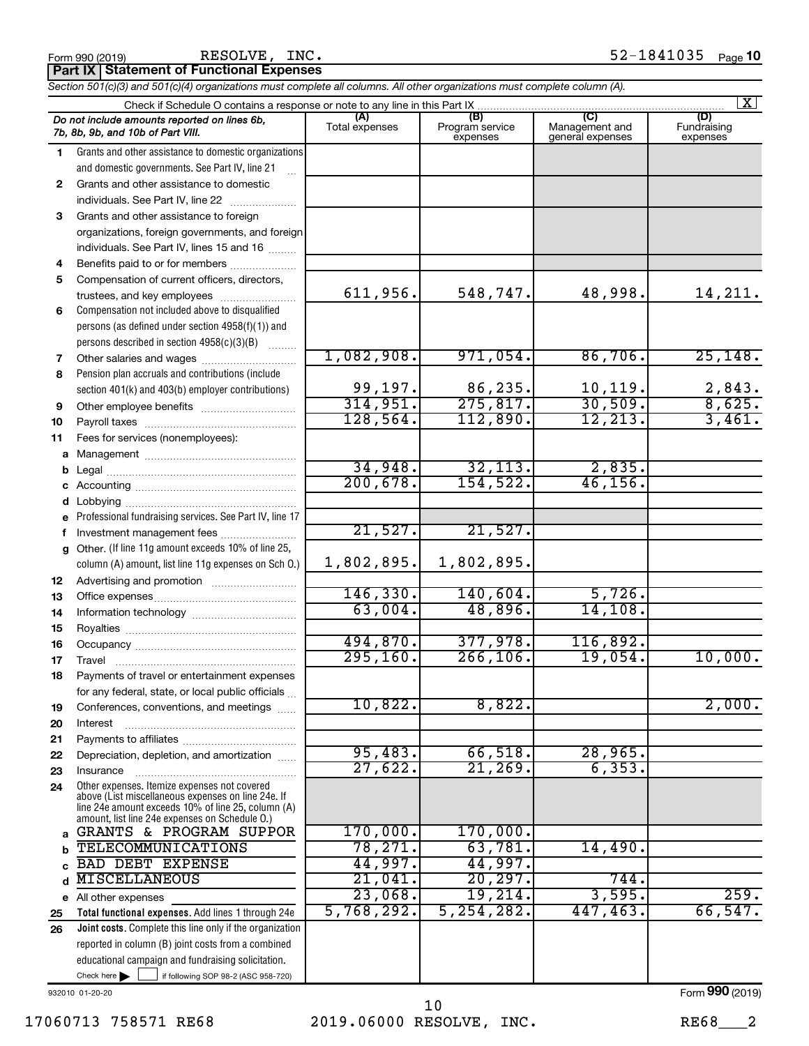RESOLVE, INC.

|              | Section 501(c)(3) and 501(c)(4) organizations must complete all columns. All other organizations must complete column (A).                                                                                 |                       |                                    |                                           |                                |
|--------------|------------------------------------------------------------------------------------------------------------------------------------------------------------------------------------------------------------|-----------------------|------------------------------------|-------------------------------------------|--------------------------------|
|              | Check if Schedule O contains a response or note to any line in this Part IX                                                                                                                                |                       |                                    |                                           | X                              |
|              | Do not include amounts reported on lines 6b,<br>7b, 8b, 9b, and 10b of Part VIII.                                                                                                                          | (A)<br>Total expenses | (B)<br>Program service<br>expenses | (C)<br>Management and<br>general expenses | (D)<br>Fundraising<br>expenses |
| 1.           | Grants and other assistance to domestic organizations                                                                                                                                                      |                       |                                    |                                           |                                |
|              | and domestic governments. See Part IV, line 21                                                                                                                                                             |                       |                                    |                                           |                                |
| $\mathbf{2}$ | Grants and other assistance to domestic                                                                                                                                                                    |                       |                                    |                                           |                                |
|              | individuals. See Part IV, line 22                                                                                                                                                                          |                       |                                    |                                           |                                |
| 3            | Grants and other assistance to foreign                                                                                                                                                                     |                       |                                    |                                           |                                |
|              | organizations, foreign governments, and foreign                                                                                                                                                            |                       |                                    |                                           |                                |
|              | individuals. See Part IV, lines 15 and 16                                                                                                                                                                  |                       |                                    |                                           |                                |
| 4            | Benefits paid to or for members                                                                                                                                                                            |                       |                                    |                                           |                                |
| 5            | Compensation of current officers, directors,                                                                                                                                                               |                       |                                    |                                           |                                |
|              | trustees, and key employees                                                                                                                                                                                | 611,956.              | 548,747.                           | 48,998.                                   | 14,211.                        |
| 6            | Compensation not included above to disqualified                                                                                                                                                            |                       |                                    |                                           |                                |
|              | persons (as defined under section 4958(f)(1)) and                                                                                                                                                          |                       |                                    |                                           |                                |
|              | persons described in section 4958(c)(3)(B)                                                                                                                                                                 |                       |                                    |                                           |                                |
| 7            |                                                                                                                                                                                                            | 1,082,908.            | 971,054.                           | 86,706.                                   | 25, 148.                       |
| 8            | Pension plan accruals and contributions (include                                                                                                                                                           | 99,197.               |                                    |                                           |                                |
|              | section 401(k) and 403(b) employer contributions)                                                                                                                                                          | 314,951.              | 86,235.<br>275,817.                | 10, 119.                                  | 2,843.<br>8,625.               |
| 9            |                                                                                                                                                                                                            | 128,564.              | 112,890.                           | 30,509.<br>12, 213.                       | 3,461.                         |
| 10           |                                                                                                                                                                                                            |                       |                                    |                                           |                                |
| 11           | Fees for services (nonemployees):                                                                                                                                                                          |                       |                                    |                                           |                                |
|              |                                                                                                                                                                                                            | 34,948.               | 32, 113.                           | 2,835.                                    |                                |
| b            |                                                                                                                                                                                                            | 200, 678.             | 154, 522.                          | 46, 156.                                  |                                |
|              |                                                                                                                                                                                                            |                       |                                    |                                           |                                |
| d            |                                                                                                                                                                                                            |                       |                                    |                                           |                                |
| е            | Professional fundraising services. See Part IV, line 17                                                                                                                                                    | 21,527.               | 21,527.                            |                                           |                                |
| f            | Investment management fees<br>Other. (If line 11g amount exceeds 10% of line 25,                                                                                                                           |                       |                                    |                                           |                                |
| g            | column (A) amount, list line 11g expenses on Sch O.)                                                                                                                                                       | 1,802,895.            | 1,802,895.                         |                                           |                                |
|              |                                                                                                                                                                                                            |                       |                                    |                                           |                                |
| 12<br>13     | Advertising and promotion                                                                                                                                                                                  | 146, 330.             | 140,604.                           | 5,726.                                    |                                |
| 14           |                                                                                                                                                                                                            | 63,004.               | 48,896.                            | 14, 108.                                  |                                |
| 15           |                                                                                                                                                                                                            |                       |                                    |                                           |                                |
| 16           |                                                                                                                                                                                                            | 494,870.              | 377,978.                           | 116,892.                                  |                                |
| 17           |                                                                                                                                                                                                            | 295, 160.             | 266, 106.                          | 19,054.                                   | 10,000.                        |
| 18           | Payments of travel or entertainment expenses                                                                                                                                                               |                       |                                    |                                           |                                |
|              | for any federal, state, or local public officials                                                                                                                                                          |                       |                                    |                                           |                                |
| 19           | Conferences, conventions, and meetings                                                                                                                                                                     | 10,822.               | 8,822.                             |                                           | 2,000.                         |
| 20           | Interest                                                                                                                                                                                                   |                       |                                    |                                           |                                |
| 21           |                                                                                                                                                                                                            |                       |                                    |                                           |                                |
| 22           | Depreciation, depletion, and amortization                                                                                                                                                                  | 95,483.               | 66,518.                            | 28,965.                                   |                                |
| 23           | Insurance                                                                                                                                                                                                  | 27,622.               | 21,269.                            | 6, 353.                                   |                                |
| 24           | Other expenses. Itemize expenses not covered<br>above (List miscellaneous expenses on line 24e. If<br>line 24e amount exceeds 10% of line 25, column (A)<br>amount, list line 24e expenses on Schedule O.) |                       |                                    |                                           |                                |
| a            | GRANTS & PROGRAM SUPPOR                                                                                                                                                                                    | 170,000.              | 170,000.                           |                                           |                                |
|              | <b>TELECOMMUNICATIONS</b>                                                                                                                                                                                  | 78,271.               | 63,781.                            | 14,490.                                   |                                |
|              | <b>BAD DEBT EXPENSE</b>                                                                                                                                                                                    | 44,997.               | 44,997.                            |                                           |                                |
|              | <b>MISCELLANEOUS</b>                                                                                                                                                                                       | 21,041.               | 20, 297.                           | 744.                                      |                                |
| е            | All other expenses                                                                                                                                                                                         | 23,068.               | 19,214.                            | 3,595.                                    | 259.                           |
| 25           | Total functional expenses. Add lines 1 through 24e                                                                                                                                                         | 5,768,292.            | 5,254,282.                         | 447,463.                                  | 66,547.                        |
| 26           | Joint costs. Complete this line only if the organization                                                                                                                                                   |                       |                                    |                                           |                                |
|              | reported in column (B) joint costs from a combined                                                                                                                                                         |                       |                                    |                                           |                                |
|              | educational campaign and fundraising solicitation.                                                                                                                                                         |                       |                                    |                                           |                                |

932010 01-20-20

Check here  $\blacktriangleright$   $\lfloor$ 

Check here  $\begin{array}{c} \begin{array}{|c} \hline \end{array} \end{array}$  if following SOP 98-2 (ASC 958-720)

Form (2019) **990**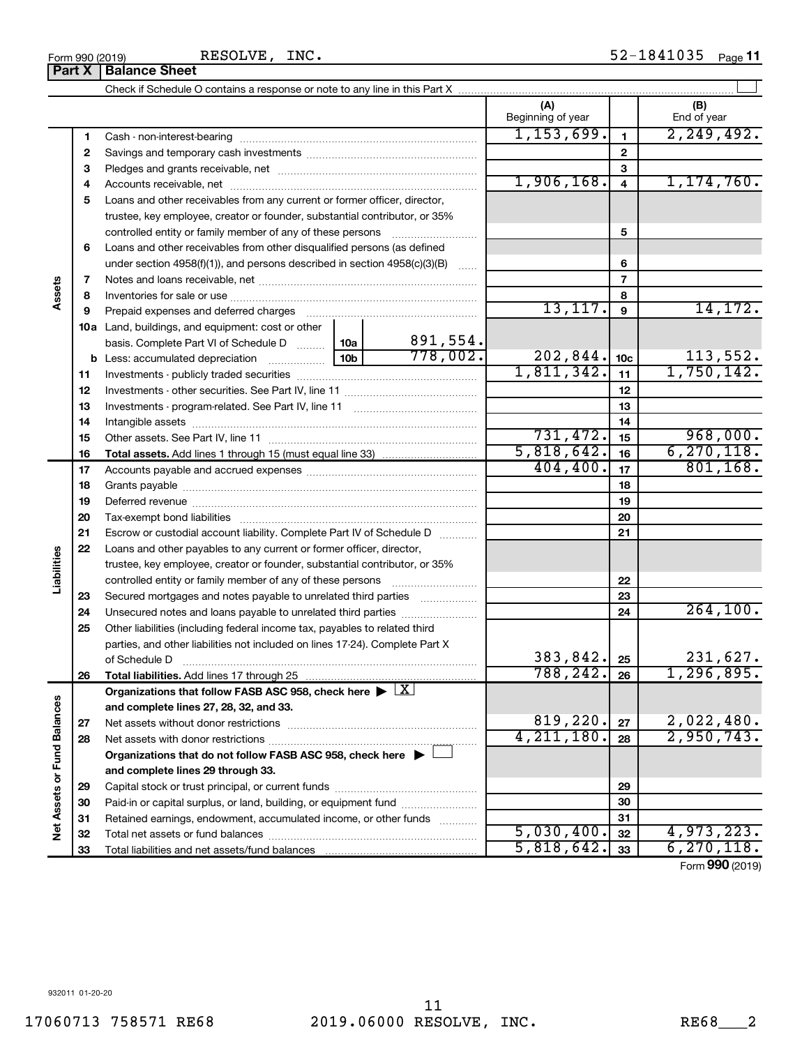Form 990 (2019) RESOLVE, INC. 52-1841035 <sub>Page</sub> 11

L

|                             |          | <b>Part X   Balance Sheet</b>                                                                          |                 |                           |                          |                 |                        |
|-----------------------------|----------|--------------------------------------------------------------------------------------------------------|-----------------|---------------------------|--------------------------|-----------------|------------------------|
|                             |          |                                                                                                        |                 |                           |                          |                 |                        |
|                             |          |                                                                                                        |                 |                           | (A)<br>Beginning of year |                 | (B)<br>End of year     |
|                             | 1        |                                                                                                        |                 |                           | 1, 153, 699.             | 1               | 2, 249, 492.           |
|                             | 2        |                                                                                                        |                 |                           |                          | $\mathbf{2}$    |                        |
|                             | З        |                                                                                                        |                 |                           |                          | 3               |                        |
|                             | 4        |                                                                                                        |                 | 1,906,168.                | $\overline{4}$           | 1,174,760.      |                        |
|                             | 5        | Loans and other receivables from any current or former officer, director,                              |                 |                           |                          |                 |                        |
|                             |          | trustee, key employee, creator or founder, substantial contributor, or 35%                             |                 |                           |                          |                 |                        |
|                             |          | controlled entity or family member of any of these persons                                             |                 |                           |                          | 5               |                        |
|                             | 6        | Loans and other receivables from other disqualified persons (as defined                                |                 |                           |                          |                 |                        |
|                             |          | under section $4958(f)(1)$ , and persons described in section $4958(c)(3)(B)$                          |                 | 6                         |                          |                 |                        |
|                             | 7        |                                                                                                        |                 |                           |                          | $\overline{7}$  |                        |
| Assets                      | 8        |                                                                                                        |                 |                           |                          | 8               |                        |
|                             | 9        | Prepaid expenses and deferred charges                                                                  |                 |                           | 13, 117.                 | 9               | 14, 172.               |
|                             |          | <b>10a</b> Land, buildings, and equipment: cost or other                                               |                 |                           |                          |                 |                        |
|                             |          | basis. Complete Part VI of Schedule D  10a                                                             |                 | $\frac{891,554}{778,002}$ |                          |                 |                        |
|                             | b        | Less: accumulated depreciation                                                                         | 10 <sub>b</sub> |                           | 202,844.                 | 10 <sub>c</sub> | 113,552.<br>1,750,142. |
|                             | 11       |                                                                                                        |                 |                           | 1,811,342.               | 11              |                        |
|                             | 12       |                                                                                                        |                 | 12                        |                          |                 |                        |
|                             | 13       |                                                                                                        |                 | 13                        |                          |                 |                        |
|                             | 14       |                                                                                                        |                 |                           | 731,472.                 | 14              | 968,000.               |
|                             | 15       |                                                                                                        |                 |                           | 5,818,642.               | 15              | 6, 270, 118.           |
|                             | 16       |                                                                                                        |                 |                           | 404, 400.                | 16<br>17        | 801, 168.              |
|                             | 17<br>18 |                                                                                                        |                 |                           |                          | 18              |                        |
|                             | 19       |                                                                                                        |                 | 19                        |                          |                 |                        |
|                             | 20       |                                                                                                        |                 |                           | 20                       |                 |                        |
|                             | 21       | Escrow or custodial account liability. Complete Part IV of Schedule D                                  |                 |                           |                          | 21              |                        |
|                             | 22       | Loans and other payables to any current or former officer, director,                                   |                 |                           |                          |                 |                        |
| Liabilities                 |          | trustee, key employee, creator or founder, substantial contributor, or 35%                             |                 |                           |                          |                 |                        |
|                             |          |                                                                                                        |                 |                           |                          | 22              |                        |
|                             | 23       | Secured mortgages and notes payable to unrelated third parties                                         |                 |                           |                          | 23              |                        |
|                             | 24       | Unsecured notes and loans payable to unrelated third parties                                           |                 |                           |                          | 24              | 264, 100.              |
|                             | 25       | Other liabilities (including federal income tax, payables to related third                             |                 |                           |                          |                 |                        |
|                             |          | parties, and other liabilities not included on lines 17-24). Complete Part X                           |                 |                           |                          |                 |                        |
|                             |          | of Schedule D<br>                                                                                      |                 |                           | 383, 842.                | 25              | 231,627.               |
|                             | 26       | Total liabilities. Add lines 17 through 25                                                             |                 |                           | 788,242.                 | 26              | 1,296,895.             |
|                             |          | Organizations that follow FASB ASC 958, check here $\blacktriangleright \lfloor \underline{X} \rfloor$ |                 |                           |                          |                 |                        |
|                             |          | and complete lines 27, 28, 32, and 33.                                                                 |                 |                           |                          |                 |                        |
|                             | 27       | Net assets without donor restrictions                                                                  |                 |                           | 819,220.                 | 27              | 2,022,480.             |
|                             | 28       |                                                                                                        |                 |                           | 4, 211, 180.             | 28              | 2,950,743.             |
|                             |          | Organizations that do not follow FASB ASC 958, check here $\blacktriangleright$                        |                 |                           |                          |                 |                        |
|                             |          | and complete lines 29 through 33.                                                                      |                 |                           |                          |                 |                        |
|                             | 29       |                                                                                                        |                 |                           |                          | 29              |                        |
| Net Assets or Fund Balances | 30       | Paid-in or capital surplus, or land, building, or equipment fund                                       |                 |                           |                          | 30              |                        |
|                             | 31       | Retained earnings, endowment, accumulated income, or other funds                                       |                 |                           |                          | 31              |                        |
|                             | 32       |                                                                                                        |                 |                           | 5,030,400.               | 32              | 4,973,223.             |
|                             | 33       |                                                                                                        |                 |                           | 5,818,642.               | 33              | 6, 270, 118.           |
|                             |          |                                                                                                        |                 |                           |                          |                 | Form 990 (2019)        |

RESOLVE, INC.

17060713 758571 RE68 2019.06000 RESOLVE, INC. RE68 2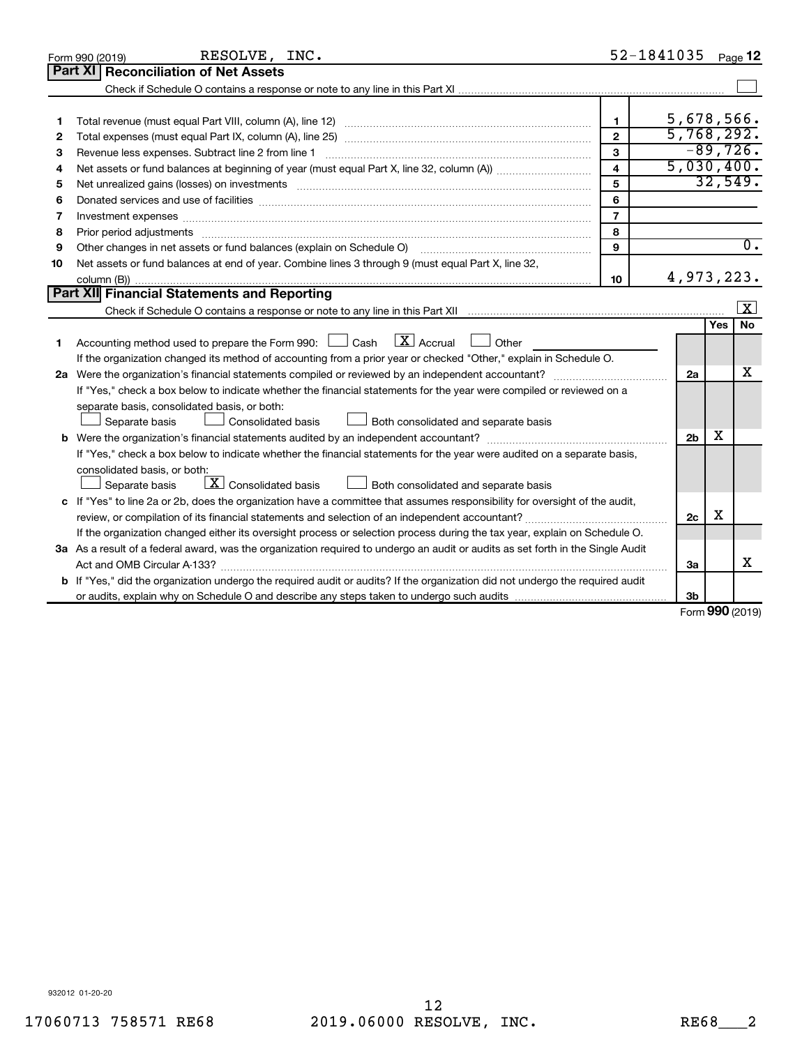| <b>Reconciliation of Net Assets</b><br>Part XI<br>5,678,566.<br>$\blacksquare$<br>1<br>5,768,292.<br>$\overline{2}$<br>2<br>$-89,726.$<br>3<br>Revenue less expenses. Subtract line 2 from line 1<br>з<br>5,030,400.<br>$\overline{\mathbf{4}}$<br>4<br>32,549.<br>5<br>5<br>6<br>6<br>$\overline{7}$<br>Investment expenses www.communication.com/www.communication.com/www.communication.com/www.com<br>7<br>8<br>8<br>$\overline{0}$ .<br>Other changes in net assets or fund balances (explain on Schedule O)<br>9<br>9<br>Net assets or fund balances at end of year. Combine lines 3 through 9 (must equal Part X, line 32,<br>10<br>4,973,223.<br>10<br>Part XII Financial Statements and Reporting | RESOLVE, INC.<br>Form 990 (2019) | 52-1841035 | Page 12 |
|------------------------------------------------------------------------------------------------------------------------------------------------------------------------------------------------------------------------------------------------------------------------------------------------------------------------------------------------------------------------------------------------------------------------------------------------------------------------------------------------------------------------------------------------------------------------------------------------------------------------------------------------------------------------------------------------------------|----------------------------------|------------|---------|
|                                                                                                                                                                                                                                                                                                                                                                                                                                                                                                                                                                                                                                                                                                            |                                  |            |         |
|                                                                                                                                                                                                                                                                                                                                                                                                                                                                                                                                                                                                                                                                                                            |                                  |            |         |
|                                                                                                                                                                                                                                                                                                                                                                                                                                                                                                                                                                                                                                                                                                            |                                  |            |         |
|                                                                                                                                                                                                                                                                                                                                                                                                                                                                                                                                                                                                                                                                                                            |                                  |            |         |
|                                                                                                                                                                                                                                                                                                                                                                                                                                                                                                                                                                                                                                                                                                            |                                  |            |         |
|                                                                                                                                                                                                                                                                                                                                                                                                                                                                                                                                                                                                                                                                                                            |                                  |            |         |
|                                                                                                                                                                                                                                                                                                                                                                                                                                                                                                                                                                                                                                                                                                            |                                  |            |         |
|                                                                                                                                                                                                                                                                                                                                                                                                                                                                                                                                                                                                                                                                                                            |                                  |            |         |
|                                                                                                                                                                                                                                                                                                                                                                                                                                                                                                                                                                                                                                                                                                            |                                  |            |         |
|                                                                                                                                                                                                                                                                                                                                                                                                                                                                                                                                                                                                                                                                                                            |                                  |            |         |
|                                                                                                                                                                                                                                                                                                                                                                                                                                                                                                                                                                                                                                                                                                            |                                  |            |         |
|                                                                                                                                                                                                                                                                                                                                                                                                                                                                                                                                                                                                                                                                                                            |                                  |            |         |
|                                                                                                                                                                                                                                                                                                                                                                                                                                                                                                                                                                                                                                                                                                            |                                  |            |         |
|                                                                                                                                                                                                                                                                                                                                                                                                                                                                                                                                                                                                                                                                                                            |                                  |            |         |
|                                                                                                                                                                                                                                                                                                                                                                                                                                                                                                                                                                                                                                                                                                            |                                  |            |         |
| $\lfloor x \rfloor$                                                                                                                                                                                                                                                                                                                                                                                                                                                                                                                                                                                                                                                                                        |                                  |            |         |
| <b>No</b><br>Yes                                                                                                                                                                                                                                                                                                                                                                                                                                                                                                                                                                                                                                                                                           |                                  |            |         |
| $\boxed{\text{X}}$ Accrual<br>Accounting method used to prepare the Form 990: $\Box$ Cash<br>$\Box$ Other<br>1.                                                                                                                                                                                                                                                                                                                                                                                                                                                                                                                                                                                            |                                  |            |         |
| If the organization changed its method of accounting from a prior year or checked "Other," explain in Schedule O.                                                                                                                                                                                                                                                                                                                                                                                                                                                                                                                                                                                          |                                  |            |         |
| x<br>2a                                                                                                                                                                                                                                                                                                                                                                                                                                                                                                                                                                                                                                                                                                    |                                  |            |         |
| If "Yes," check a box below to indicate whether the financial statements for the year were compiled or reviewed on a                                                                                                                                                                                                                                                                                                                                                                                                                                                                                                                                                                                       |                                  |            |         |
| separate basis, consolidated basis, or both:                                                                                                                                                                                                                                                                                                                                                                                                                                                                                                                                                                                                                                                               |                                  |            |         |
| Consolidated basis<br>Both consolidated and separate basis<br>Separate basis                                                                                                                                                                                                                                                                                                                                                                                                                                                                                                                                                                                                                               |                                  |            |         |
| x<br>2 <sub>b</sub>                                                                                                                                                                                                                                                                                                                                                                                                                                                                                                                                                                                                                                                                                        |                                  |            |         |
| If "Yes," check a box below to indicate whether the financial statements for the year were audited on a separate basis,                                                                                                                                                                                                                                                                                                                                                                                                                                                                                                                                                                                    |                                  |            |         |
| consolidated basis, or both:                                                                                                                                                                                                                                                                                                                                                                                                                                                                                                                                                                                                                                                                               |                                  |            |         |
| $\boxed{\textbf{X}}$ Consolidated basis<br>Separate basis<br>Both consolidated and separate basis                                                                                                                                                                                                                                                                                                                                                                                                                                                                                                                                                                                                          |                                  |            |         |
| c If "Yes" to line 2a or 2b, does the organization have a committee that assumes responsibility for oversight of the audit,                                                                                                                                                                                                                                                                                                                                                                                                                                                                                                                                                                                |                                  |            |         |
| х<br>2c<br>review, or compilation of its financial statements and selection of an independent accountant?                                                                                                                                                                                                                                                                                                                                                                                                                                                                                                                                                                                                  |                                  |            |         |
| If the organization changed either its oversight process or selection process during the tax year, explain on Schedule O.                                                                                                                                                                                                                                                                                                                                                                                                                                                                                                                                                                                  |                                  |            |         |
| 3a As a result of a federal award, was the organization required to undergo an audit or audits as set forth in the Single Audit                                                                                                                                                                                                                                                                                                                                                                                                                                                                                                                                                                            |                                  |            |         |
| х<br>Act and OMB Circular A-133?<br>За                                                                                                                                                                                                                                                                                                                                                                                                                                                                                                                                                                                                                                                                     |                                  |            |         |
| b If "Yes," did the organization undergo the required audit or audits? If the organization did not undergo the required audit                                                                                                                                                                                                                                                                                                                                                                                                                                                                                                                                                                              |                                  |            |         |
| 3b<br>$000 \text{ hours}$                                                                                                                                                                                                                                                                                                                                                                                                                                                                                                                                                                                                                                                                                  |                                  |            |         |

Form (2019) **990**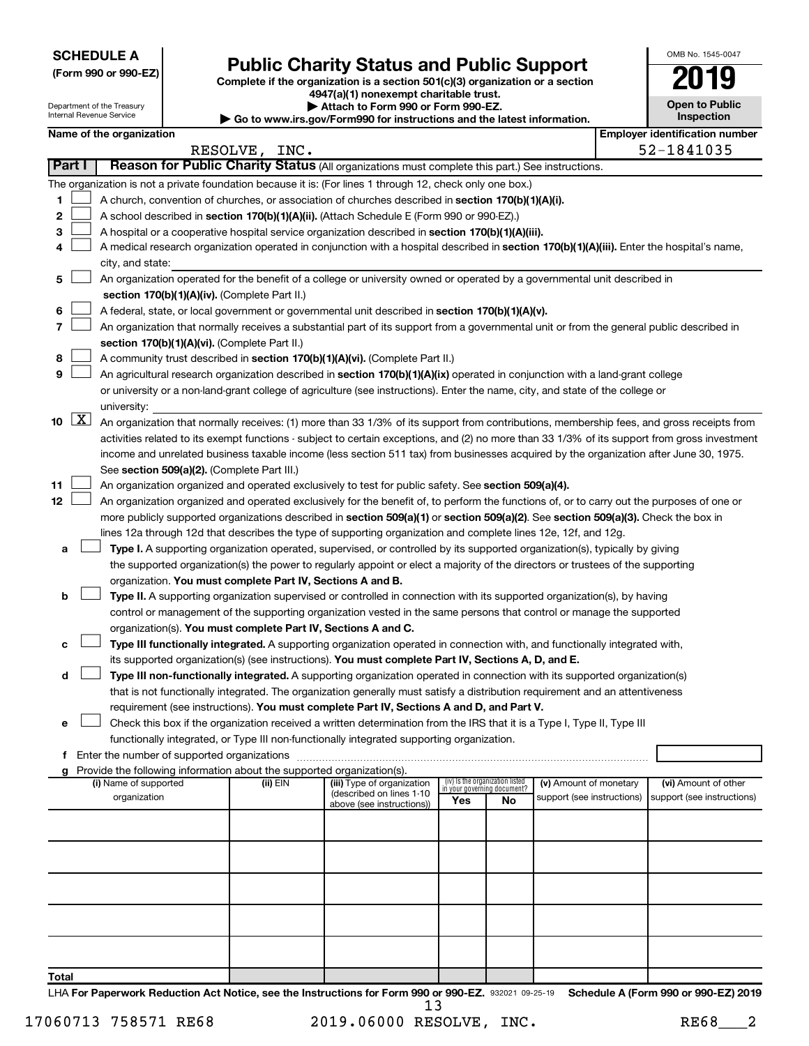**SCHEDULE A**

Department of the Treasury Internal Revenue Service

| (Form 990 or 990-EZ) |  |  |
|----------------------|--|--|
|----------------------|--|--|

Form 990 or 990-EZ)<br>
Complete if the organization is a section 501(c)(3) organization or a section<br> **Public Charity Status and Public Support 4947(a)(1) nonexempt charitable trust.**

**| Attach to Form 990 or Form 990-EZ.** 

**| Go to www.irs.gov/Form990 for instructions and the latest information.**

| <b>Open to Public</b><br>Inspection |
|-------------------------------------|
| identification numbe                |

OMB No. 1545-0047

| Name of the organization<br><b>Employer identification number</b> |  |                                                                                                                                               |               |                                                        |     |                                 |                                                      |  |                                                    |
|-------------------------------------------------------------------|--|-----------------------------------------------------------------------------------------------------------------------------------------------|---------------|--------------------------------------------------------|-----|---------------------------------|------------------------------------------------------|--|----------------------------------------------------|
|                                                                   |  |                                                                                                                                               | RESOLVE, INC. |                                                        |     |                                 |                                                      |  | 52-1841035                                         |
| Part I                                                            |  | Reason for Public Charity Status (All organizations must complete this part.) See instructions.                                               |               |                                                        |     |                                 |                                                      |  |                                                    |
|                                                                   |  | The organization is not a private foundation because it is: (For lines 1 through 12, check only one box.)                                     |               |                                                        |     |                                 |                                                      |  |                                                    |
| 1                                                                 |  | A church, convention of churches, or association of churches described in section 170(b)(1)(A)(i).                                            |               |                                                        |     |                                 |                                                      |  |                                                    |
| 2                                                                 |  | A school described in section 170(b)(1)(A)(ii). (Attach Schedule E (Form 990 or 990-EZ).)                                                     |               |                                                        |     |                                 |                                                      |  |                                                    |
| з                                                                 |  | A hospital or a cooperative hospital service organization described in section 170(b)(1)(A)(iii).                                             |               |                                                        |     |                                 |                                                      |  |                                                    |
| 4                                                                 |  | A medical research organization operated in conjunction with a hospital described in section 170(b)(1)(A)(iii). Enter the hospital's name,    |               |                                                        |     |                                 |                                                      |  |                                                    |
|                                                                   |  | city, and state:                                                                                                                              |               |                                                        |     |                                 |                                                      |  |                                                    |
| 5                                                                 |  | An organization operated for the benefit of a college or university owned or operated by a governmental unit described in                     |               |                                                        |     |                                 |                                                      |  |                                                    |
|                                                                   |  | section 170(b)(1)(A)(iv). (Complete Part II.)                                                                                                 |               |                                                        |     |                                 |                                                      |  |                                                    |
| 6                                                                 |  | A federal, state, or local government or governmental unit described in section 170(b)(1)(A)(v).                                              |               |                                                        |     |                                 |                                                      |  |                                                    |
| 7                                                                 |  | An organization that normally receives a substantial part of its support from a governmental unit or from the general public described in     |               |                                                        |     |                                 |                                                      |  |                                                    |
|                                                                   |  | section 170(b)(1)(A)(vi). (Complete Part II.)                                                                                                 |               |                                                        |     |                                 |                                                      |  |                                                    |
| 8                                                                 |  | A community trust described in section 170(b)(1)(A)(vi). (Complete Part II.)                                                                  |               |                                                        |     |                                 |                                                      |  |                                                    |
| 9                                                                 |  | An agricultural research organization described in section 170(b)(1)(A)(ix) operated in conjunction with a land-grant college                 |               |                                                        |     |                                 |                                                      |  |                                                    |
|                                                                   |  | or university or a non-land-grant college of agriculture (see instructions). Enter the name, city, and state of the college or                |               |                                                        |     |                                 |                                                      |  |                                                    |
|                                                                   |  | university:                                                                                                                                   |               |                                                        |     |                                 |                                                      |  |                                                    |
| $10 \quad \boxed{\text{X}}$                                       |  | An organization that normally receives: (1) more than 33 1/3% of its support from contributions, membership fees, and gross receipts from     |               |                                                        |     |                                 |                                                      |  |                                                    |
|                                                                   |  | activities related to its exempt functions - subject to certain exceptions, and (2) no more than 33 1/3% of its support from gross investment |               |                                                        |     |                                 |                                                      |  |                                                    |
|                                                                   |  | income and unrelated business taxable income (less section 511 tax) from businesses acquired by the organization after June 30, 1975.         |               |                                                        |     |                                 |                                                      |  |                                                    |
|                                                                   |  | See section 509(a)(2). (Complete Part III.)                                                                                                   |               |                                                        |     |                                 |                                                      |  |                                                    |
| 11                                                                |  | An organization organized and operated exclusively to test for public safety. See section 509(a)(4).                                          |               |                                                        |     |                                 |                                                      |  |                                                    |
| 12 <sub>2</sub>                                                   |  | An organization organized and operated exclusively for the benefit of, to perform the functions of, or to carry out the purposes of one or    |               |                                                        |     |                                 |                                                      |  |                                                    |
|                                                                   |  | more publicly supported organizations described in section 509(a)(1) or section 509(a)(2). See section 509(a)(3). Check the box in            |               |                                                        |     |                                 |                                                      |  |                                                    |
|                                                                   |  | lines 12a through 12d that describes the type of supporting organization and complete lines 12e, 12f, and 12g.                                |               |                                                        |     |                                 |                                                      |  |                                                    |
| а                                                                 |  | Type I. A supporting organization operated, supervised, or controlled by its supported organization(s), typically by giving                   |               |                                                        |     |                                 |                                                      |  |                                                    |
|                                                                   |  | the supported organization(s) the power to regularly appoint or elect a majority of the directors or trustees of the supporting               |               |                                                        |     |                                 |                                                      |  |                                                    |
|                                                                   |  | organization. You must complete Part IV, Sections A and B.                                                                                    |               |                                                        |     |                                 |                                                      |  |                                                    |
| b                                                                 |  | Type II. A supporting organization supervised or controlled in connection with its supported organization(s), by having                       |               |                                                        |     |                                 |                                                      |  |                                                    |
|                                                                   |  | control or management of the supporting organization vested in the same persons that control or manage the supported                          |               |                                                        |     |                                 |                                                      |  |                                                    |
|                                                                   |  | organization(s). You must complete Part IV, Sections A and C.                                                                                 |               |                                                        |     |                                 |                                                      |  |                                                    |
|                                                                   |  | Type III functionally integrated. A supporting organization operated in connection with, and functionally integrated with,                    |               |                                                        |     |                                 |                                                      |  |                                                    |
|                                                                   |  | its supported organization(s) (see instructions). You must complete Part IV, Sections A, D, and E.                                            |               |                                                        |     |                                 |                                                      |  |                                                    |
| d                                                                 |  | Type III non-functionally integrated. A supporting organization operated in connection with its supported organization(s)                     |               |                                                        |     |                                 |                                                      |  |                                                    |
|                                                                   |  | that is not functionally integrated. The organization generally must satisfy a distribution requirement and an attentiveness                  |               |                                                        |     |                                 |                                                      |  |                                                    |
|                                                                   |  | requirement (see instructions). You must complete Part IV, Sections A and D, and Part V.                                                      |               |                                                        |     |                                 |                                                      |  |                                                    |
| е                                                                 |  | Check this box if the organization received a written determination from the IRS that it is a Type I, Type II, Type III                       |               |                                                        |     |                                 |                                                      |  |                                                    |
|                                                                   |  | functionally integrated, or Type III non-functionally integrated supporting organization.                                                     |               |                                                        |     |                                 |                                                      |  |                                                    |
| f                                                                 |  | Enter the number of supported organizations                                                                                                   |               |                                                        |     |                                 |                                                      |  |                                                    |
| g                                                                 |  | Provide the following information about the supported organization(s).                                                                        |               |                                                        |     | (iv) Is the organization listed |                                                      |  |                                                    |
|                                                                   |  | (i) Name of supported<br>organization                                                                                                         | (ii) EIN      | (iii) Type of organization<br>(described on lines 1-10 |     | in your governing document?     | (v) Amount of monetary<br>support (see instructions) |  | (vi) Amount of other<br>support (see instructions) |
|                                                                   |  |                                                                                                                                               |               | above (see instructions))                              | Yes | No                              |                                                      |  |                                                    |
|                                                                   |  |                                                                                                                                               |               |                                                        |     |                                 |                                                      |  |                                                    |
|                                                                   |  |                                                                                                                                               |               |                                                        |     |                                 |                                                      |  |                                                    |
|                                                                   |  |                                                                                                                                               |               |                                                        |     |                                 |                                                      |  |                                                    |
|                                                                   |  |                                                                                                                                               |               |                                                        |     |                                 |                                                      |  |                                                    |
|                                                                   |  |                                                                                                                                               |               |                                                        |     |                                 |                                                      |  |                                                    |
|                                                                   |  |                                                                                                                                               |               |                                                        |     |                                 |                                                      |  |                                                    |
|                                                                   |  |                                                                                                                                               |               |                                                        |     |                                 |                                                      |  |                                                    |
|                                                                   |  |                                                                                                                                               |               |                                                        |     |                                 |                                                      |  |                                                    |
|                                                                   |  |                                                                                                                                               |               |                                                        |     |                                 |                                                      |  |                                                    |
| Total                                                             |  |                                                                                                                                               |               |                                                        |     |                                 |                                                      |  |                                                    |

LHA For Paperwork Reduction Act Notice, see the Instructions for Form 990 or 990-EZ. 932021 09-25-19 Schedule A (Form 990 or 990-EZ) 2019 13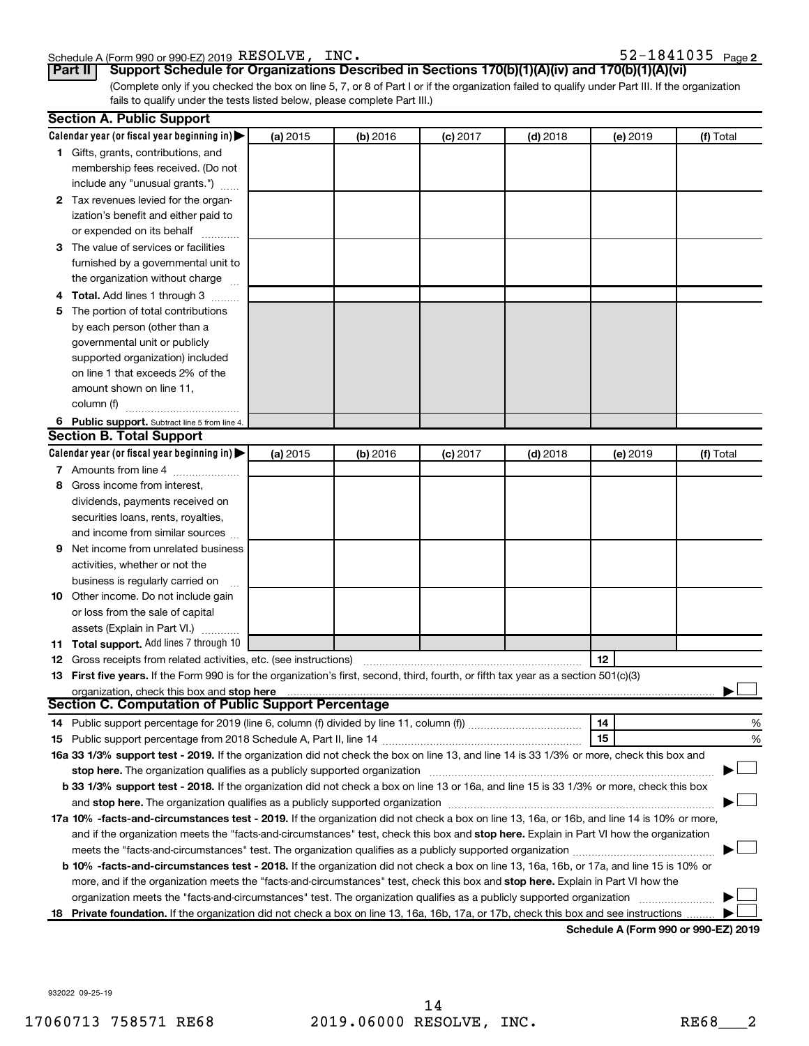### Schedule A (Form 990 or 990-EZ) 2019  $\verb|RESOLVE|$ ,  $\verb|INC. 52–1841035$   $\verb|Page|$

| 52-1841035 <sub>Page 2</sub> |  |
|------------------------------|--|
|------------------------------|--|

(Complete only if you checked the box on line 5, 7, or 8 of Part I or if the organization failed to qualify under Part III. If the organization **Part II Support Schedule for Organizations Described in Sections 170(b)(1)(A)(iv) and 170(b)(1)(A)(vi)**

fails to qualify under the tests listed below, please complete Part III.)

|   | <b>Section A. Public Support</b>                                                                                                               |          |          |            |            |          |                                      |
|---|------------------------------------------------------------------------------------------------------------------------------------------------|----------|----------|------------|------------|----------|--------------------------------------|
|   | Calendar year (or fiscal year beginning in)                                                                                                    | (a) 2015 | (b) 2016 | $(c)$ 2017 | $(d)$ 2018 | (e) 2019 | (f) Total                            |
|   | 1 Gifts, grants, contributions, and                                                                                                            |          |          |            |            |          |                                      |
|   | membership fees received. (Do not                                                                                                              |          |          |            |            |          |                                      |
|   | include any "unusual grants.")                                                                                                                 |          |          |            |            |          |                                      |
|   | 2 Tax revenues levied for the organ-                                                                                                           |          |          |            |            |          |                                      |
|   | ization's benefit and either paid to                                                                                                           |          |          |            |            |          |                                      |
|   | or expended on its behalf                                                                                                                      |          |          |            |            |          |                                      |
|   | 3 The value of services or facilities                                                                                                          |          |          |            |            |          |                                      |
|   | furnished by a governmental unit to                                                                                                            |          |          |            |            |          |                                      |
|   | the organization without charge                                                                                                                |          |          |            |            |          |                                      |
|   | 4 Total. Add lines 1 through 3                                                                                                                 |          |          |            |            |          |                                      |
| 5 | The portion of total contributions                                                                                                             |          |          |            |            |          |                                      |
|   | by each person (other than a                                                                                                                   |          |          |            |            |          |                                      |
|   | governmental unit or publicly                                                                                                                  |          |          |            |            |          |                                      |
|   | supported organization) included                                                                                                               |          |          |            |            |          |                                      |
|   | on line 1 that exceeds 2% of the                                                                                                               |          |          |            |            |          |                                      |
|   | amount shown on line 11,                                                                                                                       |          |          |            |            |          |                                      |
|   | column (f)                                                                                                                                     |          |          |            |            |          |                                      |
|   | 6 Public support. Subtract line 5 from line 4.                                                                                                 |          |          |            |            |          |                                      |
|   | <b>Section B. Total Support</b>                                                                                                                |          |          |            |            |          |                                      |
|   | Calendar year (or fiscal year beginning in)                                                                                                    | (a) 2015 | (b) 2016 | $(c)$ 2017 | $(d)$ 2018 | (e) 2019 | (f) Total                            |
|   | 7 Amounts from line 4                                                                                                                          |          |          |            |            |          |                                      |
| 8 | Gross income from interest,                                                                                                                    |          |          |            |            |          |                                      |
|   | dividends, payments received on                                                                                                                |          |          |            |            |          |                                      |
|   | securities loans, rents, royalties,                                                                                                            |          |          |            |            |          |                                      |
|   | and income from similar sources                                                                                                                |          |          |            |            |          |                                      |
| 9 | Net income from unrelated business                                                                                                             |          |          |            |            |          |                                      |
|   | activities, whether or not the                                                                                                                 |          |          |            |            |          |                                      |
|   | business is regularly carried on                                                                                                               |          |          |            |            |          |                                      |
|   | 10 Other income. Do not include gain                                                                                                           |          |          |            |            |          |                                      |
|   | or loss from the sale of capital                                                                                                               |          |          |            |            |          |                                      |
|   | assets (Explain in Part VI.)                                                                                                                   |          |          |            |            |          |                                      |
|   | 11 Total support. Add lines 7 through 10                                                                                                       |          |          |            |            |          |                                      |
|   | <b>12</b> Gross receipts from related activities, etc. (see instructions)                                                                      |          |          |            |            | 12       |                                      |
|   | 13 First five years. If the Form 990 is for the organization's first, second, third, fourth, or fifth tax year as a section 501(c)(3)          |          |          |            |            |          |                                      |
|   |                                                                                                                                                |          |          |            |            |          |                                      |
|   | <b>Section C. Computation of Public Support Percentage</b>                                                                                     |          |          |            |            |          |                                      |
|   |                                                                                                                                                |          |          |            |            | 14       | %                                    |
|   |                                                                                                                                                |          |          |            |            | 15       | %                                    |
|   | 16a 33 1/3% support test - 2019. If the organization did not check the box on line 13, and line 14 is 33 1/3% or more, check this box and      |          |          |            |            |          |                                      |
|   |                                                                                                                                                |          |          |            |            |          |                                      |
|   | b 33 1/3% support test - 2018. If the organization did not check a box on line 13 or 16a, and line 15 is 33 1/3% or more, check this box       |          |          |            |            |          |                                      |
|   |                                                                                                                                                |          |          |            |            |          |                                      |
|   | 17a 10% -facts-and-circumstances test - 2019. If the organization did not check a box on line 13, 16a, or 16b, and line 14 is 10% or more,     |          |          |            |            |          |                                      |
|   | and if the organization meets the "facts-and-circumstances" test, check this box and stop here. Explain in Part VI how the organization        |          |          |            |            |          |                                      |
|   |                                                                                                                                                |          |          |            |            |          |                                      |
|   | <b>b 10%</b> -facts-and-circumstances test - 2018. If the organization did not check a box on line 13, 16a, 16b, or 17a, and line 15 is 10% or |          |          |            |            |          |                                      |
|   | more, and if the organization meets the "facts-and-circumstances" test, check this box and stop here. Explain in Part VI how the               |          |          |            |            |          |                                      |
|   | organization meets the "facts-and-circumstances" test. The organization qualifies as a publicly supported organization                         |          |          |            |            |          |                                      |
|   | 18 Private foundation. If the organization did not check a box on line 13, 16a, 16b, 17a, or 17b, check this box and see instructions.         |          |          |            |            |          | Cahadula A (Faum 000 av 000 EZ) 0040 |

**Schedule A (Form 990 or 990-EZ) 2019**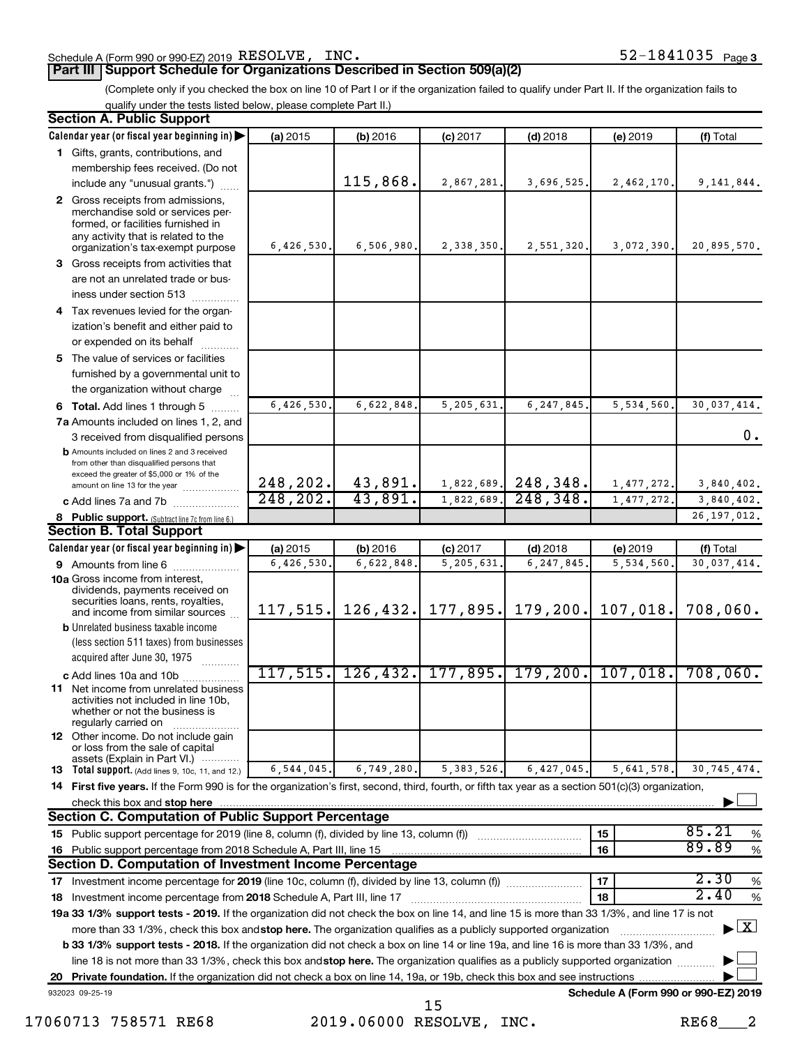### Schedule A (Form 990 or 990-EZ) 2019 RESOLVE, INC.

### **Part III Support Schedule for Organizations Described in Section 509(a)(2)**

RESOLVE, INC. 52-1841035  $_{\text{Page 3}}$ 

(Complete only if you checked the box on line 10 of Part I or if the organization failed to qualify under Part II. If the organization fails to qualify under the tests listed below, please complete Part II.)

|    | <b>Section A. Public Support</b>                                                                                                                                                         |              |            |                              |                        |                                      |                                          |
|----|------------------------------------------------------------------------------------------------------------------------------------------------------------------------------------------|--------------|------------|------------------------------|------------------------|--------------------------------------|------------------------------------------|
|    | Calendar year (or fiscal year beginning in)                                                                                                                                              | (a) 2015     | (b) 2016   | $(c)$ 2017                   | $(d)$ 2018             | (e) 2019                             | (f) Total                                |
|    | 1 Gifts, grants, contributions, and                                                                                                                                                      |              |            |                              |                        |                                      |                                          |
|    | membership fees received. (Do not                                                                                                                                                        |              |            |                              |                        |                                      |                                          |
|    | include any "unusual grants.")                                                                                                                                                           |              | 115,868.   | 2,867,281.                   | 3,696,525.             | 2,462,170.                           | 9, 141, 844.                             |
|    | 2 Gross receipts from admissions,<br>merchandise sold or services per-<br>formed, or facilities furnished in<br>any activity that is related to the<br>organization's tax-exempt purpose | 6,426,530.   | 6,506,980. | 2,338,350.                   | 2,551,320.             | 3,072,390.                           | 20,895,570.                              |
|    | 3 Gross receipts from activities that                                                                                                                                                    |              |            |                              |                        |                                      |                                          |
|    | are not an unrelated trade or bus-                                                                                                                                                       |              |            |                              |                        |                                      |                                          |
|    |                                                                                                                                                                                          |              |            |                              |                        |                                      |                                          |
|    | iness under section 513                                                                                                                                                                  |              |            |                              |                        |                                      |                                          |
|    | 4 Tax revenues levied for the organ-                                                                                                                                                     |              |            |                              |                        |                                      |                                          |
|    | ization's benefit and either paid to                                                                                                                                                     |              |            |                              |                        |                                      |                                          |
|    | or expended on its behalf                                                                                                                                                                |              |            |                              |                        |                                      |                                          |
|    | 5 The value of services or facilities                                                                                                                                                    |              |            |                              |                        |                                      |                                          |
|    | furnished by a governmental unit to                                                                                                                                                      |              |            |                              |                        |                                      |                                          |
|    | the organization without charge                                                                                                                                                          |              |            |                              |                        |                                      |                                          |
|    | <b>6 Total.</b> Add lines 1 through 5                                                                                                                                                    | 6,426,530    | 6,622,848. | 5,205,631                    | 6, 247, 845.           | 5,534,560.                           | 30,037,414.                              |
|    | 7a Amounts included on lines 1, 2, and                                                                                                                                                   |              |            |                              |                        |                                      |                                          |
|    | 3 received from disqualified persons                                                                                                                                                     |              |            |                              |                        |                                      | 0.                                       |
|    | <b>b</b> Amounts included on lines 2 and 3 received<br>from other than disqualified persons that<br>exceed the greater of \$5,000 or 1% of the                                           | 248, 202.    | 43,891.    |                              | $1,822,689$ . 248,348. |                                      |                                          |
|    | amount on line 13 for the year                                                                                                                                                           | 248, 202.    | 43,891.    |                              | 248, 348.              | 1,477,272.                           | 3,840,402.                               |
|    | c Add lines 7a and 7b                                                                                                                                                                    |              |            | 1,822,689.                   |                        | 1,477,272.                           | 3,840,402.                               |
|    | 8 Public support. (Subtract line 7c from line 6.)                                                                                                                                        |              |            |                              |                        |                                      | 26, 197, 012.                            |
|    | <b>Section B. Total Support</b>                                                                                                                                                          |              |            |                              |                        |                                      |                                          |
|    | Calendar year (or fiscal year beginning in)                                                                                                                                              | (a) 2015     | (b) 2016   | $(c)$ 2017                   | $(d)$ 2018             | (e) 2019                             | (f) Total                                |
|    | 9 Amounts from line 6                                                                                                                                                                    | 6,426,530    | 6,622,848. | 5,205,631                    | 6, 247, 845            | 5,534,560                            | 30,037,414.                              |
|    | <b>10a</b> Gross income from interest,<br>dividends, payments received on<br>securities loans, rents, royalties,<br>and income from similar sources                                      | 117, 515.    |            | $126, 432.$ 177,895.         | 179, 200.              | 107,018.                             | 708,060.                                 |
|    | <b>b</b> Unrelated business taxable income<br>(less section 511 taxes) from businesses<br>acquired after June 30, 1975                                                                   |              |            |                              |                        |                                      |                                          |
|    | c Add lines 10a and 10b                                                                                                                                                                  | 117, 515.    |            | $126,432.$ 177,895. 179,200. |                        | 107,018.                             | 708,060.                                 |
|    | <b>11</b> Net income from unrelated business<br>activities not included in line 10b,<br>whether or not the business is<br>regularly carried on                                           |              |            |                              |                        |                                      |                                          |
|    | <b>12</b> Other income. Do not include gain<br>or loss from the sale of capital<br>assets (Explain in Part VI.)                                                                          |              |            |                              |                        |                                      |                                          |
|    | <b>13</b> Total support. (Add lines 9, 10c, 11, and 12.)                                                                                                                                 | 6, 544, 045. | 6,749,280. | 5, 383, 526.                 | 6,427,045.             | 5,641,578.                           | 30,745,474.                              |
|    | 14 First five years. If the Form 990 is for the organization's first, second, third, fourth, or fifth tax year as a section 501(c)(3) organization,                                      |              |            |                              |                        |                                      |                                          |
|    | check this box and stop here                                                                                                                                                             |              |            |                              |                        |                                      |                                          |
|    | <b>Section C. Computation of Public Support Percentage</b>                                                                                                                               |              |            |                              |                        |                                      |                                          |
|    |                                                                                                                                                                                          |              |            |                              |                        | 15                                   | 85.21<br>%                               |
|    | 16 Public support percentage from 2018 Schedule A, Part III, line 15                                                                                                                     |              |            |                              |                        | 16                                   | 89.89<br>$\%$                            |
|    | Section D. Computation of Investment Income Percentage                                                                                                                                   |              |            |                              |                        |                                      |                                          |
|    | 17 Investment income percentage for 2019 (line 10c, column (f), divided by line 13, column (f))                                                                                          |              |            |                              |                        | 17                                   | 2.30<br>$\%$                             |
|    | 18 Investment income percentage from 2018 Schedule A, Part III, line 17                                                                                                                  |              |            |                              |                        | 18                                   | 2.40<br>%                                |
|    | 19a 33 1/3% support tests - 2019. If the organization did not check the box on line 14, and line 15 is more than 33 1/3%, and line 17 is not                                             |              |            |                              |                        |                                      |                                          |
|    | more than 33 1/3%, check this box and stop here. The organization qualifies as a publicly supported organization                                                                         |              |            |                              |                        |                                      | $\blacktriangleright$ $\boxed{\text{X}}$ |
|    | b 33 1/3% support tests - 2018. If the organization did not check a box on line 14 or line 19a, and line 16 is more than 33 1/3%, and                                                    |              |            |                              |                        |                                      |                                          |
|    | line 18 is not more than 33 1/3%, check this box and stop here. The organization qualifies as a publicly supported organization                                                          |              |            |                              |                        |                                      |                                          |
| 20 |                                                                                                                                                                                          |              |            |                              |                        |                                      |                                          |
|    | 932023 09-25-19                                                                                                                                                                          |              |            |                              |                        | Schedule A (Form 990 or 990-EZ) 2019 |                                          |
|    |                                                                                                                                                                                          |              |            | 15                           |                        |                                      |                                          |

<sup>17060713 758571</sup> RE68 2019.06000 RESOLVE, INC. RE68 RE68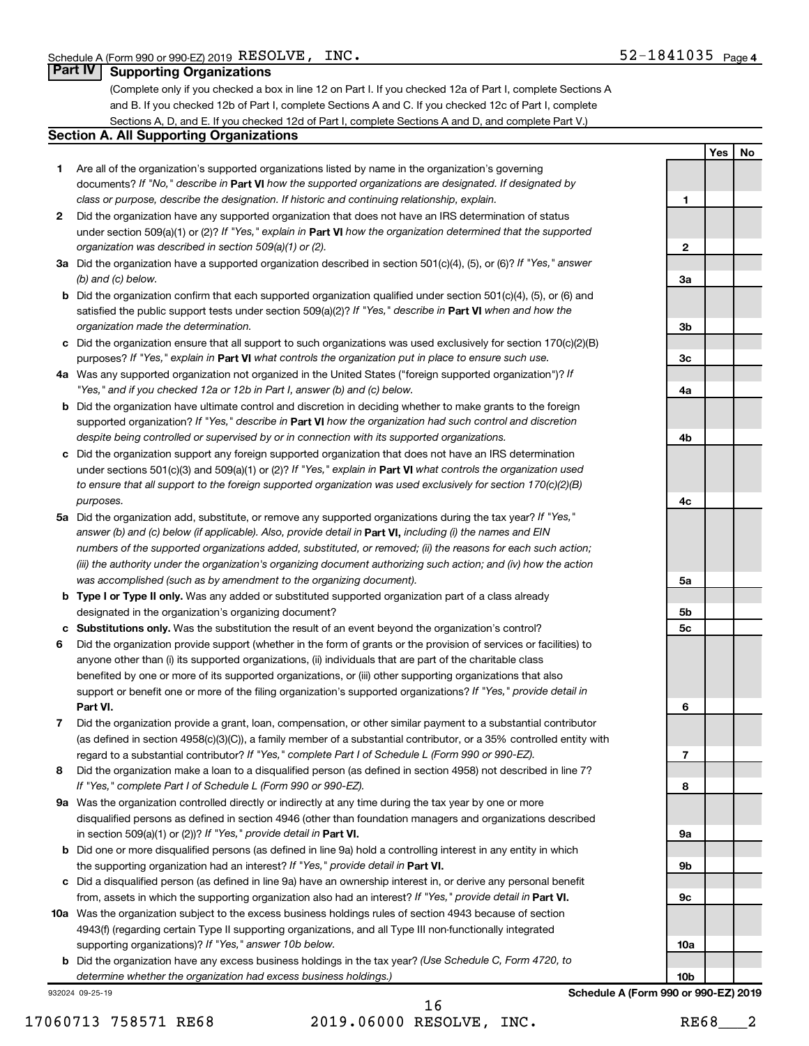**1**

**2**

**3a**

**3b**

**3c**

**4a**

**4b**

**4c**

**5a**

**5b 5c**

**6**

**7**

**8**

**9a**

**9b**

**9c**

**10a**

**Yes No**

### **Part IV Supporting Organizations**

(Complete only if you checked a box in line 12 on Part I. If you checked 12a of Part I, complete Sections A and B. If you checked 12b of Part I, complete Sections A and C. If you checked 12c of Part I, complete Sections A, D, and E. If you checked 12d of Part I, complete Sections A and D, and complete Part V.)

### **Section A. All Supporting Organizations**

- **1** Are all of the organization's supported organizations listed by name in the organization's governing documents? If "No," describe in Part VI how the supported organizations are designated. If designated by *class or purpose, describe the designation. If historic and continuing relationship, explain.*
- **2** Did the organization have any supported organization that does not have an IRS determination of status under section 509(a)(1) or (2)? If "Yes," explain in Part **VI** how the organization determined that the supported *organization was described in section 509(a)(1) or (2).*
- **3a** Did the organization have a supported organization described in section 501(c)(4), (5), or (6)? If "Yes," answer *(b) and (c) below.*
- **b** Did the organization confirm that each supported organization qualified under section 501(c)(4), (5), or (6) and satisfied the public support tests under section 509(a)(2)? If "Yes," describe in Part VI when and how the *organization made the determination.*
- **c** Did the organization ensure that all support to such organizations was used exclusively for section 170(c)(2)(B) purposes? If "Yes," explain in Part VI what controls the organization put in place to ensure such use.
- **4 a** *If* Was any supported organization not organized in the United States ("foreign supported organization")? *"Yes," and if you checked 12a or 12b in Part I, answer (b) and (c) below.*
- **b** Did the organization have ultimate control and discretion in deciding whether to make grants to the foreign supported organization? If "Yes," describe in Part VI how the organization had such control and discretion *despite being controlled or supervised by or in connection with its supported organizations.*
- **c** Did the organization support any foreign supported organization that does not have an IRS determination under sections 501(c)(3) and 509(a)(1) or (2)? If "Yes," explain in Part VI what controls the organization used *to ensure that all support to the foreign supported organization was used exclusively for section 170(c)(2)(B) purposes.*
- **5a** Did the organization add, substitute, or remove any supported organizations during the tax year? If "Yes," answer (b) and (c) below (if applicable). Also, provide detail in **Part VI,** including (i) the names and EIN *numbers of the supported organizations added, substituted, or removed; (ii) the reasons for each such action; (iii) the authority under the organization's organizing document authorizing such action; and (iv) how the action was accomplished (such as by amendment to the organizing document).*
- **b Type I or Type II only.** Was any added or substituted supported organization part of a class already designated in the organization's organizing document?
- **c Substitutions only.**  Was the substitution the result of an event beyond the organization's control?
- **6** Did the organization provide support (whether in the form of grants or the provision of services or facilities) to **Part VI.** support or benefit one or more of the filing organization's supported organizations? If "Yes," provide detail in anyone other than (i) its supported organizations, (ii) individuals that are part of the charitable class benefited by one or more of its supported organizations, or (iii) other supporting organizations that also
- **7** Did the organization provide a grant, loan, compensation, or other similar payment to a substantial contributor regard to a substantial contributor? If "Yes," complete Part I of Schedule L (Form 990 or 990-EZ). (as defined in section 4958(c)(3)(C)), a family member of a substantial contributor, or a 35% controlled entity with
- **8** Did the organization make a loan to a disqualified person (as defined in section 4958) not described in line 7? *If "Yes," complete Part I of Schedule L (Form 990 or 990-EZ).*
- **9 a** Was the organization controlled directly or indirectly at any time during the tax year by one or more in section 509(a)(1) or (2))? If "Yes," provide detail in **Part VI.** disqualified persons as defined in section 4946 (other than foundation managers and organizations described
- **b** Did one or more disqualified persons (as defined in line 9a) hold a controlling interest in any entity in which the supporting organization had an interest? If "Yes," provide detail in Part VI.
- **c** Did a disqualified person (as defined in line 9a) have an ownership interest in, or derive any personal benefit from, assets in which the supporting organization also had an interest? If "Yes," provide detail in Part VI.
- **10 a** Was the organization subject to the excess business holdings rules of section 4943 because of section supporting organizations)? If "Yes," answer 10b below. 4943(f) (regarding certain Type II supporting organizations, and all Type III non-functionally integrated
	- **b** Did the organization have any excess business holdings in the tax year? (Use Schedule C, Form 4720, to *determine whether the organization had excess business holdings.)*

932024 09-25-19

**10b Schedule A (Form 990 or 990-EZ) 2019**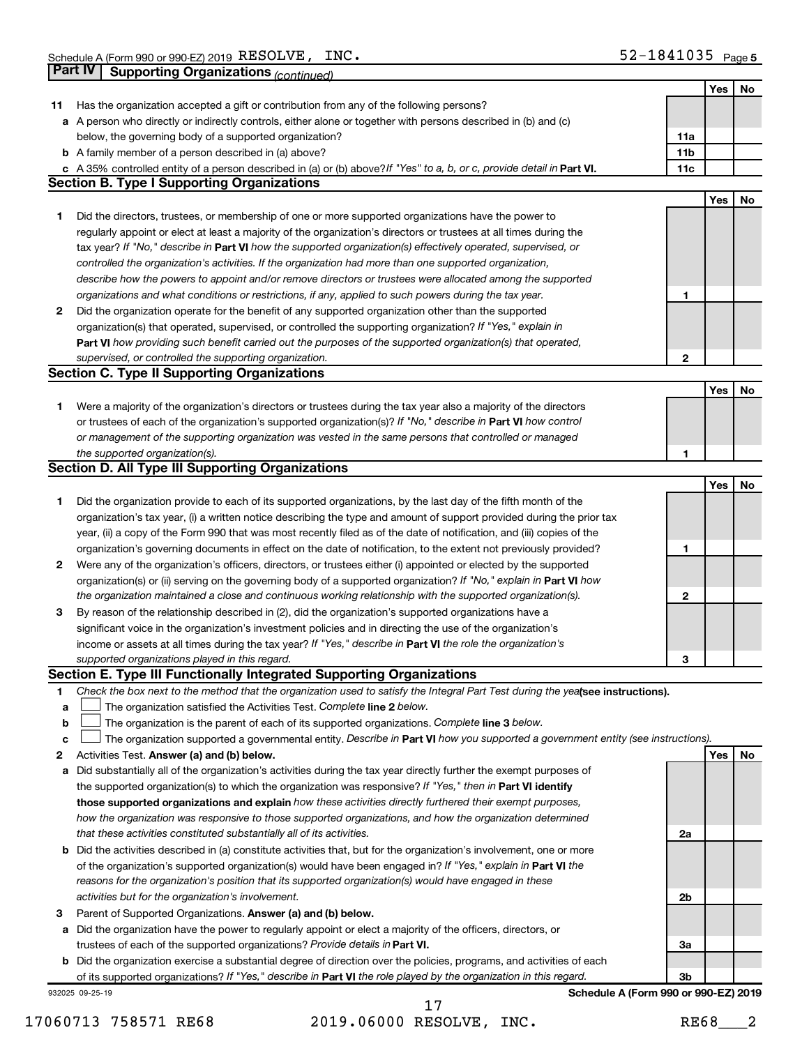|             | Part IV<br><b>Supporting Organizations (continued)</b>                                                                          |                 |     |    |
|-------------|---------------------------------------------------------------------------------------------------------------------------------|-----------------|-----|----|
|             |                                                                                                                                 |                 | Yes | No |
| 11          | Has the organization accepted a gift or contribution from any of the following persons?                                         |                 |     |    |
|             | a A person who directly or indirectly controls, either alone or together with persons described in (b) and (c)                  |                 |     |    |
|             | below, the governing body of a supported organization?                                                                          | 11a             |     |    |
|             | <b>b</b> A family member of a person described in (a) above?                                                                    | 11 <sub>b</sub> |     |    |
|             | c A 35% controlled entity of a person described in (a) or (b) above? If "Yes" to a, b, or c, provide detail in Part VI.         | 11c             |     |    |
|             | <b>Section B. Type I Supporting Organizations</b>                                                                               |                 |     |    |
|             |                                                                                                                                 |                 | Yes | No |
| 1           | Did the directors, trustees, or membership of one or more supported organizations have the power to                             |                 |     |    |
|             | regularly appoint or elect at least a majority of the organization's directors or trustees at all times during the              |                 |     |    |
|             | tax year? If "No," describe in Part VI how the supported organization(s) effectively operated, supervised, or                   |                 |     |    |
|             | controlled the organization's activities. If the organization had more than one supported organization,                         |                 |     |    |
|             | describe how the powers to appoint and/or remove directors or trustees were allocated among the supported                       |                 |     |    |
|             | organizations and what conditions or restrictions, if any, applied to such powers during the tax year.                          | 1               |     |    |
| 2           | Did the organization operate for the benefit of any supported organization other than the supported                             |                 |     |    |
|             | organization(s) that operated, supervised, or controlled the supporting organization? If "Yes," explain in                      |                 |     |    |
|             | Part VI how providing such benefit carried out the purposes of the supported organization(s) that operated,                     |                 |     |    |
|             | supervised, or controlled the supporting organization.                                                                          | $\mathbf{2}$    |     |    |
|             | <b>Section C. Type II Supporting Organizations</b>                                                                              |                 |     |    |
|             |                                                                                                                                 |                 | Yes | No |
| 1           | Were a majority of the organization's directors or trustees during the tax year also a majority of the directors                |                 |     |    |
|             | or trustees of each of the organization's supported organization(s)? If "No," describe in Part VI how control                   |                 |     |    |
|             | or management of the supporting organization was vested in the same persons that controlled or managed                          |                 |     |    |
|             | the supported organization(s).                                                                                                  | 1               |     |    |
|             | <b>Section D. All Type III Supporting Organizations</b>                                                                         |                 |     |    |
|             |                                                                                                                                 |                 | Yes | No |
| 1           | Did the organization provide to each of its supported organizations, by the last day of the fifth month of the                  |                 |     |    |
|             | organization's tax year, (i) a written notice describing the type and amount of support provided during the prior tax           |                 |     |    |
|             | year, (ii) a copy of the Form 990 that was most recently filed as of the date of notification, and (iii) copies of the          |                 |     |    |
|             | organization's governing documents in effect on the date of notification, to the extent not previously provided?                | 1               |     |    |
| 2           | Were any of the organization's officers, directors, or trustees either (i) appointed or elected by the supported                |                 |     |    |
|             | organization(s) or (ii) serving on the governing body of a supported organization? If "No," explain in Part VI how              |                 |     |    |
|             | the organization maintained a close and continuous working relationship with the supported organization(s).                     | 2               |     |    |
| 3           | By reason of the relationship described in (2), did the organization's supported organizations have a                           |                 |     |    |
|             | significant voice in the organization's investment policies and in directing the use of the organization's                      |                 |     |    |
|             | income or assets at all times during the tax year? If "Yes," describe in Part VI the role the organization's                    |                 |     |    |
|             | supported organizations played in this regard.                                                                                  |                 |     |    |
|             | Section E. Type III Functionally Integrated Supporting Organizations                                                            | з               |     |    |
| 1           | Check the box next to the method that the organization used to satisfy the Integral Part Test during the yealsee instructions). |                 |     |    |
| a           | The organization satisfied the Activities Test. Complete line 2 below.                                                          |                 |     |    |
| $\mathbf b$ | The organization is the parent of each of its supported organizations. Complete line 3 below.                                   |                 |     |    |
| c           | The organization supported a governmental entity. Describe in Part VI how you supported a government entity (see instructions). |                 |     |    |
| 2           | Activities Test. Answer (a) and (b) below.                                                                                      |                 | Yes | No |
| а           | Did substantially all of the organization's activities during the tax year directly further the exempt purposes of              |                 |     |    |
|             | the supported organization(s) to which the organization was responsive? If "Yes," then in Part VI identify                      |                 |     |    |
|             | those supported organizations and explain how these activities directly furthered their exempt purposes,                        |                 |     |    |
|             | how the organization was responsive to those supported organizations, and how the organization determined                       |                 |     |    |
|             | that these activities constituted substantially all of its activities.                                                          | 2a              |     |    |
|             | b Did the activities described in (a) constitute activities that, but for the organization's involvement, one or more           |                 |     |    |
|             | of the organization's supported organization(s) would have been engaged in? If "Yes," explain in Part VI the                    |                 |     |    |
|             | reasons for the organization's position that its supported organization(s) would have engaged in these                          |                 |     |    |
|             | activities but for the organization's involvement.                                                                              | 2b              |     |    |
| З           | Parent of Supported Organizations. Answer (a) and (b) below.                                                                    |                 |     |    |
|             | a Did the organization have the power to regularly appoint or elect a majority of the officers, directors, or                   |                 |     |    |
|             | trustees of each of the supported organizations? Provide details in Part VI.                                                    | За              |     |    |
|             | <b>b</b> Did the organization exercise a substantial degree of direction over the policies, programs, and activities of each    |                 |     |    |
|             | of its supported organizations? If "Yes," describe in Part VI the role played by the organization in this regard.               | 3b              |     |    |
|             | Schedule A (Form 990 or 990-EZ) 2019<br>932025 09-25-19                                                                         |                 |     |    |

17060713 758571 RE68 2019.06000 RESOLVE, INC. RE68 2 17

**Schedule A (Form 990 or 990-EZ) 2019**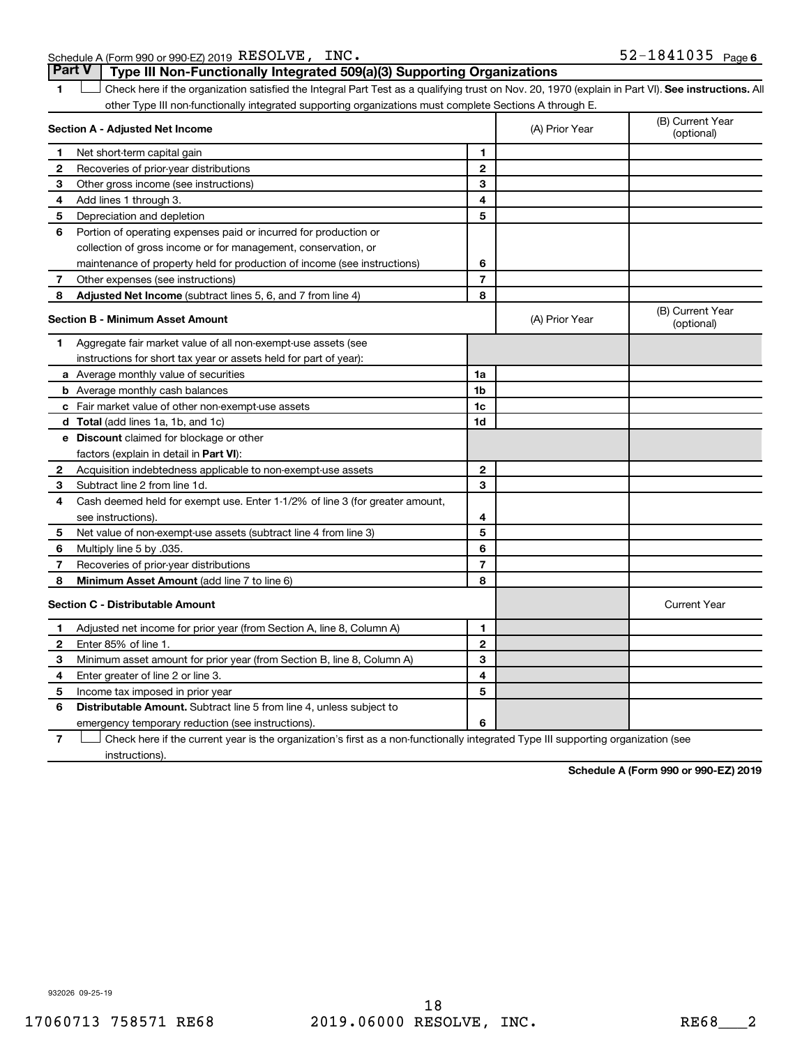Schedule A (Form 990 or 990-EZ) 2019  $RESOLVE$ ,  $INC$ .

1 **Letter See instructions.** All Check here if the organization satisfied the Integral Part Test as a qualifying trust on Nov. 20, 1970 (explain in Part VI). See instructions. All other Type III non-functionally integrated supporting organizations must complete Sections A through E. **Part V Type III Non-Functionally Integrated 509(a)(3) Supporting Organizations** 

|              | Section A - Adjusted Net Income                                              |                | (A) Prior Year | (B) Current Year<br>(optional) |
|--------------|------------------------------------------------------------------------------|----------------|----------------|--------------------------------|
| 1            | Net short-term capital gain                                                  | 1              |                |                                |
| $\mathbf{2}$ | Recoveries of prior-year distributions                                       | $\mathbf{2}$   |                |                                |
| З            | Other gross income (see instructions)                                        | 3              |                |                                |
| 4            | Add lines 1 through 3.                                                       | 4              |                |                                |
| 5            | Depreciation and depletion                                                   | 5              |                |                                |
| 6            | Portion of operating expenses paid or incurred for production or             |                |                |                                |
|              | collection of gross income or for management, conservation, or               |                |                |                                |
|              | maintenance of property held for production of income (see instructions)     | 6              |                |                                |
| 7            | Other expenses (see instructions)                                            | $\overline{7}$ |                |                                |
| 8            | Adjusted Net Income (subtract lines 5, 6, and 7 from line 4)                 | 8              |                |                                |
|              | <b>Section B - Minimum Asset Amount</b>                                      |                | (A) Prior Year | (B) Current Year<br>(optional) |
| 1            | Aggregate fair market value of all non-exempt-use assets (see                |                |                |                                |
|              | instructions for short tax year or assets held for part of year):            |                |                |                                |
|              | a Average monthly value of securities                                        | 1a             |                |                                |
|              | <b>b</b> Average monthly cash balances                                       | 1 <sub>b</sub> |                |                                |
|              | c Fair market value of other non-exempt-use assets                           | 1c             |                |                                |
|              | d Total (add lines 1a, 1b, and 1c)                                           | 1d             |                |                                |
|              | e Discount claimed for blockage or other                                     |                |                |                                |
|              | factors (explain in detail in <b>Part VI</b> ):                              |                |                |                                |
| 2            | Acquisition indebtedness applicable to non-exempt-use assets                 | $\mathbf{2}$   |                |                                |
| З            | Subtract line 2 from line 1d.                                                | 3              |                |                                |
| 4            | Cash deemed held for exempt use. Enter 1-1/2% of line 3 (for greater amount, |                |                |                                |
|              | see instructions).                                                           | 4              |                |                                |
| 5            | Net value of non-exempt-use assets (subtract line 4 from line 3)             | 5              |                |                                |
| 6            | Multiply line 5 by .035.                                                     | 6              |                |                                |
| 7            | Recoveries of prior-year distributions                                       | $\overline{7}$ |                |                                |
| 8            | <b>Minimum Asset Amount (add line 7 to line 6)</b>                           | 8              |                |                                |
|              | <b>Section C - Distributable Amount</b>                                      |                |                | <b>Current Year</b>            |
| 1            | Adjusted net income for prior year (from Section A, line 8, Column A)        | 1              |                |                                |
| $\mathbf{2}$ | Enter 85% of line 1.                                                         | $\mathbf{2}$   |                |                                |
| З            | Minimum asset amount for prior year (from Section B, line 8, Column A)       | 3              |                |                                |
| 4            | Enter greater of line 2 or line 3.                                           | 4              |                |                                |
| 5            | Income tax imposed in prior year                                             | 5              |                |                                |
| 6            | <b>Distributable Amount.</b> Subtract line 5 from line 4, unless subject to  |                |                |                                |
|              | emergency temporary reduction (see instructions).                            | 6              |                |                                |
|              |                                                                              |                |                |                                |

**7** Check here if the current year is the organization's first as a non-functionally integrated Type III supporting organization (see † instructions).

**Schedule A (Form 990 or 990-EZ) 2019**

932026 09-25-19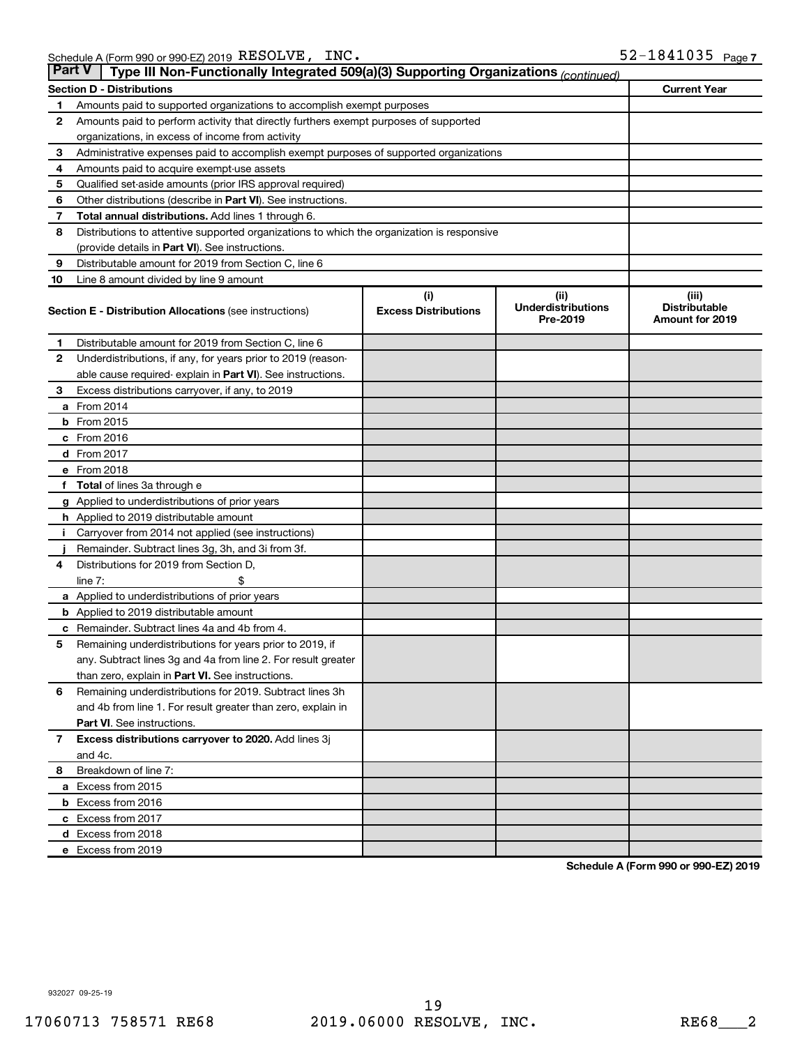| <b>Part V</b> | Type III Non-Functionally Integrated 509(a)(3) Supporting Organizations (continued)        |                             |                                       |                                                |
|---------------|--------------------------------------------------------------------------------------------|-----------------------------|---------------------------------------|------------------------------------------------|
|               | <b>Section D - Distributions</b>                                                           |                             |                                       | <b>Current Year</b>                            |
| 1             | Amounts paid to supported organizations to accomplish exempt purposes                      |                             |                                       |                                                |
| 2             | Amounts paid to perform activity that directly furthers exempt purposes of supported       |                             |                                       |                                                |
|               | organizations, in excess of income from activity                                           |                             |                                       |                                                |
| 3             | Administrative expenses paid to accomplish exempt purposes of supported organizations      |                             |                                       |                                                |
| 4             | Amounts paid to acquire exempt-use assets                                                  |                             |                                       |                                                |
| 5             | Qualified set-aside amounts (prior IRS approval required)                                  |                             |                                       |                                                |
| 6             | Other distributions (describe in Part VI). See instructions.                               |                             |                                       |                                                |
| 7             | Total annual distributions. Add lines 1 through 6.                                         |                             |                                       |                                                |
| 8             | Distributions to attentive supported organizations to which the organization is responsive |                             |                                       |                                                |
|               | (provide details in Part VI). See instructions.                                            |                             |                                       |                                                |
| 9             | Distributable amount for 2019 from Section C, line 6                                       |                             |                                       |                                                |
| 10            | Line 8 amount divided by line 9 amount                                                     |                             |                                       |                                                |
|               |                                                                                            | (i)                         | (ii)                                  | (iii)                                          |
|               | Section E - Distribution Allocations (see instructions)                                    | <b>Excess Distributions</b> | <b>Underdistributions</b><br>Pre-2019 | <b>Distributable</b><br><b>Amount for 2019</b> |
| 1             | Distributable amount for 2019 from Section C, line 6                                       |                             |                                       |                                                |
| 2             | Underdistributions, if any, for years prior to 2019 (reason-                               |                             |                                       |                                                |
|               | able cause required- explain in Part VI). See instructions.                                |                             |                                       |                                                |
| 3             | Excess distributions carryover, if any, to 2019                                            |                             |                                       |                                                |
|               | a From 2014                                                                                |                             |                                       |                                                |
|               | <b>b</b> From 2015                                                                         |                             |                                       |                                                |
|               | c From 2016                                                                                |                             |                                       |                                                |
|               | <b>d</b> From 2017                                                                         |                             |                                       |                                                |
|               | e From 2018                                                                                |                             |                                       |                                                |
| f             | <b>Total</b> of lines 3a through e                                                         |                             |                                       |                                                |
|               | <b>g</b> Applied to underdistributions of prior years                                      |                             |                                       |                                                |
|               | <b>h</b> Applied to 2019 distributable amount                                              |                             |                                       |                                                |
|               | Carryover from 2014 not applied (see instructions)                                         |                             |                                       |                                                |
|               | Remainder. Subtract lines 3g, 3h, and 3i from 3f.                                          |                             |                                       |                                                |
| 4             | Distributions for 2019 from Section D,                                                     |                             |                                       |                                                |
|               | line $7:$                                                                                  |                             |                                       |                                                |
|               | a Applied to underdistributions of prior years                                             |                             |                                       |                                                |
|               | <b>b</b> Applied to 2019 distributable amount                                              |                             |                                       |                                                |
| с             | Remainder. Subtract lines 4a and 4b from 4.                                                |                             |                                       |                                                |
| 5             | Remaining underdistributions for years prior to 2019, if                                   |                             |                                       |                                                |
|               | any. Subtract lines 3g and 4a from line 2. For result greater                              |                             |                                       |                                                |
|               | than zero, explain in Part VI. See instructions.                                           |                             |                                       |                                                |
| 6             | Remaining underdistributions for 2019. Subtract lines 3h                                   |                             |                                       |                                                |
|               | and 4b from line 1. For result greater than zero, explain in                               |                             |                                       |                                                |
|               | <b>Part VI.</b> See instructions.                                                          |                             |                                       |                                                |
| $\mathbf{7}$  | Excess distributions carryover to 2020. Add lines 3j                                       |                             |                                       |                                                |
|               | and 4c.                                                                                    |                             |                                       |                                                |
| 8             | Breakdown of line 7:                                                                       |                             |                                       |                                                |
|               | a Excess from 2015                                                                         |                             |                                       |                                                |
|               | <b>b</b> Excess from 2016                                                                  |                             |                                       |                                                |
|               | c Excess from 2017                                                                         |                             |                                       |                                                |
|               | d Excess from 2018                                                                         |                             |                                       |                                                |
|               | e Excess from 2019                                                                         |                             |                                       |                                                |

**Schedule A (Form 990 or 990-EZ) 2019**

932027 09-25-19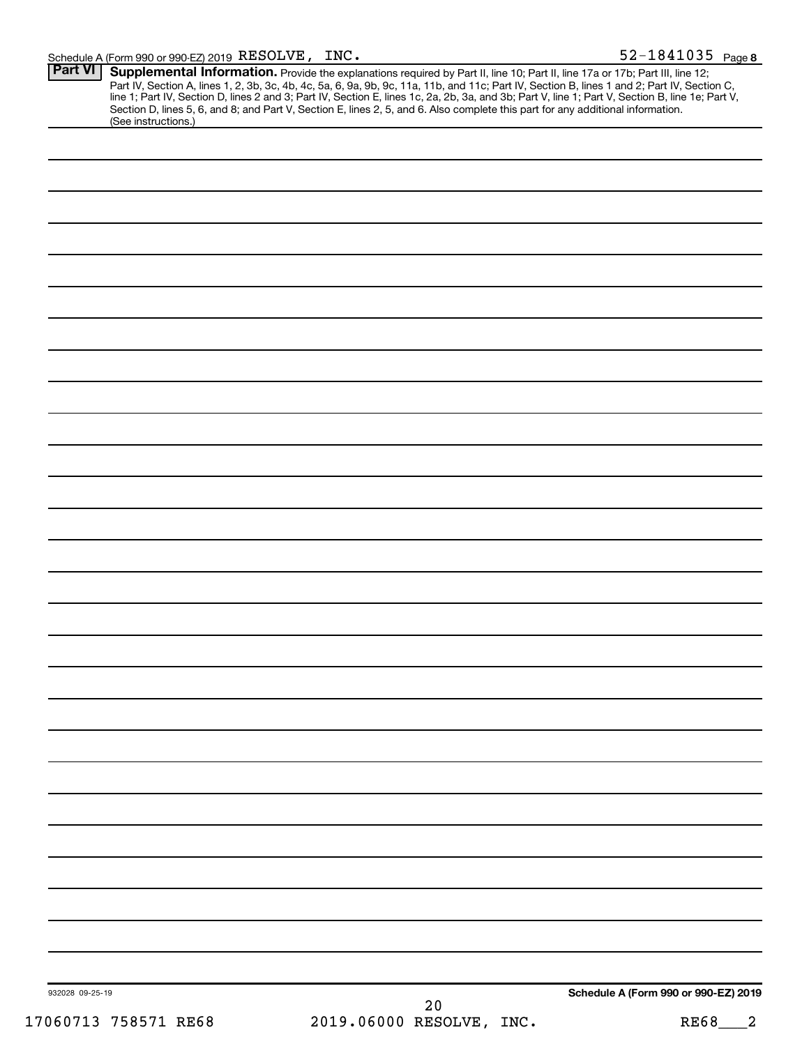| <b>Part VI</b><br><b>Supplemental Information.</b> Provide the explanations required by Part II, line 10; Part II, line 17a or 17b; Part III, line 12;<br>Part IV, Section A, lines 1, 2, 3b, 3c, 4b, 4c, 5a, 6, 9a, 9b, 9c, 11a, 11b, and 11c; Part IV,<br>Section D, lines 5, 6, and 8; and Part V, Section E, lines 2, 5, and 6. Also complete this part for any additional information.<br>(See instructions.) |                          |    |                                      |
|--------------------------------------------------------------------------------------------------------------------------------------------------------------------------------------------------------------------------------------------------------------------------------------------------------------------------------------------------------------------------------------------------------------------|--------------------------|----|--------------------------------------|
|                                                                                                                                                                                                                                                                                                                                                                                                                    |                          |    |                                      |
|                                                                                                                                                                                                                                                                                                                                                                                                                    |                          |    |                                      |
|                                                                                                                                                                                                                                                                                                                                                                                                                    |                          |    |                                      |
|                                                                                                                                                                                                                                                                                                                                                                                                                    |                          |    |                                      |
|                                                                                                                                                                                                                                                                                                                                                                                                                    |                          |    |                                      |
|                                                                                                                                                                                                                                                                                                                                                                                                                    |                          |    |                                      |
|                                                                                                                                                                                                                                                                                                                                                                                                                    |                          |    |                                      |
|                                                                                                                                                                                                                                                                                                                                                                                                                    |                          |    |                                      |
|                                                                                                                                                                                                                                                                                                                                                                                                                    |                          |    |                                      |
|                                                                                                                                                                                                                                                                                                                                                                                                                    |                          |    |                                      |
|                                                                                                                                                                                                                                                                                                                                                                                                                    |                          |    |                                      |
|                                                                                                                                                                                                                                                                                                                                                                                                                    |                          |    |                                      |
|                                                                                                                                                                                                                                                                                                                                                                                                                    |                          |    |                                      |
|                                                                                                                                                                                                                                                                                                                                                                                                                    |                          |    |                                      |
|                                                                                                                                                                                                                                                                                                                                                                                                                    |                          |    |                                      |
|                                                                                                                                                                                                                                                                                                                                                                                                                    |                          |    |                                      |
|                                                                                                                                                                                                                                                                                                                                                                                                                    |                          |    |                                      |
|                                                                                                                                                                                                                                                                                                                                                                                                                    |                          |    |                                      |
|                                                                                                                                                                                                                                                                                                                                                                                                                    |                          |    |                                      |
|                                                                                                                                                                                                                                                                                                                                                                                                                    |                          |    |                                      |
|                                                                                                                                                                                                                                                                                                                                                                                                                    |                          |    |                                      |
|                                                                                                                                                                                                                                                                                                                                                                                                                    |                          |    |                                      |
|                                                                                                                                                                                                                                                                                                                                                                                                                    |                          |    |                                      |
|                                                                                                                                                                                                                                                                                                                                                                                                                    |                          |    |                                      |
|                                                                                                                                                                                                                                                                                                                                                                                                                    |                          |    |                                      |
|                                                                                                                                                                                                                                                                                                                                                                                                                    |                          |    |                                      |
|                                                                                                                                                                                                                                                                                                                                                                                                                    |                          |    |                                      |
|                                                                                                                                                                                                                                                                                                                                                                                                                    |                          |    |                                      |
|                                                                                                                                                                                                                                                                                                                                                                                                                    |                          |    |                                      |
|                                                                                                                                                                                                                                                                                                                                                                                                                    |                          |    |                                      |
|                                                                                                                                                                                                                                                                                                                                                                                                                    |                          |    |                                      |
|                                                                                                                                                                                                                                                                                                                                                                                                                    |                          |    |                                      |
|                                                                                                                                                                                                                                                                                                                                                                                                                    |                          |    |                                      |
| 932028 09-25-19                                                                                                                                                                                                                                                                                                                                                                                                    |                          | 20 | Schedule A (Form 990 or 990-EZ) 2019 |
| 17060713 758571 RE68                                                                                                                                                                                                                                                                                                                                                                                               | 2019.06000 RESOLVE, INC. |    | RE68_                                |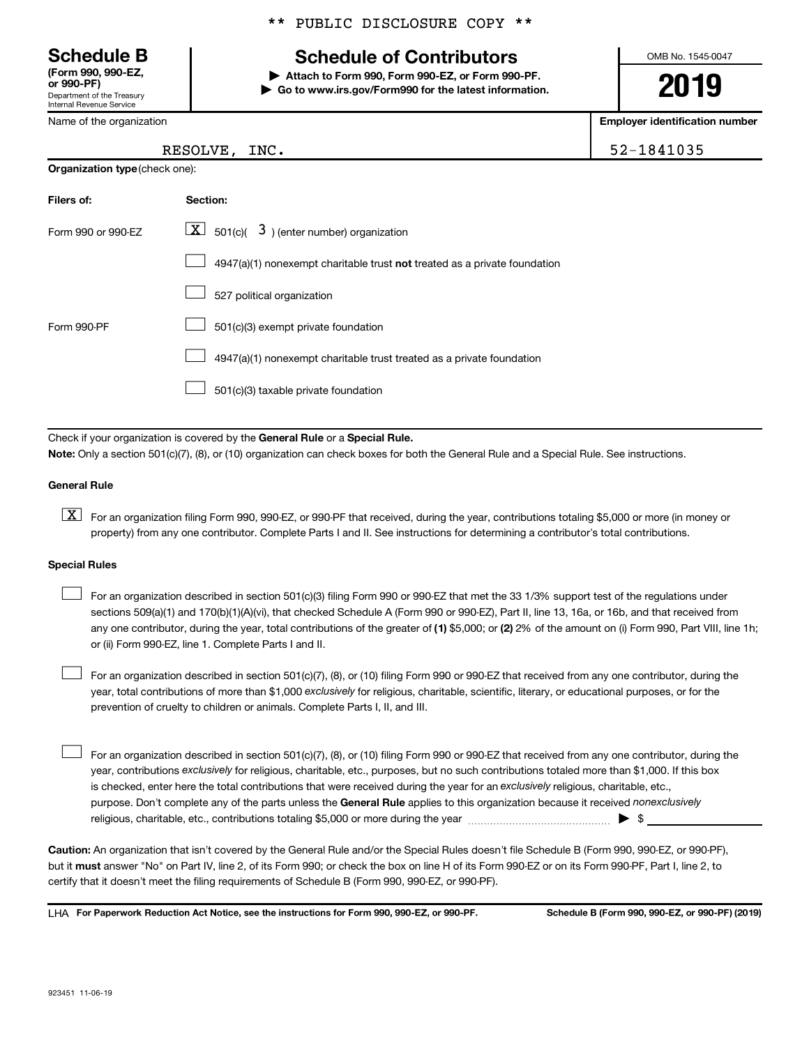Department of the Treasury Internal Revenue Service **(Form 990, 990-EZ,**

Name of the organization

**Organization type** (check one):

# **Schedule B Schedule of Contributors**

**or 990-PF) | Attach to Form 990, Form 990-EZ, or Form 990-PF. | Go to www.irs.gov/Form990 for the latest information.** OMB No. 1545-0047

**2019**

**Employer identification number**

|  |  | 2-1841035 |  |  |
|--|--|-----------|--|--|
|  |  |           |  |  |

| RESOLVE, | INC. | 52-1841035 |
|----------|------|------------|
|----------|------|------------|

| Filers of:         | Section:                                                                           |
|--------------------|------------------------------------------------------------------------------------|
| Form 990 or 990-FZ | $\boxed{\textbf{X}}$ 501(c)( 3) (enter number) organization                        |
|                    | $4947(a)(1)$ nonexempt charitable trust <b>not</b> treated as a private foundation |
|                    | 527 political organization                                                         |
| Form 990-PF        | 501(c)(3) exempt private foundation                                                |
|                    | 4947(a)(1) nonexempt charitable trust treated as a private foundation              |
|                    | 501(c)(3) taxable private foundation                                               |

Check if your organization is covered by the General Rule or a Special Rule. **Note:**  Only a section 501(c)(7), (8), or (10) organization can check boxes for both the General Rule and a Special Rule. See instructions.

### **General Rule**

**K** For an organization filing Form 990, 990-EZ, or 990-PF that received, during the year, contributions totaling \$5,000 or more (in money or property) from any one contributor. Complete Parts I and II. See instructions for determining a contributor's total contributions.

### **Special Rules**

 $\Box$ 

any one contributor, during the year, total contributions of the greater of (1) \$5,000; or (2) 2% of the amount on (i) Form 990, Part VIII, line 1h; For an organization described in section 501(c)(3) filing Form 990 or 990-EZ that met the 33 1/3% support test of the regulations under sections 509(a)(1) and 170(b)(1)(A)(vi), that checked Schedule A (Form 990 or 990-EZ), Part II, line 13, 16a, or 16b, and that received from or (ii) Form 990-EZ, line 1. Complete Parts I and II.  $\Box$ 

year, total contributions of more than \$1,000 *exclusively* for religious, charitable, scientific, literary, or educational purposes, or for the For an organization described in section 501(c)(7), (8), or (10) filing Form 990 or 990-EZ that received from any one contributor, during the prevention of cruelty to children or animals. Complete Parts I, II, and III.  $\Box$ 

purpose. Don't complete any of the parts unless the General Rule applies to this organization because it received nonexclusively year, contributions exclusively for religious, charitable, etc., purposes, but no such contributions totaled more than \$1,000. If this box is checked, enter here the total contributions that were received during the year for an exclusively religious, charitable, etc., For an organization described in section 501(c)(7), (8), or (10) filing Form 990 or 990-EZ that received from any one contributor, during the religious, charitable, etc., contributions totaling \$5,000 or more during the year  $\ldots$  $\ldots$  $\ldots$  $\ldots$  $\ldots$  $\ldots$ 

**Caution:**  An organization that isn't covered by the General Rule and/or the Special Rules doesn't file Schedule B (Form 990, 990-EZ, or 990-PF),  **must** but it answer "No" on Part IV, line 2, of its Form 990; or check the box on line H of its Form 990-EZ or on its Form 990-PF, Part I, line 2, to certify that it doesn't meet the filing requirements of Schedule B (Form 990, 990-EZ, or 990-PF).

**For Paperwork Reduction Act Notice, see the instructions for Form 990, 990-EZ, or 990-PF. Schedule B (Form 990, 990-EZ, or 990-PF) (2019)** LHA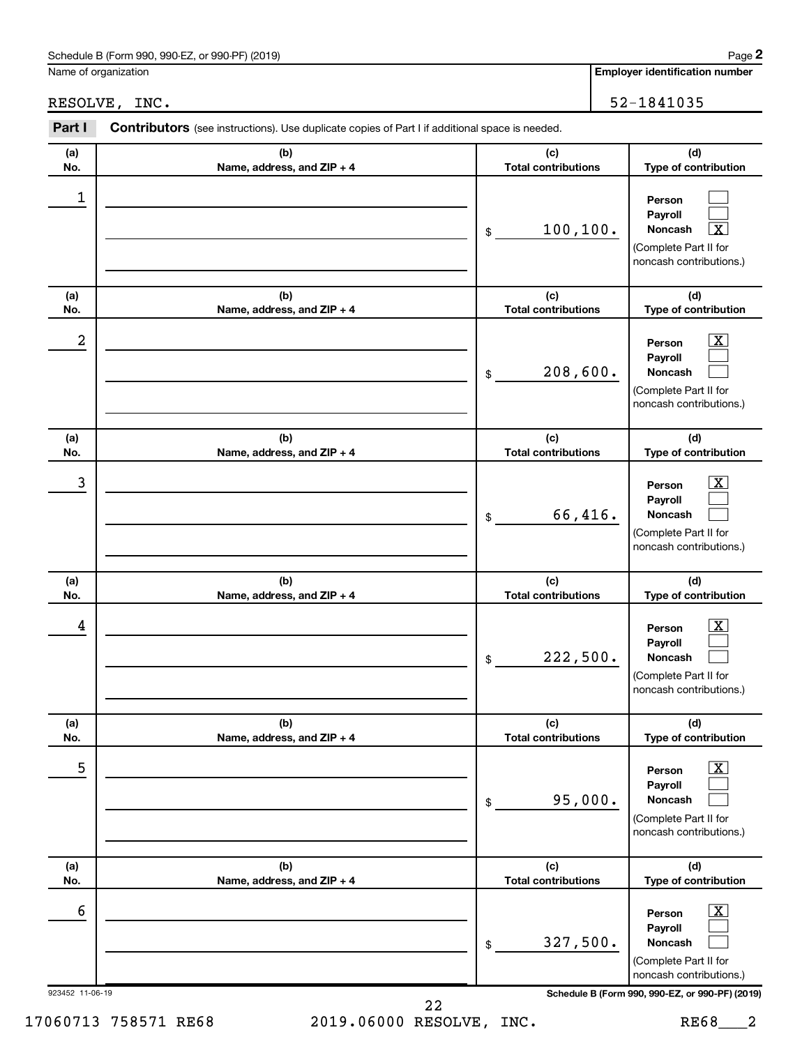### Schedule B (Form 990, 990-EZ, or 990-PF) (2019)

Name of organization

### RESOLVE, INC. 52-1841035

| Part I               | Contributors (see instructions). Use duplicate copies of Part I if additional space is needed. |                                                                                                                                                             |
|----------------------|------------------------------------------------------------------------------------------------|-------------------------------------------------------------------------------------------------------------------------------------------------------------|
| (a)<br>No.           | (b)<br>Name, address, and ZIP + 4                                                              | (d)<br>(c)<br><b>Total contributions</b><br>Type of contribution                                                                                            |
| 1                    |                                                                                                | Person<br>Payroll<br>100, 100.<br>$\overline{\textbf{x}}$<br>Noncash<br>\$<br>(Complete Part II for<br>noncash contributions.)                              |
| (a)<br>No.           | (b)<br>Name, address, and ZIP + 4                                                              | (d)<br>(c)<br><b>Total contributions</b><br>Type of contribution                                                                                            |
| 2                    |                                                                                                | $\overline{\text{X}}$<br>Person<br>Payroll<br>208,600.<br>Noncash<br>\$<br>(Complete Part II for<br>noncash contributions.)                                 |
| (a)<br>No.           | (b)<br>Name, address, and ZIP + 4                                                              | (c)<br>(d)<br><b>Total contributions</b><br>Type of contribution                                                                                            |
| 3                    |                                                                                                | $\overline{\mathbf{X}}$<br>Person<br>Payroll<br>66,416.<br>Noncash<br>\$<br>(Complete Part II for<br>noncash contributions.)                                |
| (a)<br>No.           | (b)<br>Name, address, and ZIP + 4                                                              | (c)<br>(d)<br><b>Total contributions</b><br>Type of contribution                                                                                            |
|                      |                                                                                                |                                                                                                                                                             |
| 4                    |                                                                                                | <u>x</u><br>Person<br>Payroll<br>222,500.<br>Noncash<br>\$<br>(Complete Part II for<br>noncash contributions.)                                              |
| (a)<br>No.           | (b)<br>Name, address, and ZIP + 4                                                              | (d)<br>(c)<br><b>Total contributions</b>                                                                                                                    |
| 5                    |                                                                                                | Type of contribution<br>x<br>Person<br>Payroll<br>95,000.<br>Noncash<br>\$<br>(Complete Part II for<br>noncash contributions.)                              |
| (a)<br>No.           | (b)<br>Name, address, and ZIP + 4                                                              | (c)<br>(d)<br><b>Total contributions</b><br>Type of contribution                                                                                            |
| 6<br>923452 11-06-19 |                                                                                                | X.<br>Person<br>Payroll<br>327,500.<br>Noncash<br>\$<br>(Complete Part II for<br>noncash contributions.)<br>Schedule B (Form 990, 990-EZ, or 990-PF) (2019) |

17060713 758571 RE68 2019.06000 RESOLVE, INC. RE68 RE68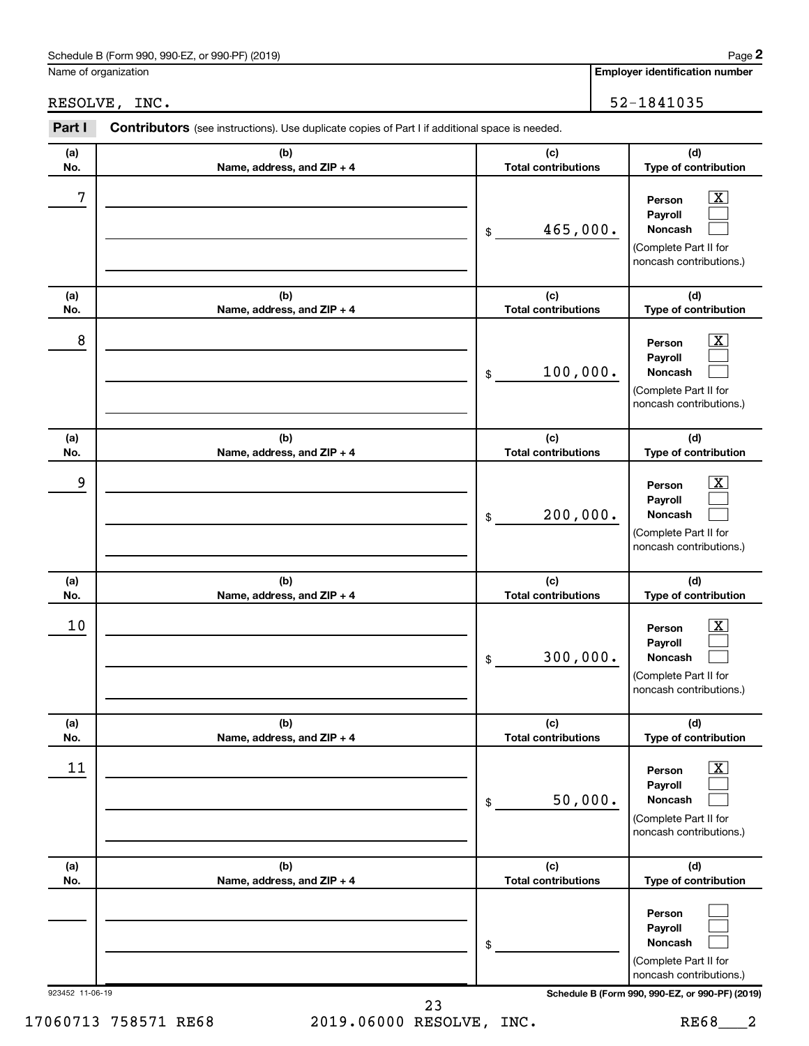### Schedule B (Form 990, 990-EZ, or 990-PF) (2019)

Name of organization

**(d)**

 $\boxed{\text{X}}$  $\Box$  $\Box$ 

**(d)**

### RESOLVE, INC. 52-1841035

**(a) No. (b) Name, address, and ZIP + 4 (c) Total contributions Type of contribution Person Payroll Noncash (a) No. (b) Name, address, and ZIP + 4 (c) Total contributions Type of contribution Person Part I** Contributors (see instructions). Use duplicate copies of Part I if additional space is needed. \$ (Complete Part II for noncash contributions.) \$  $7$   $|$  Person  $\overline{\text{X}}$ 465,000.  $8$  Person  $\overline{\text{X}}$ 100,000.

| 8               |                                   | 100,000.<br>\$                    | $\overline{\mathbf{X}}$<br>Person<br>Payroll<br><b>Noncash</b><br>(Complete Part II for<br>noncash contributions.)                         |
|-----------------|-----------------------------------|-----------------------------------|--------------------------------------------------------------------------------------------------------------------------------------------|
| (a)<br>No.      | (b)<br>Name, address, and ZIP + 4 | (c)<br><b>Total contributions</b> | (d)<br>Type of contribution                                                                                                                |
| 9               |                                   | 200,000.<br>\$                    | $\overline{\mathbf{x}}$<br>Person<br>Payroll<br>Noncash<br>(Complete Part II for<br>noncash contributions.)                                |
| (a)<br>No.      | (b)<br>Name, address, and ZIP + 4 | (c)<br><b>Total contributions</b> | (d)<br>Type of contribution                                                                                                                |
| 10              |                                   | 300,000.<br>\$                    | x<br>Person<br>Payroll<br><b>Noncash</b><br>(Complete Part II for<br>noncash contributions.)                                               |
| (a)<br>No.      | (b)<br>Name, address, and ZIP + 4 | (c)<br><b>Total contributions</b> | (d)<br>Type of contribution                                                                                                                |
| 11              |                                   | 50,000.<br>$^{\circ}$             | $\boxed{\textbf{X}}$<br>Person<br>Payroll<br>Noncash<br>(Complete Part II for<br>noncash contributions.)                                   |
| (a)<br>No.      | (b)<br>Name, address, and ZIP + 4 | (c)<br><b>Total contributions</b> | (d)<br>Type of contribution                                                                                                                |
| 923452 11-06-19 |                                   | \$                                | Person<br>Payroll<br><b>Noncash</b><br>(Complete Part II for<br>noncash contributions.)<br>Schedule B (Form 990, 990-EZ, or 990-PF) (2019) |
|                 | 23                                |                                   |                                                                                                                                            |

17060713 758571 RE68 2019.06000 RESOLVE, INC. RE68 2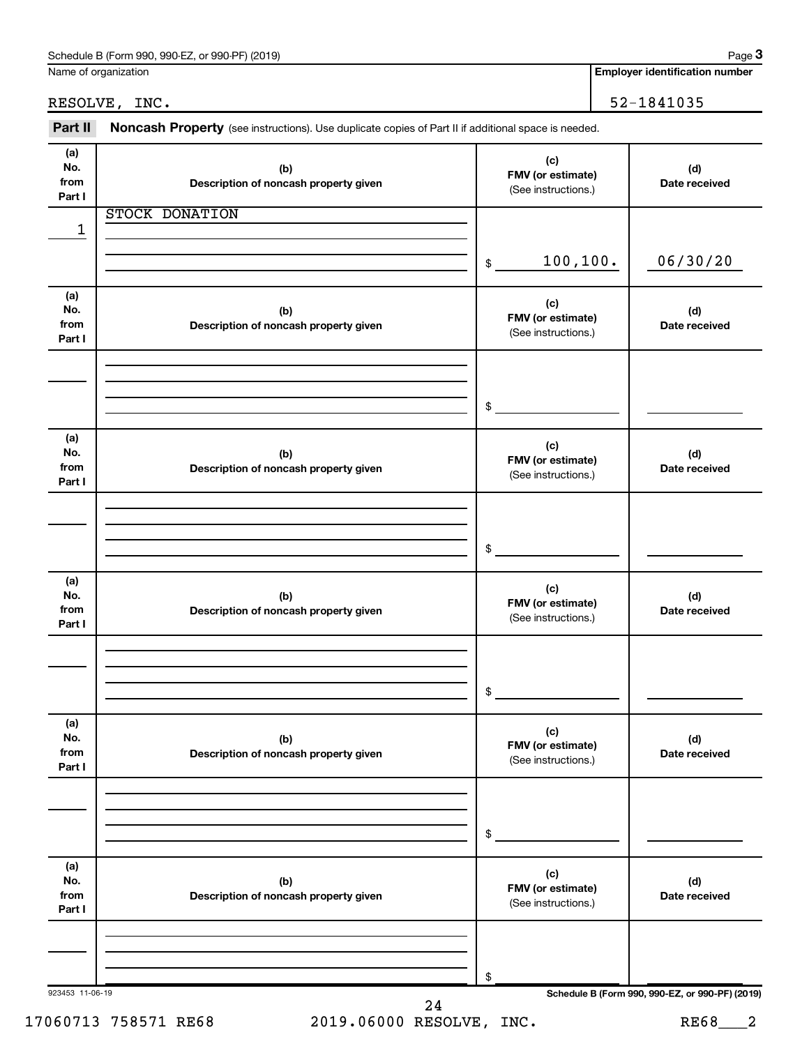|                              | Name of organization                                                                                |                                                 | <b>Employer identification number</b>           |
|------------------------------|-----------------------------------------------------------------------------------------------------|-------------------------------------------------|-------------------------------------------------|
|                              | RESOLVE, INC.                                                                                       |                                                 | 52-1841035                                      |
| Part II                      | Noncash Property (see instructions). Use duplicate copies of Part II if additional space is needed. |                                                 |                                                 |
| (a)<br>No.<br>from<br>Part I | (b)<br>Description of noncash property given                                                        | (c)<br>FMV (or estimate)<br>(See instructions.) | (d)<br>Date received                            |
| 1                            | <b>STOCK DONATION</b>                                                                               |                                                 |                                                 |
|                              |                                                                                                     | 100, 100.<br>\$                                 | 06/30/20                                        |
| (a)<br>No.<br>from<br>Part I | (b)<br>Description of noncash property given                                                        | (c)<br>FMV (or estimate)<br>(See instructions.) | (d)<br>Date received                            |
|                              |                                                                                                     | \$                                              |                                                 |
| (a)<br>No.<br>from<br>Part I | (b)<br>Description of noncash property given                                                        | (c)<br>FMV (or estimate)<br>(See instructions.) | (d)<br>Date received                            |
|                              |                                                                                                     | \$                                              |                                                 |
| (a)<br>No.<br>from<br>Part I | (b)<br>Description of noncash property given                                                        | (c)<br>FMV (or estimate)<br>(See instructions.) | (d)<br>Date received                            |
|                              |                                                                                                     | \$                                              |                                                 |
| (a)<br>No.<br>from<br>Part I | (b)<br>Description of noncash property given                                                        | (c)<br>FMV (or estimate)<br>(See instructions.) | (d)<br>Date received                            |
|                              |                                                                                                     | \$                                              |                                                 |
| (a)<br>No.<br>from<br>Part I | (b)<br>Description of noncash property given                                                        | (c)<br>FMV (or estimate)<br>(See instructions.) | (d)<br>Date received                            |
|                              |                                                                                                     | \$                                              |                                                 |
| 923453 11-06-19              | 24                                                                                                  |                                                 | Schedule B (Form 990, 990-EZ, or 990-PF) (2019) |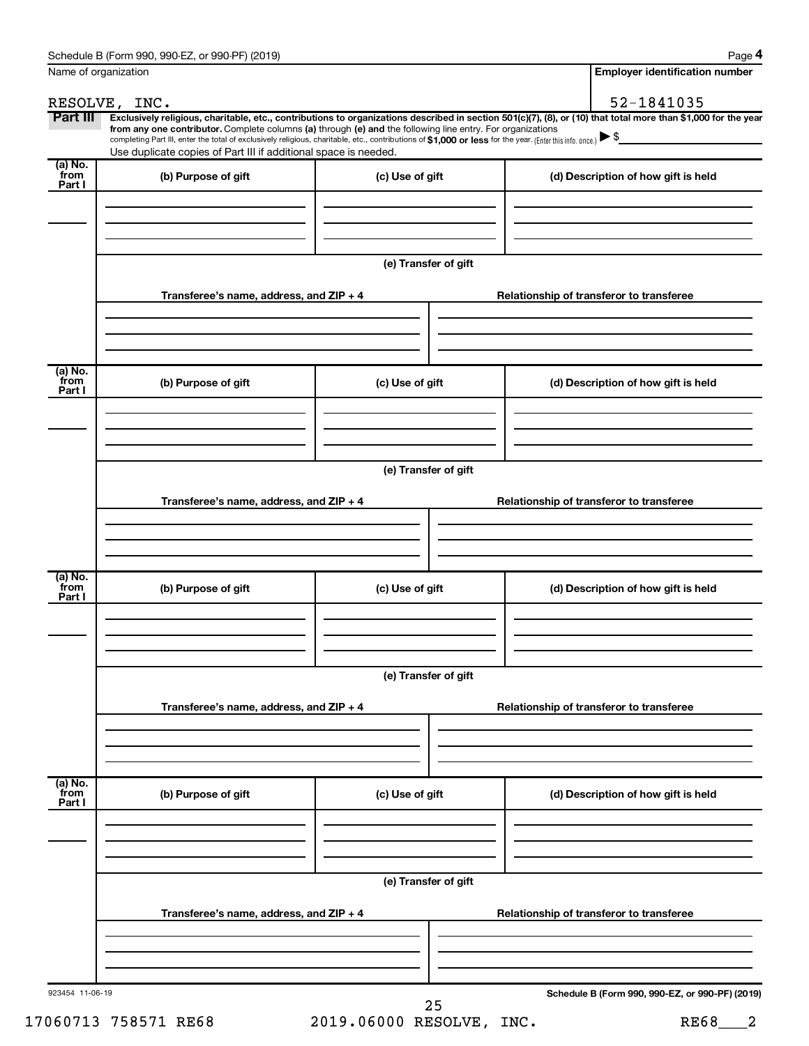| Part III        | RESOLVE, INC.<br>Exclusively religious, charitable, etc., contributions to organizations described in section 501(c)(7), (8), or (10) that total more than \$1,000 for the year                                             |                      | 52-1841035                               |
|-----------------|-----------------------------------------------------------------------------------------------------------------------------------------------------------------------------------------------------------------------------|----------------------|------------------------------------------|
|                 | from any one contributor. Complete columns (a) through (e) and the following line entry. For organizations                                                                                                                  |                      |                                          |
|                 | completing Part III, enter the total of exclusively religious, charitable, etc., contributions of \$1,000 or less for the year. (Enter this info. once.)<br>Use duplicate copies of Part III if additional space is needed. |                      |                                          |
| (a) No.         |                                                                                                                                                                                                                             |                      |                                          |
| from<br>Part I  | (b) Purpose of gift                                                                                                                                                                                                         | (c) Use of gift      | (d) Description of how gift is held      |
|                 |                                                                                                                                                                                                                             |                      |                                          |
|                 |                                                                                                                                                                                                                             |                      |                                          |
|                 |                                                                                                                                                                                                                             |                      |                                          |
|                 |                                                                                                                                                                                                                             |                      |                                          |
|                 |                                                                                                                                                                                                                             | (e) Transfer of gift |                                          |
|                 |                                                                                                                                                                                                                             |                      |                                          |
|                 | Transferee's name, address, and ZIP + 4                                                                                                                                                                                     |                      | Relationship of transferor to transferee |
|                 |                                                                                                                                                                                                                             |                      |                                          |
|                 |                                                                                                                                                                                                                             |                      |                                          |
|                 |                                                                                                                                                                                                                             |                      |                                          |
| (a) No.         |                                                                                                                                                                                                                             |                      |                                          |
| from<br>Part I  | (b) Purpose of gift                                                                                                                                                                                                         | (c) Use of gift      | (d) Description of how gift is held      |
|                 |                                                                                                                                                                                                                             |                      |                                          |
|                 |                                                                                                                                                                                                                             |                      |                                          |
|                 |                                                                                                                                                                                                                             |                      |                                          |
|                 |                                                                                                                                                                                                                             |                      |                                          |
|                 |                                                                                                                                                                                                                             | (e) Transfer of gift |                                          |
|                 |                                                                                                                                                                                                                             |                      |                                          |
|                 | Transferee's name, address, and ZIP + 4                                                                                                                                                                                     |                      | Relationship of transferor to transferee |
|                 |                                                                                                                                                                                                                             |                      |                                          |
|                 |                                                                                                                                                                                                                             |                      |                                          |
|                 |                                                                                                                                                                                                                             |                      |                                          |
| (a) No.<br>from | (b) Purpose of gift                                                                                                                                                                                                         | (c) Use of gift      | (d) Description of how gift is held      |
| Part I          |                                                                                                                                                                                                                             |                      |                                          |
|                 |                                                                                                                                                                                                                             |                      |                                          |
|                 |                                                                                                                                                                                                                             |                      |                                          |
|                 |                                                                                                                                                                                                                             |                      |                                          |
|                 |                                                                                                                                                                                                                             | (e) Transfer of gift |                                          |
|                 |                                                                                                                                                                                                                             |                      |                                          |
|                 | Transferee's name, address, and ZIP + 4                                                                                                                                                                                     |                      | Relationship of transferor to transferee |
|                 |                                                                                                                                                                                                                             |                      |                                          |
|                 |                                                                                                                                                                                                                             |                      |                                          |
|                 |                                                                                                                                                                                                                             |                      |                                          |
| (a) No.<br>from |                                                                                                                                                                                                                             |                      |                                          |
| Part I          | (b) Purpose of gift                                                                                                                                                                                                         | (c) Use of gift      | (d) Description of how gift is held      |
|                 |                                                                                                                                                                                                                             |                      |                                          |
|                 |                                                                                                                                                                                                                             |                      |                                          |
|                 |                                                                                                                                                                                                                             |                      |                                          |
|                 |                                                                                                                                                                                                                             |                      |                                          |
|                 |                                                                                                                                                                                                                             | (e) Transfer of gift |                                          |
|                 |                                                                                                                                                                                                                             |                      |                                          |
|                 | Transferee's name, address, and ZIP + 4                                                                                                                                                                                     |                      | Relationship of transferor to transferee |
|                 |                                                                                                                                                                                                                             |                      |                                          |
|                 |                                                                                                                                                                                                                             |                      |                                          |
|                 |                                                                                                                                                                                                                             |                      |                                          |
|                 |                                                                                                                                                                                                                             |                      |                                          |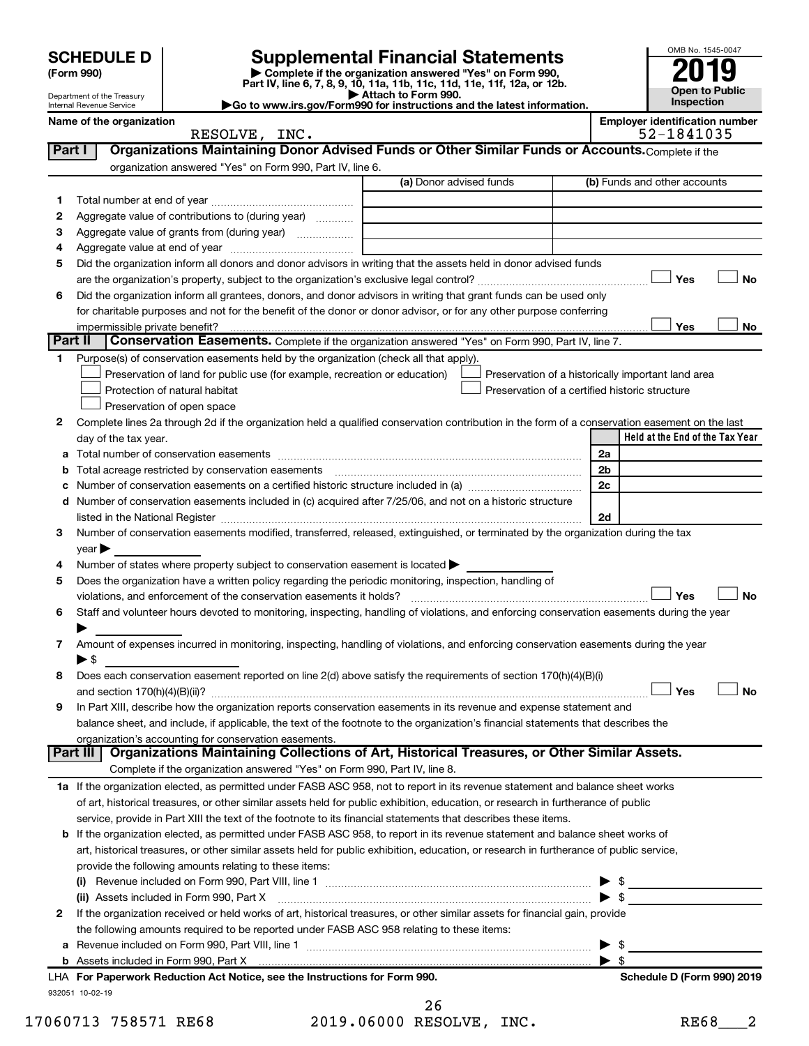# **SCHEDULE D Supplemental Financial Statements**<br> **Form 990 2019**<br> **Part IV** line 6.7.8.9.10, 11a, 11b, 11d, 11d, 11d, 11d, 11d, 12a, 0r, 12b

**(Form 990) | Complete if the organization answered "Yes" on Form 990, Part IV, line 6, 7, 8, 9, 10, 11a, 11b, 11c, 11d, 11e, 11f, 12a, or 12b.**

**| Attach to Form 990. |Go to www.irs.gov/Form990 for instructions and the latest information.**



Department of the Treasury Internal Revenue Service

| Organizations Maintaining Donor Advised Funds or Other Similar Funds or Accounts. Complete if the<br>Part I<br>organization answered "Yes" on Form 990, Part IV, line 6.<br>(a) Donor advised funds<br>(b) Funds and other accounts<br>1<br>Aggregate value of contributions to (during year)<br>2<br>Aggregate value of grants from (during year)<br>З<br>4<br>Did the organization inform all donors and donor advisors in writing that the assets held in donor advised funds<br>5<br>Yes<br>Did the organization inform all grantees, donors, and donor advisors in writing that grant funds can be used only<br>6<br>for charitable purposes and not for the benefit of the donor or donor advisor, or for any other purpose conferring<br>Yes<br>impermissible private benefit?<br>Part II<br>Conservation Easements. Complete if the organization answered "Yes" on Form 990, Part IV, line 7.<br>Purpose(s) of conservation easements held by the organization (check all that apply).<br>1.<br>Preservation of land for public use (for example, recreation or education)<br>Preservation of a historically important land area<br>Protection of natural habitat<br>Preservation of a certified historic structure<br>Preservation of open space<br>Complete lines 2a through 2d if the organization held a qualified conservation contribution in the form of a conservation easement on the last<br>2<br>Held at the End of the Tax Year<br>day of the tax year.<br>2a<br>а<br>2 <sub>b</sub><br>b<br>2c<br>с<br>d Number of conservation easements included in (c) acquired after 7/25/06, and not on a historic structure<br>2d<br>Number of conservation easements modified, transferred, released, extinguished, or terminated by the organization during the tax<br>3<br>year<br>Number of states where property subject to conservation easement is located ><br>4<br>Does the organization have a written policy regarding the periodic monitoring, inspection, handling of<br>5<br>Yes<br><b>No</b><br>violations, and enforcement of the conservation easements it holds?<br>Staff and volunteer hours devoted to monitoring, inspecting, handling of violations, and enforcing conservation easements during the year<br>6<br>Amount of expenses incurred in monitoring, inspecting, handling of violations, and enforcing conservation easements during the year<br>7<br>$\blacktriangleright$ \$<br>Does each conservation easement reported on line 2(d) above satisfy the requirements of section 170(h)(4)(B)(i)<br>8<br>Yes<br>In Part XIII, describe how the organization reports conservation easements in its revenue and expense statement and<br>balance sheet, and include, if applicable, the text of the footnote to the organization's financial statements that describes the<br>organization's accounting for conservation easements.<br>Part III   Organizations Maintaining Collections of Art, Historical Treasures, or Other Similar Assets.<br>Complete if the organization answered "Yes" on Form 990, Part IV, line 8.<br>1a If the organization elected, as permitted under FASB ASC 958, not to report in its revenue statement and balance sheet works<br>of art, historical treasures, or other similar assets held for public exhibition, education, or research in furtherance of public<br>service, provide in Part XIII the text of the footnote to its financial statements that describes these items.<br><b>b</b> If the organization elected, as permitted under FASB ASC 958, to report in its revenue statement and balance sheet works of<br>art, historical treasures, or other similar assets held for public exhibition, education, or research in furtherance of public service,<br>provide the following amounts relating to these items:<br>(i)<br>$\blacktriangleright$ \$<br>(ii) Assets included in Form 990, Part X<br>If the organization received or held works of art, historical treasures, or other similar assets for financial gain, provide<br>2<br>the following amounts required to be reported under FASB ASC 958 relating to these items:<br>\$<br>-\$<br>Schedule D (Form 990) 2019 | Name of the organization |    | <b>Employer identification number</b> |
|------------------------------------------------------------------------------------------------------------------------------------------------------------------------------------------------------------------------------------------------------------------------------------------------------------------------------------------------------------------------------------------------------------------------------------------------------------------------------------------------------------------------------------------------------------------------------------------------------------------------------------------------------------------------------------------------------------------------------------------------------------------------------------------------------------------------------------------------------------------------------------------------------------------------------------------------------------------------------------------------------------------------------------------------------------------------------------------------------------------------------------------------------------------------------------------------------------------------------------------------------------------------------------------------------------------------------------------------------------------------------------------------------------------------------------------------------------------------------------------------------------------------------------------------------------------------------------------------------------------------------------------------------------------------------------------------------------------------------------------------------------------------------------------------------------------------------------------------------------------------------------------------------------------------------------------------------------------------------------------------------------------------------------------------------------------------------------------------------------------------------------------------------------------------------------------------------------------------------------------------------------------------------------------------------------------------------------------------------------------------------------------------------------------------------------------------------------------------------------------------------------------------------------------------------------------------------------------------------------------------------------------------------------------------------------------------------------------------------------------------------------------------------------------------------------------------------------------------------------------------------------------------------------------------------------------------------------------------------------------------------------------------------------------------------------------------------------------------------------------------------------------------------------------------------------------------------------------------------------------------------------------------------------------------------------------------------------------------------------------------------------------------------------------------------------------------------------------------------------------------------------------------------------------------------------------------------------------------------------------------------------------------------------------------------------------------------------------------------------------------------------------------------------------------------------------------------------------------------------------------------------------------------------------------------------------------------------------------------------------------------------------------------------------------------------------------------------------------------------------------------------------------------------------------|--------------------------|----|---------------------------------------|
|                                                                                                                                                                                                                                                                                                                                                                                                                                                                                                                                                                                                                                                                                                                                                                                                                                                                                                                                                                                                                                                                                                                                                                                                                                                                                                                                                                                                                                                                                                                                                                                                                                                                                                                                                                                                                                                                                                                                                                                                                                                                                                                                                                                                                                                                                                                                                                                                                                                                                                                                                                                                                                                                                                                                                                                                                                                                                                                                                                                                                                                                                                                                                                                                                                                                                                                                                                                                                                                                                                                                                                                                                                                                                                                                                                                                                                                                                                                                                                                                                                                                                                                                                                        | RESOLVE, INC.            |    | 52-1841035                            |
|                                                                                                                                                                                                                                                                                                                                                                                                                                                                                                                                                                                                                                                                                                                                                                                                                                                                                                                                                                                                                                                                                                                                                                                                                                                                                                                                                                                                                                                                                                                                                                                                                                                                                                                                                                                                                                                                                                                                                                                                                                                                                                                                                                                                                                                                                                                                                                                                                                                                                                                                                                                                                                                                                                                                                                                                                                                                                                                                                                                                                                                                                                                                                                                                                                                                                                                                                                                                                                                                                                                                                                                                                                                                                                                                                                                                                                                                                                                                                                                                                                                                                                                                                                        |                          |    |                                       |
| LHA For Paperwork Reduction Act Notice, see the Instructions for Form 990.<br>932051 10-02-19                                                                                                                                                                                                                                                                                                                                                                                                                                                                                                                                                                                                                                                                                                                                                                                                                                                                                                                                                                                                                                                                                                                                                                                                                                                                                                                                                                                                                                                                                                                                                                                                                                                                                                                                                                                                                                                                                                                                                                                                                                                                                                                                                                                                                                                                                                                                                                                                                                                                                                                                                                                                                                                                                                                                                                                                                                                                                                                                                                                                                                                                                                                                                                                                                                                                                                                                                                                                                                                                                                                                                                                                                                                                                                                                                                                                                                                                                                                                                                                                                                                                          |                          |    |                                       |
|                                                                                                                                                                                                                                                                                                                                                                                                                                                                                                                                                                                                                                                                                                                                                                                                                                                                                                                                                                                                                                                                                                                                                                                                                                                                                                                                                                                                                                                                                                                                                                                                                                                                                                                                                                                                                                                                                                                                                                                                                                                                                                                                                                                                                                                                                                                                                                                                                                                                                                                                                                                                                                                                                                                                                                                                                                                                                                                                                                                                                                                                                                                                                                                                                                                                                                                                                                                                                                                                                                                                                                                                                                                                                                                                                                                                                                                                                                                                                                                                                                                                                                                                                                        |                          |    |                                       |
|                                                                                                                                                                                                                                                                                                                                                                                                                                                                                                                                                                                                                                                                                                                                                                                                                                                                                                                                                                                                                                                                                                                                                                                                                                                                                                                                                                                                                                                                                                                                                                                                                                                                                                                                                                                                                                                                                                                                                                                                                                                                                                                                                                                                                                                                                                                                                                                                                                                                                                                                                                                                                                                                                                                                                                                                                                                                                                                                                                                                                                                                                                                                                                                                                                                                                                                                                                                                                                                                                                                                                                                                                                                                                                                                                                                                                                                                                                                                                                                                                                                                                                                                                                        |                          |    |                                       |
|                                                                                                                                                                                                                                                                                                                                                                                                                                                                                                                                                                                                                                                                                                                                                                                                                                                                                                                                                                                                                                                                                                                                                                                                                                                                                                                                                                                                                                                                                                                                                                                                                                                                                                                                                                                                                                                                                                                                                                                                                                                                                                                                                                                                                                                                                                                                                                                                                                                                                                                                                                                                                                                                                                                                                                                                                                                                                                                                                                                                                                                                                                                                                                                                                                                                                                                                                                                                                                                                                                                                                                                                                                                                                                                                                                                                                                                                                                                                                                                                                                                                                                                                                                        |                          |    |                                       |
|                                                                                                                                                                                                                                                                                                                                                                                                                                                                                                                                                                                                                                                                                                                                                                                                                                                                                                                                                                                                                                                                                                                                                                                                                                                                                                                                                                                                                                                                                                                                                                                                                                                                                                                                                                                                                                                                                                                                                                                                                                                                                                                                                                                                                                                                                                                                                                                                                                                                                                                                                                                                                                                                                                                                                                                                                                                                                                                                                                                                                                                                                                                                                                                                                                                                                                                                                                                                                                                                                                                                                                                                                                                                                                                                                                                                                                                                                                                                                                                                                                                                                                                                                                        |                          |    |                                       |
|                                                                                                                                                                                                                                                                                                                                                                                                                                                                                                                                                                                                                                                                                                                                                                                                                                                                                                                                                                                                                                                                                                                                                                                                                                                                                                                                                                                                                                                                                                                                                                                                                                                                                                                                                                                                                                                                                                                                                                                                                                                                                                                                                                                                                                                                                                                                                                                                                                                                                                                                                                                                                                                                                                                                                                                                                                                                                                                                                                                                                                                                                                                                                                                                                                                                                                                                                                                                                                                                                                                                                                                                                                                                                                                                                                                                                                                                                                                                                                                                                                                                                                                                                                        |                          |    |                                       |
|                                                                                                                                                                                                                                                                                                                                                                                                                                                                                                                                                                                                                                                                                                                                                                                                                                                                                                                                                                                                                                                                                                                                                                                                                                                                                                                                                                                                                                                                                                                                                                                                                                                                                                                                                                                                                                                                                                                                                                                                                                                                                                                                                                                                                                                                                                                                                                                                                                                                                                                                                                                                                                                                                                                                                                                                                                                                                                                                                                                                                                                                                                                                                                                                                                                                                                                                                                                                                                                                                                                                                                                                                                                                                                                                                                                                                                                                                                                                                                                                                                                                                                                                                                        |                          |    |                                       |
|                                                                                                                                                                                                                                                                                                                                                                                                                                                                                                                                                                                                                                                                                                                                                                                                                                                                                                                                                                                                                                                                                                                                                                                                                                                                                                                                                                                                                                                                                                                                                                                                                                                                                                                                                                                                                                                                                                                                                                                                                                                                                                                                                                                                                                                                                                                                                                                                                                                                                                                                                                                                                                                                                                                                                                                                                                                                                                                                                                                                                                                                                                                                                                                                                                                                                                                                                                                                                                                                                                                                                                                                                                                                                                                                                                                                                                                                                                                                                                                                                                                                                                                                                                        |                          |    | <b>No</b>                             |
|                                                                                                                                                                                                                                                                                                                                                                                                                                                                                                                                                                                                                                                                                                                                                                                                                                                                                                                                                                                                                                                                                                                                                                                                                                                                                                                                                                                                                                                                                                                                                                                                                                                                                                                                                                                                                                                                                                                                                                                                                                                                                                                                                                                                                                                                                                                                                                                                                                                                                                                                                                                                                                                                                                                                                                                                                                                                                                                                                                                                                                                                                                                                                                                                                                                                                                                                                                                                                                                                                                                                                                                                                                                                                                                                                                                                                                                                                                                                                                                                                                                                                                                                                                        |                          |    |                                       |
|                                                                                                                                                                                                                                                                                                                                                                                                                                                                                                                                                                                                                                                                                                                                                                                                                                                                                                                                                                                                                                                                                                                                                                                                                                                                                                                                                                                                                                                                                                                                                                                                                                                                                                                                                                                                                                                                                                                                                                                                                                                                                                                                                                                                                                                                                                                                                                                                                                                                                                                                                                                                                                                                                                                                                                                                                                                                                                                                                                                                                                                                                                                                                                                                                                                                                                                                                                                                                                                                                                                                                                                                                                                                                                                                                                                                                                                                                                                                                                                                                                                                                                                                                                        |                          |    |                                       |
|                                                                                                                                                                                                                                                                                                                                                                                                                                                                                                                                                                                                                                                                                                                                                                                                                                                                                                                                                                                                                                                                                                                                                                                                                                                                                                                                                                                                                                                                                                                                                                                                                                                                                                                                                                                                                                                                                                                                                                                                                                                                                                                                                                                                                                                                                                                                                                                                                                                                                                                                                                                                                                                                                                                                                                                                                                                                                                                                                                                                                                                                                                                                                                                                                                                                                                                                                                                                                                                                                                                                                                                                                                                                                                                                                                                                                                                                                                                                                                                                                                                                                                                                                                        |                          |    | No                                    |
|                                                                                                                                                                                                                                                                                                                                                                                                                                                                                                                                                                                                                                                                                                                                                                                                                                                                                                                                                                                                                                                                                                                                                                                                                                                                                                                                                                                                                                                                                                                                                                                                                                                                                                                                                                                                                                                                                                                                                                                                                                                                                                                                                                                                                                                                                                                                                                                                                                                                                                                                                                                                                                                                                                                                                                                                                                                                                                                                                                                                                                                                                                                                                                                                                                                                                                                                                                                                                                                                                                                                                                                                                                                                                                                                                                                                                                                                                                                                                                                                                                                                                                                                                                        |                          |    |                                       |
|                                                                                                                                                                                                                                                                                                                                                                                                                                                                                                                                                                                                                                                                                                                                                                                                                                                                                                                                                                                                                                                                                                                                                                                                                                                                                                                                                                                                                                                                                                                                                                                                                                                                                                                                                                                                                                                                                                                                                                                                                                                                                                                                                                                                                                                                                                                                                                                                                                                                                                                                                                                                                                                                                                                                                                                                                                                                                                                                                                                                                                                                                                                                                                                                                                                                                                                                                                                                                                                                                                                                                                                                                                                                                                                                                                                                                                                                                                                                                                                                                                                                                                                                                                        |                          |    |                                       |
|                                                                                                                                                                                                                                                                                                                                                                                                                                                                                                                                                                                                                                                                                                                                                                                                                                                                                                                                                                                                                                                                                                                                                                                                                                                                                                                                                                                                                                                                                                                                                                                                                                                                                                                                                                                                                                                                                                                                                                                                                                                                                                                                                                                                                                                                                                                                                                                                                                                                                                                                                                                                                                                                                                                                                                                                                                                                                                                                                                                                                                                                                                                                                                                                                                                                                                                                                                                                                                                                                                                                                                                                                                                                                                                                                                                                                                                                                                                                                                                                                                                                                                                                                                        |                          |    |                                       |
|                                                                                                                                                                                                                                                                                                                                                                                                                                                                                                                                                                                                                                                                                                                                                                                                                                                                                                                                                                                                                                                                                                                                                                                                                                                                                                                                                                                                                                                                                                                                                                                                                                                                                                                                                                                                                                                                                                                                                                                                                                                                                                                                                                                                                                                                                                                                                                                                                                                                                                                                                                                                                                                                                                                                                                                                                                                                                                                                                                                                                                                                                                                                                                                                                                                                                                                                                                                                                                                                                                                                                                                                                                                                                                                                                                                                                                                                                                                                                                                                                                                                                                                                                                        |                          |    |                                       |
|                                                                                                                                                                                                                                                                                                                                                                                                                                                                                                                                                                                                                                                                                                                                                                                                                                                                                                                                                                                                                                                                                                                                                                                                                                                                                                                                                                                                                                                                                                                                                                                                                                                                                                                                                                                                                                                                                                                                                                                                                                                                                                                                                                                                                                                                                                                                                                                                                                                                                                                                                                                                                                                                                                                                                                                                                                                                                                                                                                                                                                                                                                                                                                                                                                                                                                                                                                                                                                                                                                                                                                                                                                                                                                                                                                                                                                                                                                                                                                                                                                                                                                                                                                        |                          |    |                                       |
|                                                                                                                                                                                                                                                                                                                                                                                                                                                                                                                                                                                                                                                                                                                                                                                                                                                                                                                                                                                                                                                                                                                                                                                                                                                                                                                                                                                                                                                                                                                                                                                                                                                                                                                                                                                                                                                                                                                                                                                                                                                                                                                                                                                                                                                                                                                                                                                                                                                                                                                                                                                                                                                                                                                                                                                                                                                                                                                                                                                                                                                                                                                                                                                                                                                                                                                                                                                                                                                                                                                                                                                                                                                                                                                                                                                                                                                                                                                                                                                                                                                                                                                                                                        |                          |    |                                       |
|                                                                                                                                                                                                                                                                                                                                                                                                                                                                                                                                                                                                                                                                                                                                                                                                                                                                                                                                                                                                                                                                                                                                                                                                                                                                                                                                                                                                                                                                                                                                                                                                                                                                                                                                                                                                                                                                                                                                                                                                                                                                                                                                                                                                                                                                                                                                                                                                                                                                                                                                                                                                                                                                                                                                                                                                                                                                                                                                                                                                                                                                                                                                                                                                                                                                                                                                                                                                                                                                                                                                                                                                                                                                                                                                                                                                                                                                                                                                                                                                                                                                                                                                                                        |                          |    |                                       |
|                                                                                                                                                                                                                                                                                                                                                                                                                                                                                                                                                                                                                                                                                                                                                                                                                                                                                                                                                                                                                                                                                                                                                                                                                                                                                                                                                                                                                                                                                                                                                                                                                                                                                                                                                                                                                                                                                                                                                                                                                                                                                                                                                                                                                                                                                                                                                                                                                                                                                                                                                                                                                                                                                                                                                                                                                                                                                                                                                                                                                                                                                                                                                                                                                                                                                                                                                                                                                                                                                                                                                                                                                                                                                                                                                                                                                                                                                                                                                                                                                                                                                                                                                                        |                          |    |                                       |
|                                                                                                                                                                                                                                                                                                                                                                                                                                                                                                                                                                                                                                                                                                                                                                                                                                                                                                                                                                                                                                                                                                                                                                                                                                                                                                                                                                                                                                                                                                                                                                                                                                                                                                                                                                                                                                                                                                                                                                                                                                                                                                                                                                                                                                                                                                                                                                                                                                                                                                                                                                                                                                                                                                                                                                                                                                                                                                                                                                                                                                                                                                                                                                                                                                                                                                                                                                                                                                                                                                                                                                                                                                                                                                                                                                                                                                                                                                                                                                                                                                                                                                                                                                        |                          |    |                                       |
|                                                                                                                                                                                                                                                                                                                                                                                                                                                                                                                                                                                                                                                                                                                                                                                                                                                                                                                                                                                                                                                                                                                                                                                                                                                                                                                                                                                                                                                                                                                                                                                                                                                                                                                                                                                                                                                                                                                                                                                                                                                                                                                                                                                                                                                                                                                                                                                                                                                                                                                                                                                                                                                                                                                                                                                                                                                                                                                                                                                                                                                                                                                                                                                                                                                                                                                                                                                                                                                                                                                                                                                                                                                                                                                                                                                                                                                                                                                                                                                                                                                                                                                                                                        |                          |    |                                       |
|                                                                                                                                                                                                                                                                                                                                                                                                                                                                                                                                                                                                                                                                                                                                                                                                                                                                                                                                                                                                                                                                                                                                                                                                                                                                                                                                                                                                                                                                                                                                                                                                                                                                                                                                                                                                                                                                                                                                                                                                                                                                                                                                                                                                                                                                                                                                                                                                                                                                                                                                                                                                                                                                                                                                                                                                                                                                                                                                                                                                                                                                                                                                                                                                                                                                                                                                                                                                                                                                                                                                                                                                                                                                                                                                                                                                                                                                                                                                                                                                                                                                                                                                                                        |                          |    |                                       |
|                                                                                                                                                                                                                                                                                                                                                                                                                                                                                                                                                                                                                                                                                                                                                                                                                                                                                                                                                                                                                                                                                                                                                                                                                                                                                                                                                                                                                                                                                                                                                                                                                                                                                                                                                                                                                                                                                                                                                                                                                                                                                                                                                                                                                                                                                                                                                                                                                                                                                                                                                                                                                                                                                                                                                                                                                                                                                                                                                                                                                                                                                                                                                                                                                                                                                                                                                                                                                                                                                                                                                                                                                                                                                                                                                                                                                                                                                                                                                                                                                                                                                                                                                                        |                          |    |                                       |
|                                                                                                                                                                                                                                                                                                                                                                                                                                                                                                                                                                                                                                                                                                                                                                                                                                                                                                                                                                                                                                                                                                                                                                                                                                                                                                                                                                                                                                                                                                                                                                                                                                                                                                                                                                                                                                                                                                                                                                                                                                                                                                                                                                                                                                                                                                                                                                                                                                                                                                                                                                                                                                                                                                                                                                                                                                                                                                                                                                                                                                                                                                                                                                                                                                                                                                                                                                                                                                                                                                                                                                                                                                                                                                                                                                                                                                                                                                                                                                                                                                                                                                                                                                        |                          |    |                                       |
|                                                                                                                                                                                                                                                                                                                                                                                                                                                                                                                                                                                                                                                                                                                                                                                                                                                                                                                                                                                                                                                                                                                                                                                                                                                                                                                                                                                                                                                                                                                                                                                                                                                                                                                                                                                                                                                                                                                                                                                                                                                                                                                                                                                                                                                                                                                                                                                                                                                                                                                                                                                                                                                                                                                                                                                                                                                                                                                                                                                                                                                                                                                                                                                                                                                                                                                                                                                                                                                                                                                                                                                                                                                                                                                                                                                                                                                                                                                                                                                                                                                                                                                                                                        |                          |    |                                       |
|                                                                                                                                                                                                                                                                                                                                                                                                                                                                                                                                                                                                                                                                                                                                                                                                                                                                                                                                                                                                                                                                                                                                                                                                                                                                                                                                                                                                                                                                                                                                                                                                                                                                                                                                                                                                                                                                                                                                                                                                                                                                                                                                                                                                                                                                                                                                                                                                                                                                                                                                                                                                                                                                                                                                                                                                                                                                                                                                                                                                                                                                                                                                                                                                                                                                                                                                                                                                                                                                                                                                                                                                                                                                                                                                                                                                                                                                                                                                                                                                                                                                                                                                                                        |                          |    |                                       |
|                                                                                                                                                                                                                                                                                                                                                                                                                                                                                                                                                                                                                                                                                                                                                                                                                                                                                                                                                                                                                                                                                                                                                                                                                                                                                                                                                                                                                                                                                                                                                                                                                                                                                                                                                                                                                                                                                                                                                                                                                                                                                                                                                                                                                                                                                                                                                                                                                                                                                                                                                                                                                                                                                                                                                                                                                                                                                                                                                                                                                                                                                                                                                                                                                                                                                                                                                                                                                                                                                                                                                                                                                                                                                                                                                                                                                                                                                                                                                                                                                                                                                                                                                                        |                          |    |                                       |
|                                                                                                                                                                                                                                                                                                                                                                                                                                                                                                                                                                                                                                                                                                                                                                                                                                                                                                                                                                                                                                                                                                                                                                                                                                                                                                                                                                                                                                                                                                                                                                                                                                                                                                                                                                                                                                                                                                                                                                                                                                                                                                                                                                                                                                                                                                                                                                                                                                                                                                                                                                                                                                                                                                                                                                                                                                                                                                                                                                                                                                                                                                                                                                                                                                                                                                                                                                                                                                                                                                                                                                                                                                                                                                                                                                                                                                                                                                                                                                                                                                                                                                                                                                        |                          |    |                                       |
|                                                                                                                                                                                                                                                                                                                                                                                                                                                                                                                                                                                                                                                                                                                                                                                                                                                                                                                                                                                                                                                                                                                                                                                                                                                                                                                                                                                                                                                                                                                                                                                                                                                                                                                                                                                                                                                                                                                                                                                                                                                                                                                                                                                                                                                                                                                                                                                                                                                                                                                                                                                                                                                                                                                                                                                                                                                                                                                                                                                                                                                                                                                                                                                                                                                                                                                                                                                                                                                                                                                                                                                                                                                                                                                                                                                                                                                                                                                                                                                                                                                                                                                                                                        |                          |    |                                       |
|                                                                                                                                                                                                                                                                                                                                                                                                                                                                                                                                                                                                                                                                                                                                                                                                                                                                                                                                                                                                                                                                                                                                                                                                                                                                                                                                                                                                                                                                                                                                                                                                                                                                                                                                                                                                                                                                                                                                                                                                                                                                                                                                                                                                                                                                                                                                                                                                                                                                                                                                                                                                                                                                                                                                                                                                                                                                                                                                                                                                                                                                                                                                                                                                                                                                                                                                                                                                                                                                                                                                                                                                                                                                                                                                                                                                                                                                                                                                                                                                                                                                                                                                                                        |                          |    |                                       |
|                                                                                                                                                                                                                                                                                                                                                                                                                                                                                                                                                                                                                                                                                                                                                                                                                                                                                                                                                                                                                                                                                                                                                                                                                                                                                                                                                                                                                                                                                                                                                                                                                                                                                                                                                                                                                                                                                                                                                                                                                                                                                                                                                                                                                                                                                                                                                                                                                                                                                                                                                                                                                                                                                                                                                                                                                                                                                                                                                                                                                                                                                                                                                                                                                                                                                                                                                                                                                                                                                                                                                                                                                                                                                                                                                                                                                                                                                                                                                                                                                                                                                                                                                                        |                          |    |                                       |
|                                                                                                                                                                                                                                                                                                                                                                                                                                                                                                                                                                                                                                                                                                                                                                                                                                                                                                                                                                                                                                                                                                                                                                                                                                                                                                                                                                                                                                                                                                                                                                                                                                                                                                                                                                                                                                                                                                                                                                                                                                                                                                                                                                                                                                                                                                                                                                                                                                                                                                                                                                                                                                                                                                                                                                                                                                                                                                                                                                                                                                                                                                                                                                                                                                                                                                                                                                                                                                                                                                                                                                                                                                                                                                                                                                                                                                                                                                                                                                                                                                                                                                                                                                        |                          |    |                                       |
|                                                                                                                                                                                                                                                                                                                                                                                                                                                                                                                                                                                                                                                                                                                                                                                                                                                                                                                                                                                                                                                                                                                                                                                                                                                                                                                                                                                                                                                                                                                                                                                                                                                                                                                                                                                                                                                                                                                                                                                                                                                                                                                                                                                                                                                                                                                                                                                                                                                                                                                                                                                                                                                                                                                                                                                                                                                                                                                                                                                                                                                                                                                                                                                                                                                                                                                                                                                                                                                                                                                                                                                                                                                                                                                                                                                                                                                                                                                                                                                                                                                                                                                                                                        |                          |    |                                       |
|                                                                                                                                                                                                                                                                                                                                                                                                                                                                                                                                                                                                                                                                                                                                                                                                                                                                                                                                                                                                                                                                                                                                                                                                                                                                                                                                                                                                                                                                                                                                                                                                                                                                                                                                                                                                                                                                                                                                                                                                                                                                                                                                                                                                                                                                                                                                                                                                                                                                                                                                                                                                                                                                                                                                                                                                                                                                                                                                                                                                                                                                                                                                                                                                                                                                                                                                                                                                                                                                                                                                                                                                                                                                                                                                                                                                                                                                                                                                                                                                                                                                                                                                                                        |                          |    |                                       |
|                                                                                                                                                                                                                                                                                                                                                                                                                                                                                                                                                                                                                                                                                                                                                                                                                                                                                                                                                                                                                                                                                                                                                                                                                                                                                                                                                                                                                                                                                                                                                                                                                                                                                                                                                                                                                                                                                                                                                                                                                                                                                                                                                                                                                                                                                                                                                                                                                                                                                                                                                                                                                                                                                                                                                                                                                                                                                                                                                                                                                                                                                                                                                                                                                                                                                                                                                                                                                                                                                                                                                                                                                                                                                                                                                                                                                                                                                                                                                                                                                                                                                                                                                                        |                          |    | No                                    |
|                                                                                                                                                                                                                                                                                                                                                                                                                                                                                                                                                                                                                                                                                                                                                                                                                                                                                                                                                                                                                                                                                                                                                                                                                                                                                                                                                                                                                                                                                                                                                                                                                                                                                                                                                                                                                                                                                                                                                                                                                                                                                                                                                                                                                                                                                                                                                                                                                                                                                                                                                                                                                                                                                                                                                                                                                                                                                                                                                                                                                                                                                                                                                                                                                                                                                                                                                                                                                                                                                                                                                                                                                                                                                                                                                                                                                                                                                                                                                                                                                                                                                                                                                                        |                          |    |                                       |
|                                                                                                                                                                                                                                                                                                                                                                                                                                                                                                                                                                                                                                                                                                                                                                                                                                                                                                                                                                                                                                                                                                                                                                                                                                                                                                                                                                                                                                                                                                                                                                                                                                                                                                                                                                                                                                                                                                                                                                                                                                                                                                                                                                                                                                                                                                                                                                                                                                                                                                                                                                                                                                                                                                                                                                                                                                                                                                                                                                                                                                                                                                                                                                                                                                                                                                                                                                                                                                                                                                                                                                                                                                                                                                                                                                                                                                                                                                                                                                                                                                                                                                                                                                        |                          |    |                                       |
|                                                                                                                                                                                                                                                                                                                                                                                                                                                                                                                                                                                                                                                                                                                                                                                                                                                                                                                                                                                                                                                                                                                                                                                                                                                                                                                                                                                                                                                                                                                                                                                                                                                                                                                                                                                                                                                                                                                                                                                                                                                                                                                                                                                                                                                                                                                                                                                                                                                                                                                                                                                                                                                                                                                                                                                                                                                                                                                                                                                                                                                                                                                                                                                                                                                                                                                                                                                                                                                                                                                                                                                                                                                                                                                                                                                                                                                                                                                                                                                                                                                                                                                                                                        |                          |    |                                       |
|                                                                                                                                                                                                                                                                                                                                                                                                                                                                                                                                                                                                                                                                                                                                                                                                                                                                                                                                                                                                                                                                                                                                                                                                                                                                                                                                                                                                                                                                                                                                                                                                                                                                                                                                                                                                                                                                                                                                                                                                                                                                                                                                                                                                                                                                                                                                                                                                                                                                                                                                                                                                                                                                                                                                                                                                                                                                                                                                                                                                                                                                                                                                                                                                                                                                                                                                                                                                                                                                                                                                                                                                                                                                                                                                                                                                                                                                                                                                                                                                                                                                                                                                                                        |                          |    |                                       |
|                                                                                                                                                                                                                                                                                                                                                                                                                                                                                                                                                                                                                                                                                                                                                                                                                                                                                                                                                                                                                                                                                                                                                                                                                                                                                                                                                                                                                                                                                                                                                                                                                                                                                                                                                                                                                                                                                                                                                                                                                                                                                                                                                                                                                                                                                                                                                                                                                                                                                                                                                                                                                                                                                                                                                                                                                                                                                                                                                                                                                                                                                                                                                                                                                                                                                                                                                                                                                                                                                                                                                                                                                                                                                                                                                                                                                                                                                                                                                                                                                                                                                                                                                                        |                          |    |                                       |
|                                                                                                                                                                                                                                                                                                                                                                                                                                                                                                                                                                                                                                                                                                                                                                                                                                                                                                                                                                                                                                                                                                                                                                                                                                                                                                                                                                                                                                                                                                                                                                                                                                                                                                                                                                                                                                                                                                                                                                                                                                                                                                                                                                                                                                                                                                                                                                                                                                                                                                                                                                                                                                                                                                                                                                                                                                                                                                                                                                                                                                                                                                                                                                                                                                                                                                                                                                                                                                                                                                                                                                                                                                                                                                                                                                                                                                                                                                                                                                                                                                                                                                                                                                        |                          |    |                                       |
|                                                                                                                                                                                                                                                                                                                                                                                                                                                                                                                                                                                                                                                                                                                                                                                                                                                                                                                                                                                                                                                                                                                                                                                                                                                                                                                                                                                                                                                                                                                                                                                                                                                                                                                                                                                                                                                                                                                                                                                                                                                                                                                                                                                                                                                                                                                                                                                                                                                                                                                                                                                                                                                                                                                                                                                                                                                                                                                                                                                                                                                                                                                                                                                                                                                                                                                                                                                                                                                                                                                                                                                                                                                                                                                                                                                                                                                                                                                                                                                                                                                                                                                                                                        |                          |    |                                       |
|                                                                                                                                                                                                                                                                                                                                                                                                                                                                                                                                                                                                                                                                                                                                                                                                                                                                                                                                                                                                                                                                                                                                                                                                                                                                                                                                                                                                                                                                                                                                                                                                                                                                                                                                                                                                                                                                                                                                                                                                                                                                                                                                                                                                                                                                                                                                                                                                                                                                                                                                                                                                                                                                                                                                                                                                                                                                                                                                                                                                                                                                                                                                                                                                                                                                                                                                                                                                                                                                                                                                                                                                                                                                                                                                                                                                                                                                                                                                                                                                                                                                                                                                                                        |                          |    |                                       |
|                                                                                                                                                                                                                                                                                                                                                                                                                                                                                                                                                                                                                                                                                                                                                                                                                                                                                                                                                                                                                                                                                                                                                                                                                                                                                                                                                                                                                                                                                                                                                                                                                                                                                                                                                                                                                                                                                                                                                                                                                                                                                                                                                                                                                                                                                                                                                                                                                                                                                                                                                                                                                                                                                                                                                                                                                                                                                                                                                                                                                                                                                                                                                                                                                                                                                                                                                                                                                                                                                                                                                                                                                                                                                                                                                                                                                                                                                                                                                                                                                                                                                                                                                                        |                          |    |                                       |
|                                                                                                                                                                                                                                                                                                                                                                                                                                                                                                                                                                                                                                                                                                                                                                                                                                                                                                                                                                                                                                                                                                                                                                                                                                                                                                                                                                                                                                                                                                                                                                                                                                                                                                                                                                                                                                                                                                                                                                                                                                                                                                                                                                                                                                                                                                                                                                                                                                                                                                                                                                                                                                                                                                                                                                                                                                                                                                                                                                                                                                                                                                                                                                                                                                                                                                                                                                                                                                                                                                                                                                                                                                                                                                                                                                                                                                                                                                                                                                                                                                                                                                                                                                        |                          |    |                                       |
|                                                                                                                                                                                                                                                                                                                                                                                                                                                                                                                                                                                                                                                                                                                                                                                                                                                                                                                                                                                                                                                                                                                                                                                                                                                                                                                                                                                                                                                                                                                                                                                                                                                                                                                                                                                                                                                                                                                                                                                                                                                                                                                                                                                                                                                                                                                                                                                                                                                                                                                                                                                                                                                                                                                                                                                                                                                                                                                                                                                                                                                                                                                                                                                                                                                                                                                                                                                                                                                                                                                                                                                                                                                                                                                                                                                                                                                                                                                                                                                                                                                                                                                                                                        |                          |    |                                       |
|                                                                                                                                                                                                                                                                                                                                                                                                                                                                                                                                                                                                                                                                                                                                                                                                                                                                                                                                                                                                                                                                                                                                                                                                                                                                                                                                                                                                                                                                                                                                                                                                                                                                                                                                                                                                                                                                                                                                                                                                                                                                                                                                                                                                                                                                                                                                                                                                                                                                                                                                                                                                                                                                                                                                                                                                                                                                                                                                                                                                                                                                                                                                                                                                                                                                                                                                                                                                                                                                                                                                                                                                                                                                                                                                                                                                                                                                                                                                                                                                                                                                                                                                                                        |                          |    |                                       |
|                                                                                                                                                                                                                                                                                                                                                                                                                                                                                                                                                                                                                                                                                                                                                                                                                                                                                                                                                                                                                                                                                                                                                                                                                                                                                                                                                                                                                                                                                                                                                                                                                                                                                                                                                                                                                                                                                                                                                                                                                                                                                                                                                                                                                                                                                                                                                                                                                                                                                                                                                                                                                                                                                                                                                                                                                                                                                                                                                                                                                                                                                                                                                                                                                                                                                                                                                                                                                                                                                                                                                                                                                                                                                                                                                                                                                                                                                                                                                                                                                                                                                                                                                                        |                          |    |                                       |
|                                                                                                                                                                                                                                                                                                                                                                                                                                                                                                                                                                                                                                                                                                                                                                                                                                                                                                                                                                                                                                                                                                                                                                                                                                                                                                                                                                                                                                                                                                                                                                                                                                                                                                                                                                                                                                                                                                                                                                                                                                                                                                                                                                                                                                                                                                                                                                                                                                                                                                                                                                                                                                                                                                                                                                                                                                                                                                                                                                                                                                                                                                                                                                                                                                                                                                                                                                                                                                                                                                                                                                                                                                                                                                                                                                                                                                                                                                                                                                                                                                                                                                                                                                        |                          |    |                                       |
|                                                                                                                                                                                                                                                                                                                                                                                                                                                                                                                                                                                                                                                                                                                                                                                                                                                                                                                                                                                                                                                                                                                                                                                                                                                                                                                                                                                                                                                                                                                                                                                                                                                                                                                                                                                                                                                                                                                                                                                                                                                                                                                                                                                                                                                                                                                                                                                                                                                                                                                                                                                                                                                                                                                                                                                                                                                                                                                                                                                                                                                                                                                                                                                                                                                                                                                                                                                                                                                                                                                                                                                                                                                                                                                                                                                                                                                                                                                                                                                                                                                                                                                                                                        |                          |    |                                       |
|                                                                                                                                                                                                                                                                                                                                                                                                                                                                                                                                                                                                                                                                                                                                                                                                                                                                                                                                                                                                                                                                                                                                                                                                                                                                                                                                                                                                                                                                                                                                                                                                                                                                                                                                                                                                                                                                                                                                                                                                                                                                                                                                                                                                                                                                                                                                                                                                                                                                                                                                                                                                                                                                                                                                                                                                                                                                                                                                                                                                                                                                                                                                                                                                                                                                                                                                                                                                                                                                                                                                                                                                                                                                                                                                                                                                                                                                                                                                                                                                                                                                                                                                                                        |                          |    |                                       |
|                                                                                                                                                                                                                                                                                                                                                                                                                                                                                                                                                                                                                                                                                                                                                                                                                                                                                                                                                                                                                                                                                                                                                                                                                                                                                                                                                                                                                                                                                                                                                                                                                                                                                                                                                                                                                                                                                                                                                                                                                                                                                                                                                                                                                                                                                                                                                                                                                                                                                                                                                                                                                                                                                                                                                                                                                                                                                                                                                                                                                                                                                                                                                                                                                                                                                                                                                                                                                                                                                                                                                                                                                                                                                                                                                                                                                                                                                                                                                                                                                                                                                                                                                                        |                          |    |                                       |
|                                                                                                                                                                                                                                                                                                                                                                                                                                                                                                                                                                                                                                                                                                                                                                                                                                                                                                                                                                                                                                                                                                                                                                                                                                                                                                                                                                                                                                                                                                                                                                                                                                                                                                                                                                                                                                                                                                                                                                                                                                                                                                                                                                                                                                                                                                                                                                                                                                                                                                                                                                                                                                                                                                                                                                                                                                                                                                                                                                                                                                                                                                                                                                                                                                                                                                                                                                                                                                                                                                                                                                                                                                                                                                                                                                                                                                                                                                                                                                                                                                                                                                                                                                        |                          |    |                                       |
|                                                                                                                                                                                                                                                                                                                                                                                                                                                                                                                                                                                                                                                                                                                                                                                                                                                                                                                                                                                                                                                                                                                                                                                                                                                                                                                                                                                                                                                                                                                                                                                                                                                                                                                                                                                                                                                                                                                                                                                                                                                                                                                                                                                                                                                                                                                                                                                                                                                                                                                                                                                                                                                                                                                                                                                                                                                                                                                                                                                                                                                                                                                                                                                                                                                                                                                                                                                                                                                                                                                                                                                                                                                                                                                                                                                                                                                                                                                                                                                                                                                                                                                                                                        |                          |    |                                       |
|                                                                                                                                                                                                                                                                                                                                                                                                                                                                                                                                                                                                                                                                                                                                                                                                                                                                                                                                                                                                                                                                                                                                                                                                                                                                                                                                                                                                                                                                                                                                                                                                                                                                                                                                                                                                                                                                                                                                                                                                                                                                                                                                                                                                                                                                                                                                                                                                                                                                                                                                                                                                                                                                                                                                                                                                                                                                                                                                                                                                                                                                                                                                                                                                                                                                                                                                                                                                                                                                                                                                                                                                                                                                                                                                                                                                                                                                                                                                                                                                                                                                                                                                                                        |                          | 26 |                                       |

<sup>17060713 758571</sup> RE68 2019.06000 RESOLVE, INC. RE68 2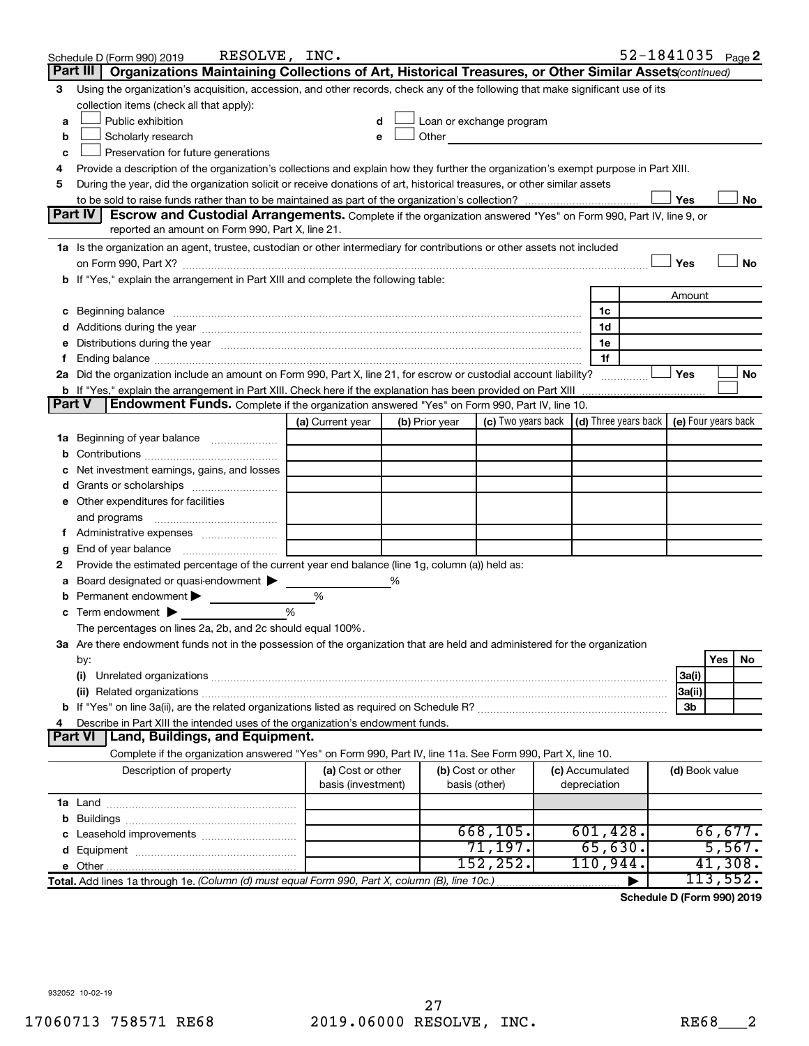|               | RESOLVE, INC.<br>Schedule D (Form 990) 2019                                                                                                                                                                                    |                    |   |                |                                                                                                                                                                                                                                |                     | 52-1841035 Page 2                                 |                   |    |
|---------------|--------------------------------------------------------------------------------------------------------------------------------------------------------------------------------------------------------------------------------|--------------------|---|----------------|--------------------------------------------------------------------------------------------------------------------------------------------------------------------------------------------------------------------------------|---------------------|---------------------------------------------------|-------------------|----|
|               | Part III   Organizations Maintaining Collections of Art, Historical Treasures, or Other Similar Assets continued)                                                                                                              |                    |   |                |                                                                                                                                                                                                                                |                     |                                                   |                   |    |
| 3             | Using the organization's acquisition, accession, and other records, check any of the following that make significant use of its                                                                                                |                    |   |                |                                                                                                                                                                                                                                |                     |                                                   |                   |    |
|               | collection items (check all that apply):                                                                                                                                                                                       |                    |   |                |                                                                                                                                                                                                                                |                     |                                                   |                   |    |
| a             | Public exhibition                                                                                                                                                                                                              |                    | d |                | Loan or exchange program                                                                                                                                                                                                       |                     |                                                   |                   |    |
| b             | Scholarly research                                                                                                                                                                                                             |                    | e |                | Other and the control of the control of the control of the control of the control of the control of the control of the control of the control of the control of the control of the control of the control of the control of th |                     |                                                   |                   |    |
| с             | Preservation for future generations                                                                                                                                                                                            |                    |   |                |                                                                                                                                                                                                                                |                     |                                                   |                   |    |
| 4             | Provide a description of the organization's collections and explain how they further the organization's exempt purpose in Part XIII.                                                                                           |                    |   |                |                                                                                                                                                                                                                                |                     |                                                   |                   |    |
| 5             | During the year, did the organization solicit or receive donations of art, historical treasures, or other similar assets                                                                                                       |                    |   |                |                                                                                                                                                                                                                                |                     |                                                   |                   |    |
|               |                                                                                                                                                                                                                                |                    |   |                |                                                                                                                                                                                                                                |                     | Yes                                               |                   | No |
|               | Part IV<br><b>Escrow and Custodial Arrangements.</b> Complete if the organization answered "Yes" on Form 990, Part IV, line 9, or                                                                                              |                    |   |                |                                                                                                                                                                                                                                |                     |                                                   |                   |    |
|               | reported an amount on Form 990, Part X, line 21.                                                                                                                                                                               |                    |   |                |                                                                                                                                                                                                                                |                     |                                                   |                   |    |
|               | 1a Is the organization an agent, trustee, custodian or other intermediary for contributions or other assets not included                                                                                                       |                    |   |                |                                                                                                                                                                                                                                |                     |                                                   |                   |    |
|               |                                                                                                                                                                                                                                |                    |   |                |                                                                                                                                                                                                                                |                     | Yes                                               |                   | No |
|               | b If "Yes," explain the arrangement in Part XIII and complete the following table:                                                                                                                                             |                    |   |                |                                                                                                                                                                                                                                |                     |                                                   |                   |    |
|               |                                                                                                                                                                                                                                |                    |   |                |                                                                                                                                                                                                                                |                     | Amount                                            |                   |    |
|               | c Beginning balance measurements and the contract of the contract of the contract of the contract of the contract of the contract of the contract of the contract of the contract of the contract of the contract of the contr |                    |   |                |                                                                                                                                                                                                                                | 1c                  |                                                   |                   |    |
|               |                                                                                                                                                                                                                                |                    |   |                |                                                                                                                                                                                                                                | 1d                  |                                                   |                   |    |
|               | e Distributions during the year manufactured and continuum control of the control of the control of the state of the control of the control of the control of the control of the control of the control of the control of the  |                    |   |                |                                                                                                                                                                                                                                | 1e                  |                                                   |                   |    |
| t.            | 2a Did the organization include an amount on Form 990, Part X, line 21, for escrow or custodial account liability?                                                                                                             |                    |   |                |                                                                                                                                                                                                                                | 1f                  | Yes                                               |                   | No |
|               |                                                                                                                                                                                                                                |                    |   |                |                                                                                                                                                                                                                                |                     |                                                   |                   |    |
| <b>Part V</b> | <b>b</b> If "Yes," explain the arrangement in Part XIII. Check here if the explanation has been provided on Part XIII<br>Endowment Funds. Complete if the organization answered "Yes" on Form 990, Part IV, line 10.           |                    |   |                |                                                                                                                                                                                                                                |                     |                                                   |                   |    |
|               |                                                                                                                                                                                                                                | (a) Current year   |   | (b) Prior year | (c) Two years back                                                                                                                                                                                                             |                     | $(d)$ Three years back $\mid$ (e) Four years back |                   |    |
|               | 1a Beginning of year balance                                                                                                                                                                                                   |                    |   |                |                                                                                                                                                                                                                                |                     |                                                   |                   |    |
|               |                                                                                                                                                                                                                                |                    |   |                |                                                                                                                                                                                                                                |                     |                                                   |                   |    |
|               | Net investment earnings, gains, and losses                                                                                                                                                                                     |                    |   |                |                                                                                                                                                                                                                                |                     |                                                   |                   |    |
|               |                                                                                                                                                                                                                                |                    |   |                |                                                                                                                                                                                                                                |                     |                                                   |                   |    |
|               | e Other expenditures for facilities                                                                                                                                                                                            |                    |   |                |                                                                                                                                                                                                                                |                     |                                                   |                   |    |
|               |                                                                                                                                                                                                                                |                    |   |                |                                                                                                                                                                                                                                |                     |                                                   |                   |    |
|               |                                                                                                                                                                                                                                |                    |   |                |                                                                                                                                                                                                                                |                     |                                                   |                   |    |
| g             |                                                                                                                                                                                                                                |                    |   |                |                                                                                                                                                                                                                                |                     |                                                   |                   |    |
| 2             | Provide the estimated percentage of the current year end balance (line 1g, column (a)) held as:                                                                                                                                |                    |   |                |                                                                                                                                                                                                                                |                     |                                                   |                   |    |
| а             | Board designated or quasi-endowment                                                                                                                                                                                            |                    | % |                |                                                                                                                                                                                                                                |                     |                                                   |                   |    |
|               | <b>b</b> Permanent endowment $\blacktriangleright$                                                                                                                                                                             | %                  |   |                |                                                                                                                                                                                                                                |                     |                                                   |                   |    |
|               | <b>c</b> Term endowment $\blacktriangleright$                                                                                                                                                                                  | %                  |   |                |                                                                                                                                                                                                                                |                     |                                                   |                   |    |
|               | The percentages on lines 2a, 2b, and 2c should equal 100%.                                                                                                                                                                     |                    |   |                |                                                                                                                                                                                                                                |                     |                                                   |                   |    |
|               | 3a Are there endowment funds not in the possession of the organization that are held and administered for the organization                                                                                                     |                    |   |                |                                                                                                                                                                                                                                |                     |                                                   |                   |    |
|               | by:                                                                                                                                                                                                                            |                    |   |                |                                                                                                                                                                                                                                |                     |                                                   | Yes               | No |
|               | (i)                                                                                                                                                                                                                            |                    |   |                |                                                                                                                                                                                                                                |                     | 3a(i)                                             |                   |    |
|               |                                                                                                                                                                                                                                |                    |   |                |                                                                                                                                                                                                                                |                     | 3a(ii)                                            |                   |    |
|               |                                                                                                                                                                                                                                |                    |   |                |                                                                                                                                                                                                                                |                     | 3b                                                |                   |    |
| 4             | Describe in Part XIII the intended uses of the organization's endowment funds.                                                                                                                                                 |                    |   |                |                                                                                                                                                                                                                                |                     |                                                   |                   |    |
|               | Land, Buildings, and Equipment.<br><b>Part VI</b>                                                                                                                                                                              |                    |   |                |                                                                                                                                                                                                                                |                     |                                                   |                   |    |
|               | Complete if the organization answered "Yes" on Form 990, Part IV, line 11a. See Form 990, Part X, line 10.                                                                                                                     |                    |   |                |                                                                                                                                                                                                                                |                     |                                                   |                   |    |
|               | Description of property                                                                                                                                                                                                        | (a) Cost or other  |   |                | (b) Cost or other                                                                                                                                                                                                              | (c) Accumulated     | (d) Book value                                    |                   |    |
|               |                                                                                                                                                                                                                                | basis (investment) |   |                | basis (other)                                                                                                                                                                                                                  | depreciation        |                                                   |                   |    |
|               |                                                                                                                                                                                                                                |                    |   |                |                                                                                                                                                                                                                                |                     |                                                   |                   |    |
|               |                                                                                                                                                                                                                                |                    |   |                |                                                                                                                                                                                                                                |                     |                                                   |                   |    |
|               |                                                                                                                                                                                                                                |                    |   |                | 668, 105.                                                                                                                                                                                                                      | 601,428.<br>65,630. |                                                   | 66,677.           |    |
|               |                                                                                                                                                                                                                                |                    |   |                | 71,197.<br>152, 252.                                                                                                                                                                                                           | 110,944.            |                                                   | 5,567.<br>41,308. |    |
|               |                                                                                                                                                                                                                                |                    |   |                |                                                                                                                                                                                                                                |                     |                                                   | 113,552.          |    |
|               | Total. Add lines 1a through 1e. (Column (d) must equal Form 990, Part X, column (B), line 10c.)                                                                                                                                |                    |   |                |                                                                                                                                                                                                                                |                     |                                                   |                   |    |

**Schedule D (Form 990) 2019**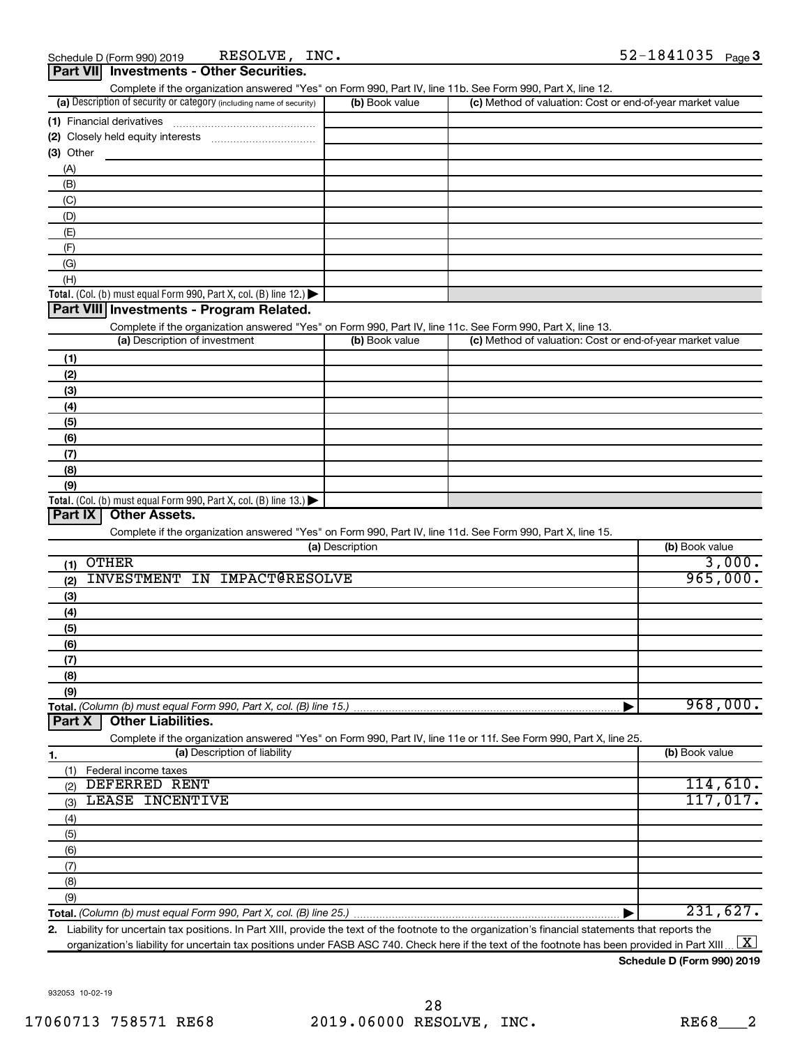| Complete if the organization answered "Yes" on Form 990, Part IV, line 11b. See Form 990, Part X, line 12.                                  |                 |                                                           |                |
|---------------------------------------------------------------------------------------------------------------------------------------------|-----------------|-----------------------------------------------------------|----------------|
| (a) Description of security or category (including name of security)                                                                        | (b) Book value  | (c) Method of valuation: Cost or end-of-year market value |                |
|                                                                                                                                             |                 |                                                           |                |
|                                                                                                                                             |                 |                                                           |                |
| $(3)$ Other                                                                                                                                 |                 |                                                           |                |
| (A)                                                                                                                                         |                 |                                                           |                |
| (B)                                                                                                                                         |                 |                                                           |                |
| (C)                                                                                                                                         |                 |                                                           |                |
| (D)                                                                                                                                         |                 |                                                           |                |
| (E)                                                                                                                                         |                 |                                                           |                |
| (F)                                                                                                                                         |                 |                                                           |                |
| (G)                                                                                                                                         |                 |                                                           |                |
| (H)                                                                                                                                         |                 |                                                           |                |
| Total. (Col. (b) must equal Form 990, Part X, col. (B) line 12.)                                                                            |                 |                                                           |                |
| Part VIII Investments - Program Related.                                                                                                    |                 |                                                           |                |
|                                                                                                                                             |                 |                                                           |                |
| Complete if the organization answered "Yes" on Form 990, Part IV, line 11c. See Form 990, Part X, line 13.<br>(a) Description of investment | (b) Book value  | (c) Method of valuation: Cost or end-of-year market value |                |
|                                                                                                                                             |                 |                                                           |                |
| (1)                                                                                                                                         |                 |                                                           |                |
| (2)                                                                                                                                         |                 |                                                           |                |
| (3)                                                                                                                                         |                 |                                                           |                |
| (4)                                                                                                                                         |                 |                                                           |                |
| (5)                                                                                                                                         |                 |                                                           |                |
| (6)                                                                                                                                         |                 |                                                           |                |
| (7)                                                                                                                                         |                 |                                                           |                |
| (8)                                                                                                                                         |                 |                                                           |                |
| (9)                                                                                                                                         |                 |                                                           |                |
| Total. (Col. (b) must equal Form 990, Part X, col. (B) line 13.)                                                                            |                 |                                                           |                |
| Part IX<br><b>Other Assets.</b>                                                                                                             |                 |                                                           |                |
| Complete if the organization answered "Yes" on Form 990, Part IV, line 11d. See Form 990, Part X, line 15.                                  |                 |                                                           |                |
|                                                                                                                                             | (a) Description |                                                           | (b) Book value |
| <b>OTHER</b><br>(1)                                                                                                                         |                 |                                                           | 3,000.         |
| INVESTMENT IN IMPACT@RESOLVE<br>(2)                                                                                                         |                 |                                                           | 965,000.       |
| (3)                                                                                                                                         |                 |                                                           |                |
| (4)                                                                                                                                         |                 |                                                           |                |
| (5)                                                                                                                                         |                 |                                                           |                |
| (6)                                                                                                                                         |                 |                                                           |                |
| (7)                                                                                                                                         |                 |                                                           |                |
| (8)                                                                                                                                         |                 |                                                           |                |
| (9)                                                                                                                                         |                 |                                                           |                |
| Total. (Column (b) must equal Form 990, Part X, col. (B) line 15.)                                                                          |                 |                                                           | 968,000.       |
| <b>Other Liabilities.</b><br>Part X                                                                                                         |                 |                                                           |                |
| Complete if the organization answered "Yes" on Form 990, Part IV, line 11e or 11f. See Form 990, Part X, line 25.                           |                 |                                                           |                |
| (a) Description of liability<br>1.                                                                                                          |                 |                                                           | (b) Book value |
| Federal income taxes<br>(1)                                                                                                                 |                 |                                                           |                |
| DEFERRED RENT<br>(2)                                                                                                                        |                 |                                                           | 114,610.       |
| <b>LEASE INCENTIVE</b><br>(3)                                                                                                               |                 |                                                           | 117,017.       |
| (4)                                                                                                                                         |                 |                                                           |                |
|                                                                                                                                             |                 |                                                           |                |
| (5)                                                                                                                                         |                 |                                                           |                |
| (6)                                                                                                                                         |                 |                                                           |                |
| (7)                                                                                                                                         |                 |                                                           |                |
| (8)                                                                                                                                         |                 |                                                           |                |
| (9)                                                                                                                                         |                 |                                                           |                |
| Total. (Column (b) must equal Form 990, Part X, col. (B) line 25.)                                                                          |                 |                                                           | 231,627.       |

**Total.**  *(Column (b) must equal Form 990, Part X, col. (B) line 25.)* |

**2.** Liability for uncertain tax positions. In Part XIII, provide the text of the footnote to the organization's financial statements that reports the organization's liability for uncertain tax positions under FASB ASC 740. Check here if the text of the footnote has been provided in Part XIII ...  $\fbox{\bf X}$ 

**Schedule D (Form 990) 2019**

932053 10-02-19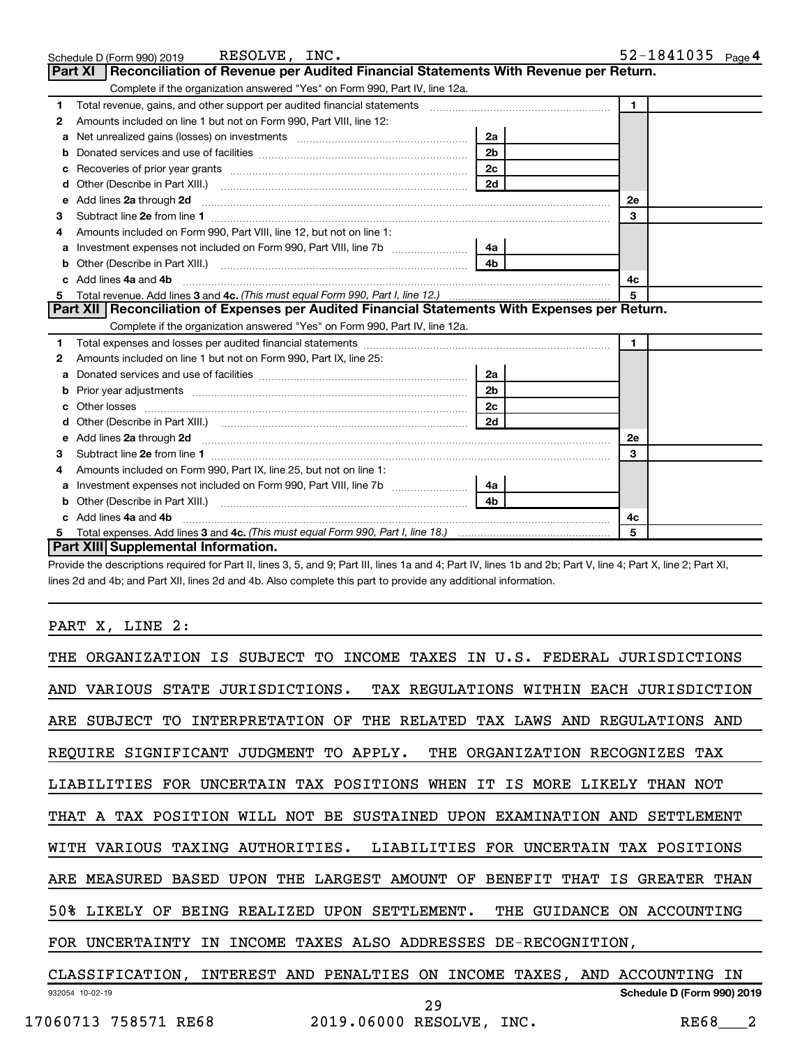| Schedule D (Form 990) 2019 |  |  | RESOLVE | INC. | 52-1841035 | Page 4 |
|----------------------------|--|--|---------|------|------------|--------|
|----------------------------|--|--|---------|------|------------|--------|

|   | Part XI   Reconciliation of Revenue per Audited Financial Statements With Revenue per Return.                                                               |                |              |  |
|---|-------------------------------------------------------------------------------------------------------------------------------------------------------------|----------------|--------------|--|
|   | Complete if the organization answered "Yes" on Form 990, Part IV, line 12a.                                                                                 |                |              |  |
| 1 | Total revenue, gains, and other support per audited financial statements [11] [11] Total revenue, gains, and other support per audited financial statements | $\mathbf{1}$   |              |  |
| 2 | Amounts included on line 1 but not on Form 990, Part VIII, line 12:                                                                                         |                |              |  |
| a |                                                                                                                                                             | 2a             |              |  |
| b |                                                                                                                                                             | 2 <sub>b</sub> |              |  |
| c |                                                                                                                                                             | 2c             |              |  |
| d |                                                                                                                                                             | 2d             |              |  |
| e | Add lines 2a through 2d <b>[10]</b> [20] <b>All and Primes 22</b> through 2d <b>[10] All and Primes 2a</b> through 2d <b>[10] Primes 24 Example 20</b>      |                | 2e           |  |
| з |                                                                                                                                                             |                | 3            |  |
|   | Amounts included on Form 990, Part VIII, line 12, but not on line 1:                                                                                        |                |              |  |
| a |                                                                                                                                                             |                |              |  |
| b |                                                                                                                                                             | 4 <sub>b</sub> |              |  |
| c | Add lines 4a and 4b                                                                                                                                         | 4c             |              |  |
| 5 |                                                                                                                                                             |                | 5            |  |
|   |                                                                                                                                                             |                |              |  |
|   | Part XII   Reconciliation of Expenses per Audited Financial Statements With Expenses per Return.                                                            |                |              |  |
|   | Complete if the organization answered "Yes" on Form 990, Part IV, line 12a.                                                                                 |                |              |  |
| 1 |                                                                                                                                                             |                | $\mathbf{1}$ |  |
| 2 | Amounts included on line 1 but not on Form 990, Part IX, line 25:                                                                                           |                |              |  |
| a |                                                                                                                                                             | 2a             |              |  |
| b |                                                                                                                                                             | 2 <sub>b</sub> |              |  |
| с |                                                                                                                                                             | 2 <sub>c</sub> |              |  |
| d |                                                                                                                                                             | 2d             |              |  |
| e |                                                                                                                                                             |                | 2е           |  |
| З | Add lines 2a through 2d <b>must be a constructed as the constant of the constant of the constant of the construction</b>                                    |                | 3            |  |
| 4 | Amounts included on Form 990, Part IX, line 25, but not on line 1:                                                                                          |                |              |  |
| a | Investment expenses not included on Form 990, Part VIII, line 7b [11, 111, 120]                                                                             | 4a             |              |  |
| b |                                                                                                                                                             | 4b.            |              |  |
|   | Add lines 4a and 4b                                                                                                                                         |                | 4c           |  |
| 5 | <b>Part XIII Supplemental Information.</b>                                                                                                                  |                | 5            |  |

Provide the descriptions required for Part II, lines 3, 5, and 9; Part III, lines 1a and 4; Part IV, lines 1b and 2b; Part V, line 4; Part X, line 2; Part XI, lines 2d and 4b; and Part XII, lines 2d and 4b. Also complete this part to provide any additional information.

PART X, LINE 2:

| THE ORGANIZATION IS SUBJECT TO INCOME TAXES IN U.S. FEDERAL JURISDICTIONS      |
|--------------------------------------------------------------------------------|
| AND VARIOUS STATE JURISDICTIONS. TAX REGULATIONS WITHIN EACH JURISDICTION      |
| ARE SUBJECT TO INTERPRETATION OF THE RELATED TAX LAWS AND REGULATIONS AND      |
| REQUIRE SIGNIFICANT JUDGMENT TO APPLY. THE ORGANIZATION RECOGNIZES TAX         |
| LIABILITIES FOR UNCERTAIN TAX POSITIONS WHEN IT IS MORE LIKELY<br>THAN NOT     |
| THAT A TAX POSITION WILL NOT BE SUSTAINED<br>UPON EXAMINATION AND SETTLEMENT   |
| WITH VARIOUS TAXING AUTHORITIES. LIABILITIES FOR UNCERTAIN TAX POSITIONS       |
| ARE MEASURED BASED UPON THE LARGEST AMOUNT OF BENEFIT THAT IS GREATER THAN     |
| 50% LIKELY OF<br>BEING REALIZED UPON SETTLEMENT. THE<br>GUIDANCE ON ACCOUNTING |
| IN INCOME TAXES ALSO ADDRESSES DE-RECOGNITION,<br>FOR UNCERTAINTY              |
| CLASSIFICATION, INTEREST AND PENALTIES ON INCOME TAXES, AND ACCOUNTING IN      |
| Schedule D (Form 990) 2019<br>932054 10-02-19<br>29                            |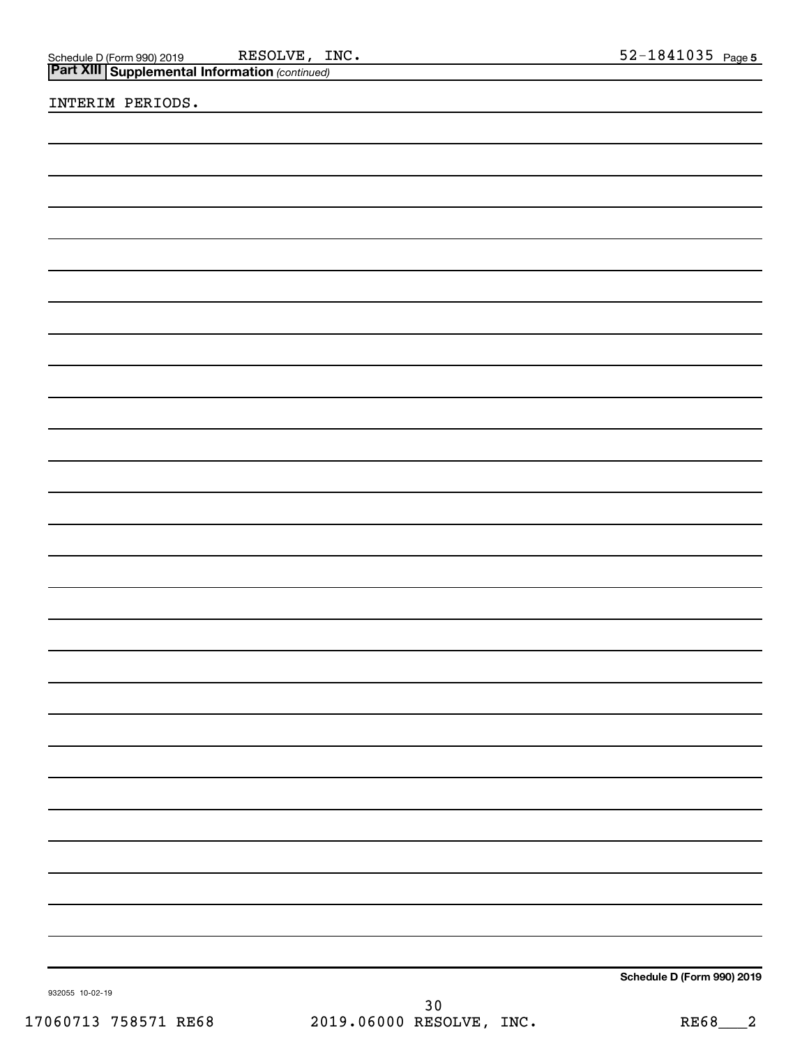INTERIM PERIODS.

**Schedule D (Form 990) 2019**

932055 10-02-19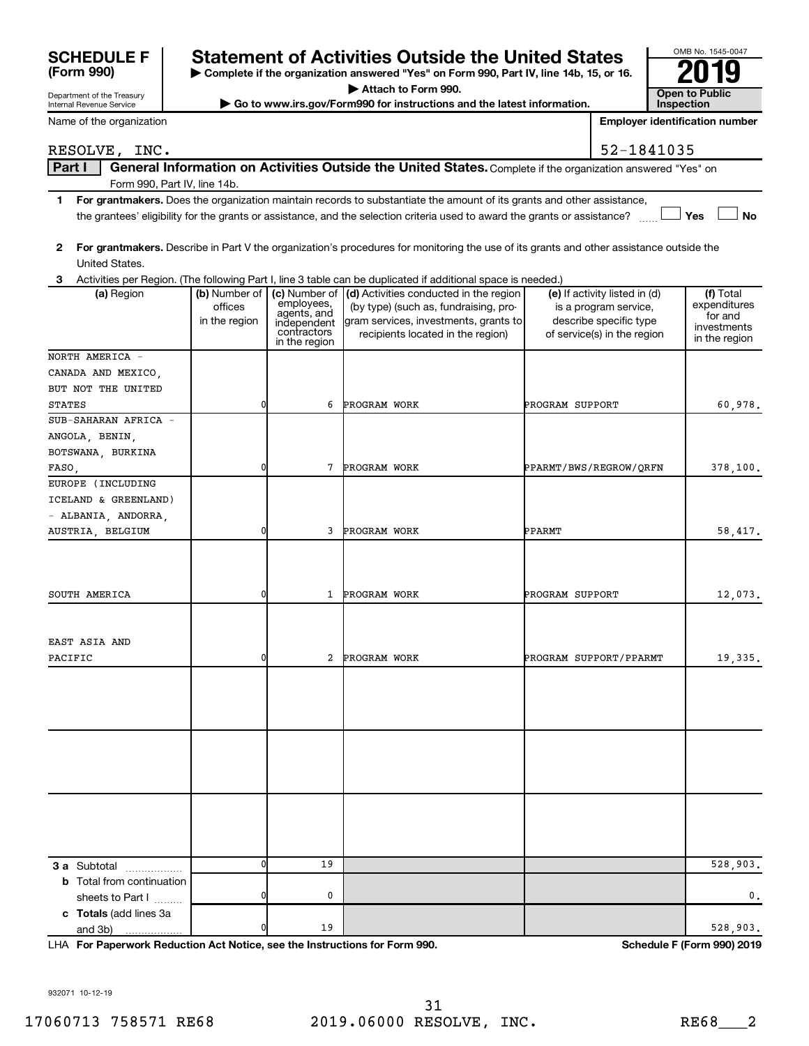| <b>SCHEDULE F</b> |  |
|-------------------|--|
| (Form 990)        |  |

Department of the Treasury

**3**

## **Statement of Activities Outside the United States**

**| Complete if the organization answered "Yes" on Form 990, Part IV, line 14b, 15, or 16. | Attach to Form 990.**

▶ Go to www.irs.gov/Form990 for instructions and the latest information.

| OMB No. 1545-0047                   |
|-------------------------------------|
| 1                                   |
| <b>Open to Public</b><br>Inspection |

Internal Revenue Service Name of the organization

| <b>Employer identification number</b> |  |
|---------------------------------------|--|
|                                       |  |

### RESOLVE, INC. [52-1841035]

Part I | General Information on Activities Outside the United States. Complete if the organization answered "Yes" on Form 990, Part IV, line 14b.

- **1 For grantmakers.**  Does the organization maintain records to substantiate the amount of its grants and other assistance,  $\Box$  Yes  $\Box$  No the grantees' eligibility for the grants or assistance, and the selection criteria used to award the grants or assistance?
- **2 For grantmakers.**  Describe in Part V the organization's procedures for monitoring the use of its grants and other assistance outside the United States.

Activities per Region. (The following Part I, line 3 table can be duplicated if additional space is needed.)

| (a) Region                                      | (b) Number of<br>offices<br>in the region | employees,<br>agents, and<br>independent<br>contractors<br>in the region | (c) Number of $\vert$ (d) Activities conducted in the region<br>(by type) (such as, fundraising, pro-<br>gram services, investments, grants to<br>recipients located in the region) | (e) If activity listed in (d)<br>is a program service,<br>describe specific type<br>of service(s) in the region | (f) Total<br>expenditures<br>for and<br>investments<br>in the region |
|-------------------------------------------------|-------------------------------------------|--------------------------------------------------------------------------|-------------------------------------------------------------------------------------------------------------------------------------------------------------------------------------|-----------------------------------------------------------------------------------------------------------------|----------------------------------------------------------------------|
| NORTH AMERICA -                                 |                                           |                                                                          |                                                                                                                                                                                     |                                                                                                                 |                                                                      |
| CANADA AND MEXICO,                              |                                           |                                                                          |                                                                                                                                                                                     |                                                                                                                 |                                                                      |
| BUT NOT THE UNITED                              |                                           |                                                                          |                                                                                                                                                                                     |                                                                                                                 |                                                                      |
| <b>STATES</b>                                   | 0                                         | 6                                                                        | PROGRAM WORK                                                                                                                                                                        | PROGRAM SUPPORT                                                                                                 | 60,978.                                                              |
| SUB-SAHARAN AFRICA -                            |                                           |                                                                          |                                                                                                                                                                                     |                                                                                                                 |                                                                      |
| ANGOLA, BENIN,                                  |                                           |                                                                          |                                                                                                                                                                                     |                                                                                                                 |                                                                      |
| BOTSWANA, BURKINA                               |                                           |                                                                          |                                                                                                                                                                                     |                                                                                                                 |                                                                      |
| FASO,                                           | 0                                         | 7                                                                        | PROGRAM WORK                                                                                                                                                                        | PPARMT/BWS/REGROW/QRFN                                                                                          | 378,100.                                                             |
| EUROPE (INCLUDING                               |                                           |                                                                          |                                                                                                                                                                                     |                                                                                                                 |                                                                      |
| ICELAND & GREENLAND)                            |                                           |                                                                          |                                                                                                                                                                                     |                                                                                                                 |                                                                      |
| - ALBANIA, ANDORRA,                             |                                           |                                                                          |                                                                                                                                                                                     |                                                                                                                 |                                                                      |
| AUSTRIA, BELGIUM                                | 0                                         | 3                                                                        | PROGRAM WORK                                                                                                                                                                        | <b>PPARMT</b>                                                                                                   | 58,417.                                                              |
|                                                 |                                           |                                                                          |                                                                                                                                                                                     |                                                                                                                 |                                                                      |
| SOUTH AMERICA                                   | 0                                         | $\mathbf{1}$                                                             | PROGRAM WORK                                                                                                                                                                        | PROGRAM SUPPORT                                                                                                 | 12,073.                                                              |
| EAST ASIA AND<br>PACIFIC                        | 0                                         | 2                                                                        | PROGRAM WORK                                                                                                                                                                        | PROGRAM SUPPORT/PPARMT                                                                                          | 19,335.                                                              |
|                                                 |                                           |                                                                          |                                                                                                                                                                                     |                                                                                                                 |                                                                      |
|                                                 |                                           |                                                                          |                                                                                                                                                                                     |                                                                                                                 |                                                                      |
|                                                 |                                           |                                                                          |                                                                                                                                                                                     |                                                                                                                 |                                                                      |
| <b>3 a</b> Subtotal                             | $\mathbf 0$                               | 19                                                                       |                                                                                                                                                                                     |                                                                                                                 | 528,903.                                                             |
| <b>b</b> Total from continuation                |                                           |                                                                          |                                                                                                                                                                                     |                                                                                                                 |                                                                      |
| sheets to Part I                                | $\mathbf 0$                               | $\mathbf 0$                                                              |                                                                                                                                                                                     |                                                                                                                 | 0.                                                                   |
| c Totals (add lines 3a<br>and 3b)<br>. <u>.</u> | $\overline{0}$                            | 19                                                                       |                                                                                                                                                                                     |                                                                                                                 | 528,903.                                                             |

**For Paperwork Reduction Act Notice, see the Instructions for Form 990. Schedule F (Form 990) 2019** LHA

932071 10-12-19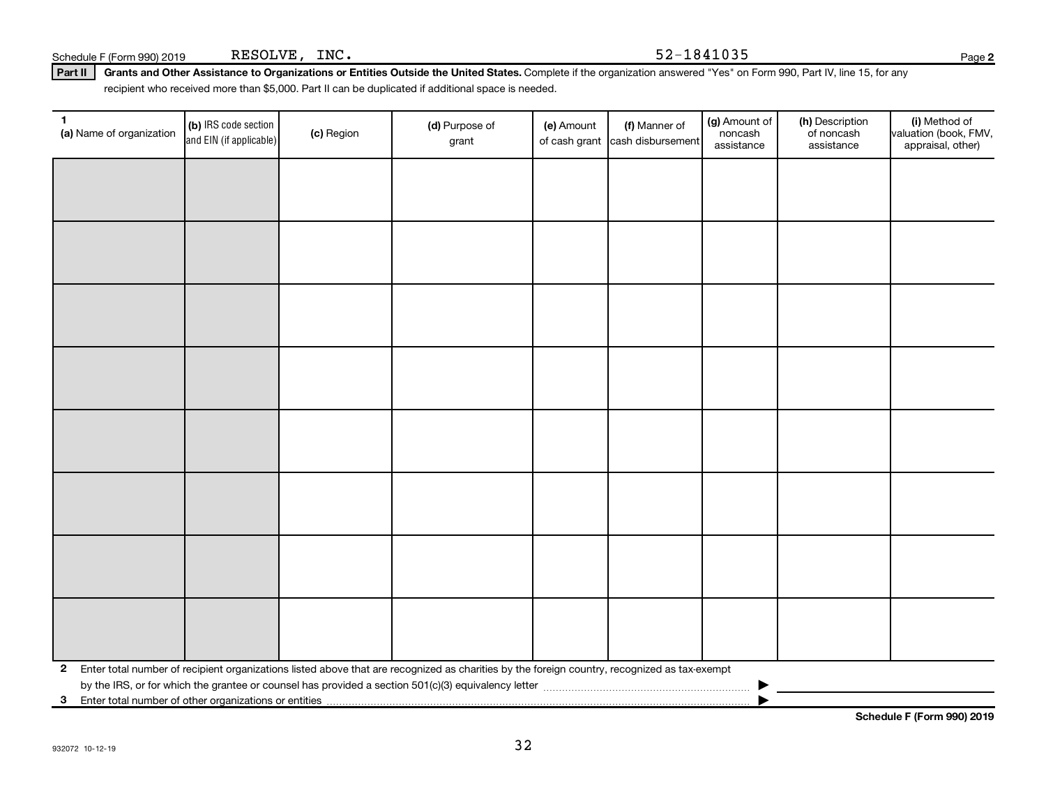| ٦<br>۰, |
|---------|
|---------|

**2** Enter total number of recipient organizations listed above that are recognized as charities by the foreign country, recognized as tax-exempt **3** Enter total number of other organizations or entities | **Schedule F (Form 990) 2019** by the IRS, or for which the grantee or counsel has provided a section 501(c)(3) equivalency letter ~~~~~~~~~~~~~~~~~~~~~~ |

**(a)** Name of organization (b) IRS code section (c) Region (c) Region (d) Purpose of (e) Amount (f) Manner of (g) Amount of (h) Description (i) (a) Name of organization (f) IRS code section (c) Region (d) Purpose of (d) Am

grant

RESOLVE, INC.

(a) Name of organization  $\begin{bmatrix} \textbf{(b)} \text{ IRS code section} \\ \textbf{conf} \text{ In the image of } \textbf{Comp}(n) \end{bmatrix}$  (c) Region (d) Purpose of

(b) IRS code section and EIN (if applicable)

Part II | Grants and Other Assistance to Organizations or Entities Outside the United States. Complete if the organization answered "Yes" on Form 990, Part IV, line 15, for any Schedule F (Form 990) 2019 RESOLVE, INC.  $52-1841035$ 

> (f) Manner of cash disbursement

(g) Amount of noncash assistance

(e) Amount of cash grant

recipient who received more than \$5,000. Part II can be duplicated if additional space is needed.

(h) Description of noncash assistance

**2**

(i) Method of valuation (book, FMV, appraisal, other)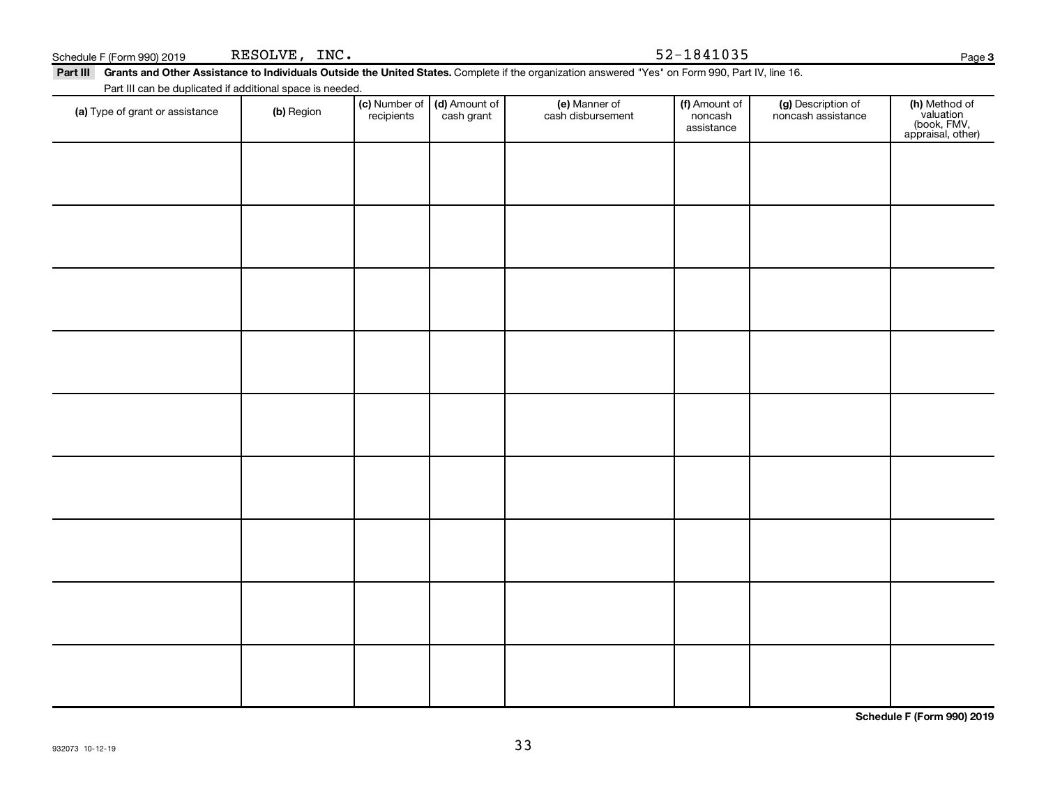| ٦<br>۰, | ٦<br>۰, |
|---------|---------|
|         |         |

| (a) Type of grant or assistance | (b) Region | (c) Number of (d) Amount of<br>recipients cash grant | (e) Manner of<br>cash disbursement | (f) Amount of<br>noncash<br>assistance | (g) Description of<br>noncash assistance | (h) Method of<br>valuation<br>(book, FMV,<br>appraisal, other) |
|---------------------------------|------------|------------------------------------------------------|------------------------------------|----------------------------------------|------------------------------------------|----------------------------------------------------------------|
|                                 |            |                                                      |                                    |                                        |                                          |                                                                |
|                                 |            |                                                      |                                    |                                        |                                          |                                                                |
|                                 |            |                                                      |                                    |                                        |                                          |                                                                |
|                                 |            |                                                      |                                    |                                        |                                          |                                                                |
|                                 |            |                                                      |                                    |                                        |                                          |                                                                |
|                                 |            |                                                      |                                    |                                        |                                          |                                                                |
|                                 |            |                                                      |                                    |                                        |                                          |                                                                |
|                                 |            |                                                      |                                    |                                        |                                          |                                                                |
|                                 |            |                                                      |                                    |                                        |                                          |                                                                |
|                                 |            |                                                      |                                    |                                        |                                          |                                                                |

### Part III Grants and Other Assistance to Individuals Outside the United States. Complete if the organization answered "Yes" on Form 990, Part IV, line 16. Part III can be duplicated if additional space is needed.

RESOLVE, INC.

### Schedule F (Form 990) 2019 RESOLVE, INC.  $52-1841035$

Page 3

**Schedule F (Form 990) 2019**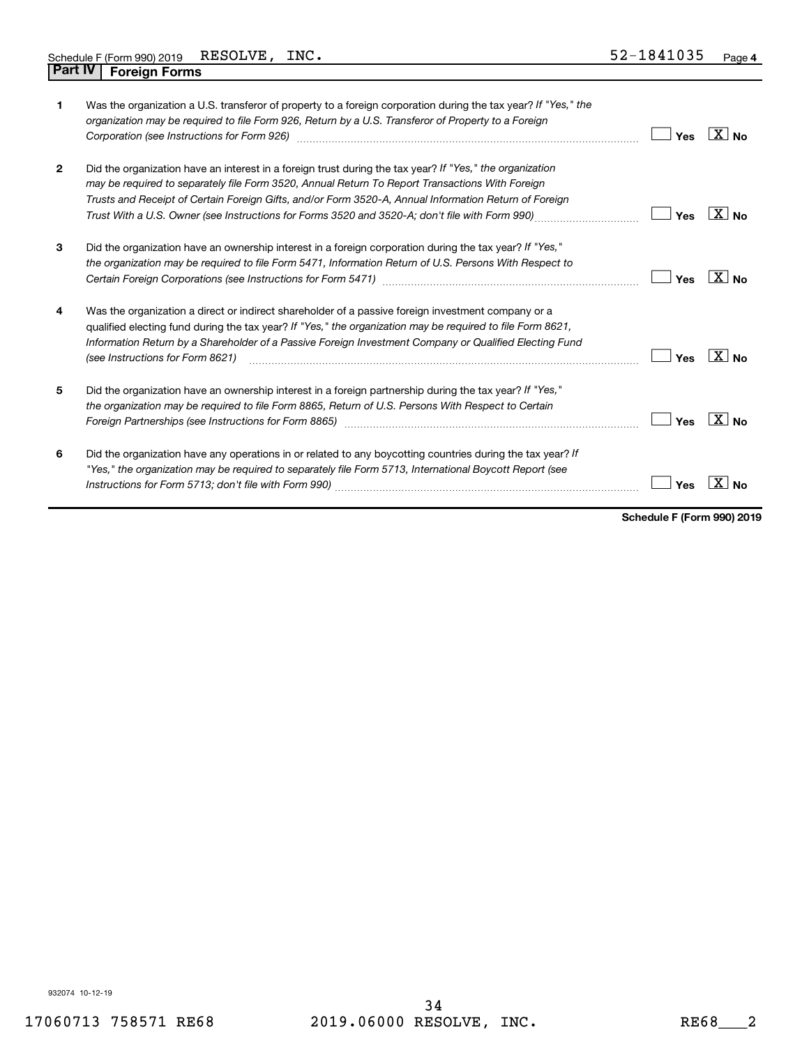| 1            | Was the organization a U.S. transferor of property to a foreign corporation during the tax year? If "Yes," the<br>organization may be required to file Form 926, Return by a U.S. Transferor of Property to a Foreign<br>Corporation (see Instructions for Form 926)                                                                                                                                                   | Yes | $X _{N0}$         |
|--------------|------------------------------------------------------------------------------------------------------------------------------------------------------------------------------------------------------------------------------------------------------------------------------------------------------------------------------------------------------------------------------------------------------------------------|-----|-------------------|
| $\mathbf{2}$ | Did the organization have an interest in a foreign trust during the tax year? If "Yes," the organization<br>may be required to separately file Form 3520, Annual Return To Report Transactions With Foreign<br>Trusts and Receipt of Certain Foreign Gifts, and/or Form 3520-A, Annual Information Return of Foreign<br>Trust With a U.S. Owner (see Instructions for Forms 3520 and 3520-A; don't file with Form 990) | Yes | ∣X∣ <sub>No</sub> |
| 3            | Did the organization have an ownership interest in a foreign corporation during the tax year? If "Yes,"<br>the organization may be required to file Form 5471, Information Return of U.S. Persons With Respect to                                                                                                                                                                                                      | Yes | $X \mid N_0$      |
| 4            | Was the organization a direct or indirect shareholder of a passive foreign investment company or a<br>qualified electing fund during the tax year? If "Yes," the organization may be required to file Form 8621,<br>Information Return by a Shareholder of a Passive Foreign Investment Company or Qualified Electing Fund<br>(see Instructions for Form 8621)                                                         | Yes | $\overline{X}$ No |
| 5            | Did the organization have an ownership interest in a foreign partnership during the tax year? If "Yes,"<br>the organization may be required to file Form 8865, Return of U.S. Persons With Respect to Certain<br>Foreign Partnerships (see Instructions for Form 8865)                                                                                                                                                 | Yes | $X _{\text{No}}$  |
| 6            | Did the organization have any operations in or related to any boycotting countries during the tax year? If<br>"Yes," the organization may be required to separately file Form 5713, International Boycott Report (see                                                                                                                                                                                                  | Yes |                   |

**Schedule F (Form 990) 2019**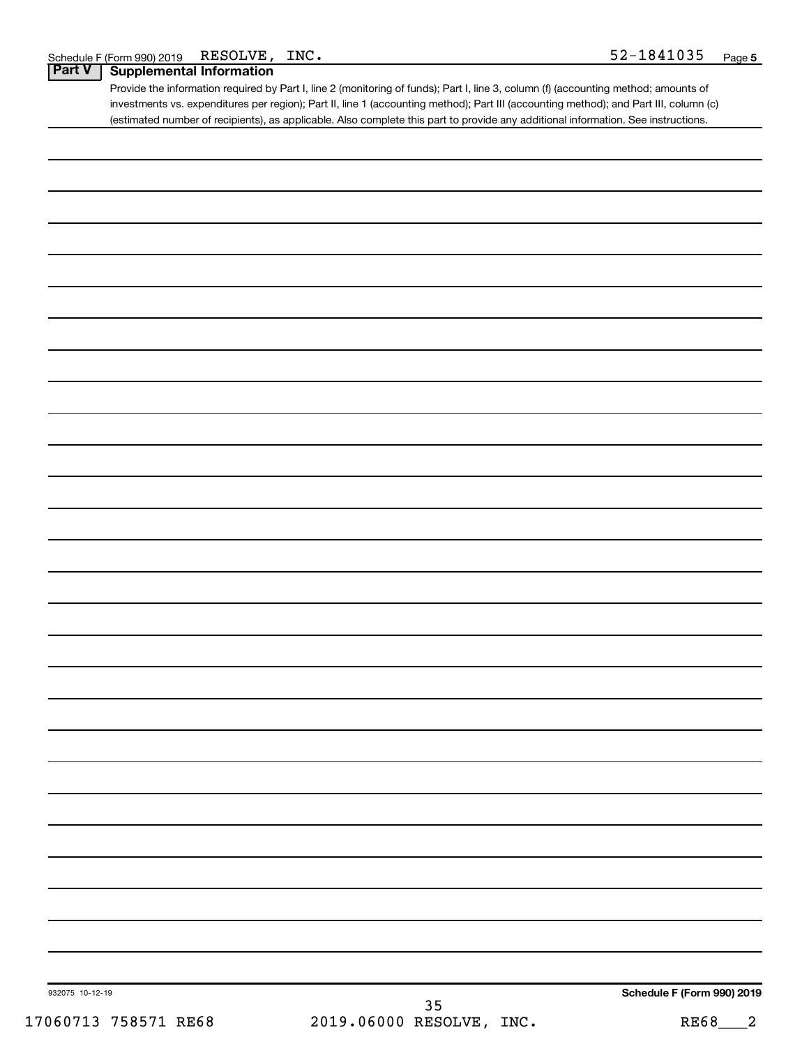### **Part V Supplemental Information**

Provide the information required by Part I, line 2 (monitoring of funds); Part I, line 3, column (f) (accounting method; amounts of investments vs. expenditures per region); Part II, line 1 (accounting method); Part III (accounting method); and Part III, column (c) (estimated number of recipients), as applicable. Also complete this part to provide any additional information. See instructions.

| 932075 10-12-19 | Schedule F (Form 990) 2019 |
|-----------------|----------------------------|
|                 |                            |
|                 |                            |
|                 |                            |
|                 |                            |
|                 |                            |
|                 |                            |
|                 |                            |
|                 |                            |
|                 |                            |
|                 |                            |
|                 |                            |
|                 |                            |
|                 |                            |
|                 |                            |
|                 |                            |
|                 |                            |
|                 |                            |
|                 |                            |
|                 |                            |
|                 |                            |
|                 |                            |
|                 |                            |
|                 |                            |
|                 |                            |
|                 |                            |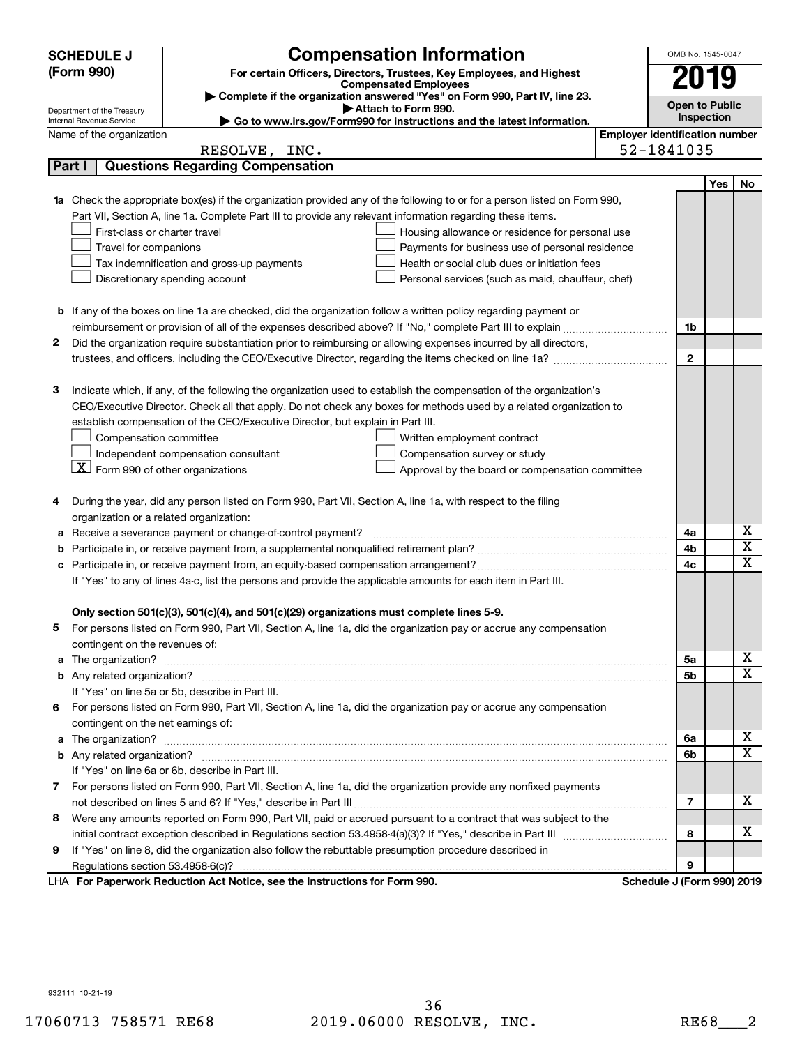| <b>Compensation Information</b><br><b>SCHEDULE J</b>                                                                                                                   | OMB No. 1545-0047                     |  |  |  |
|------------------------------------------------------------------------------------------------------------------------------------------------------------------------|---------------------------------------|--|--|--|
| (Form 990)<br>For certain Officers, Directors, Trustees, Key Employees, and Highest                                                                                    | 2019                                  |  |  |  |
| <b>Compensated Employees</b><br>Complete if the organization answered "Yes" on Form 990, Part IV, line 23.                                                             |                                       |  |  |  |
| Attach to Form 990.<br>Department of the Treasury                                                                                                                      | <b>Open to Public</b>                 |  |  |  |
| Go to www.irs.gov/Form990 for instructions and the latest information.<br>Internal Revenue Service                                                                     | Inspection                            |  |  |  |
| Name of the organization                                                                                                                                               | <b>Employer identification number</b> |  |  |  |
| RESOLVE, INC.                                                                                                                                                          | 52-1841035                            |  |  |  |
| <b>Questions Regarding Compensation</b><br>Part I                                                                                                                      |                                       |  |  |  |
|                                                                                                                                                                        | <b>Yes</b><br>No                      |  |  |  |
| <b>1a</b> Check the appropriate box(es) if the organization provided any of the following to or for a person listed on Form 990,                                       |                                       |  |  |  |
| Part VII, Section A, line 1a. Complete Part III to provide any relevant information regarding these items.                                                             |                                       |  |  |  |
| First-class or charter travel<br>Housing allowance or residence for personal use                                                                                       |                                       |  |  |  |
| Travel for companions<br>Payments for business use of personal residence<br>Health or social club dues or initiation fees<br>Tax indemnification and gross-up payments |                                       |  |  |  |
| Discretionary spending account<br>Personal services (such as maid, chauffeur, chef)                                                                                    |                                       |  |  |  |
|                                                                                                                                                                        |                                       |  |  |  |
| <b>b</b> If any of the boxes on line 1a are checked, did the organization follow a written policy regarding payment or                                                 |                                       |  |  |  |
|                                                                                                                                                                        | 1b                                    |  |  |  |
| Did the organization require substantiation prior to reimbursing or allowing expenses incurred by all directors,<br>$\mathbf{2}$                                       |                                       |  |  |  |
|                                                                                                                                                                        | $\mathbf{2}$                          |  |  |  |
|                                                                                                                                                                        |                                       |  |  |  |
| 3<br>Indicate which, if any, of the following the organization used to establish the compensation of the organization's                                                |                                       |  |  |  |
| CEO/Executive Director. Check all that apply. Do not check any boxes for methods used by a related organization to                                                     |                                       |  |  |  |
| establish compensation of the CEO/Executive Director, but explain in Part III.                                                                                         |                                       |  |  |  |
| Compensation committee<br>Written employment contract                                                                                                                  |                                       |  |  |  |
| Independent compensation consultant<br>Compensation survey or study                                                                                                    |                                       |  |  |  |
| $X$ Form 990 of other organizations<br>Approval by the board or compensation committee                                                                                 |                                       |  |  |  |
|                                                                                                                                                                        |                                       |  |  |  |
| During the year, did any person listed on Form 990, Part VII, Section A, line 1a, with respect to the filing<br>4                                                      |                                       |  |  |  |
| organization or a related organization:                                                                                                                                |                                       |  |  |  |
| Receive a severance payment or change-of-control payment?<br>а                                                                                                         | х<br>4a                               |  |  |  |
| b                                                                                                                                                                      | $\overline{\mathbf{X}}$<br>4b         |  |  |  |
| с                                                                                                                                                                      | X<br>4c                               |  |  |  |
| If "Yes" to any of lines 4a-c, list the persons and provide the applicable amounts for each item in Part III.                                                          |                                       |  |  |  |
|                                                                                                                                                                        |                                       |  |  |  |
| Only section 501(c)(3), 501(c)(4), and 501(c)(29) organizations must complete lines 5-9.                                                                               |                                       |  |  |  |
| For persons listed on Form 990, Part VII, Section A, line 1a, did the organization pay or accrue any compensation                                                      |                                       |  |  |  |
| contingent on the revenues of:                                                                                                                                         | х                                     |  |  |  |
|                                                                                                                                                                        | 5а<br>X                               |  |  |  |
| If "Yes" on line 5a or 5b, describe in Part III.                                                                                                                       | 5b                                    |  |  |  |
|                                                                                                                                                                        |                                       |  |  |  |
| For persons listed on Form 990, Part VII, Section A, line 1a, did the organization pay or accrue any compensation<br>6<br>contingent on the net earnings of:           |                                       |  |  |  |
|                                                                                                                                                                        | х<br>6a                               |  |  |  |
|                                                                                                                                                                        | $\overline{\mathbf{X}}$<br>6b         |  |  |  |
| If "Yes" on line 6a or 6b, describe in Part III.                                                                                                                       |                                       |  |  |  |
| For persons listed on Form 990, Part VII, Section A, line 1a, did the organization provide any nonfixed payments<br>$\mathbf{7}$                                       |                                       |  |  |  |
|                                                                                                                                                                        | x<br>7                                |  |  |  |
| 8 Were any amounts reported on Form 990, Part VII, paid or accrued pursuant to a contract that was subject to the                                                      |                                       |  |  |  |
|                                                                                                                                                                        | x<br>8                                |  |  |  |
| If "Yes" on line 8, did the organization also follow the rebuttable presumption procedure described in<br>9                                                            |                                       |  |  |  |
|                                                                                                                                                                        |                                       |  |  |  |
|                                                                                                                                                                        | 9                                     |  |  |  |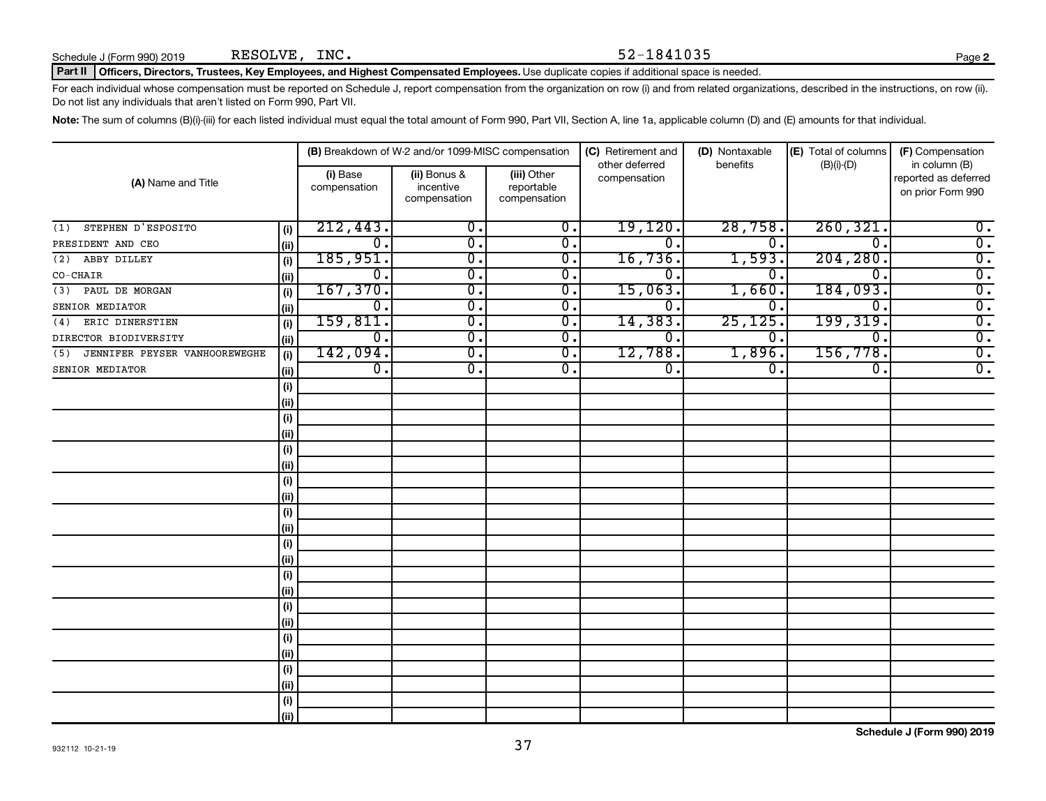### Part II | Officers, Directors, Trustees, Key Employees, and Highest Compensated Employees. Use duplicate copies if additional space is needed.

For each individual whose compensation must be reported on Schedule J, report compensation from the organization on row (i) and from related organizations, described in the instructions, on row (ii). Do not list any individuals that aren't listed on Form 990, Part VII.

Note: The sum of columns (B)(i)-(iii) for each listed individual must equal the total amount of Form 990, Part VII, Section A, line 1a, applicable column (D) and (E) amounts for that individual.

| (A) Name and Title                   |      |                          | (B) Breakdown of W-2 and/or 1099-MISC compensation |                                           | (C) Retirement and             | (D) Nontaxable   | (E) Total of columns        | (F) Compensation                                           |  |
|--------------------------------------|------|--------------------------|----------------------------------------------------|-------------------------------------------|--------------------------------|------------------|-----------------------------|------------------------------------------------------------|--|
|                                      |      | (i) Base<br>compensation | (ii) Bonus &<br>incentive<br>compensation          | (iii) Other<br>reportable<br>compensation | other deferred<br>compensation | benefits         | $(B)(i)-(D)$                | in column (B)<br>reported as deferred<br>on prior Form 990 |  |
| STEPHEN D'ESPOSITO<br>(1)            | (i)  | 212,443.                 | $\overline{\mathbf{0}}$ .                          | $\overline{0}$ .                          | 19, 120.                       | 28,758.          | 260, 321.                   | $0$ .                                                      |  |
| PRESIDENT AND CEO                    | (ii) | 0.                       | $\overline{0}$ .                                   | $\overline{\mathbf{0}}$ .                 | 0.                             | 0.               | $\Omega$ .                  | $\overline{0}$ .                                           |  |
| (2) ABBY DILLEY                      | (i)  | 185,951.                 | $\overline{0}$ .                                   | $\overline{\mathfrak{o}}$ .               | 16,736.                        | 1,593.           | 204, 280.                   | $\overline{0}$ .                                           |  |
| $CO-CHAIR$                           | (ii) | 0.                       | $\overline{\mathfrak{o}}$ .                        | $\overline{0}$ .                          | 0.                             | 0.               | $\Omega$                    | $\overline{0}$ .                                           |  |
| PAUL DE MORGAN<br>(3)                | (i)  | 167,370.                 | $\overline{\mathfrak{o}}$ .                        | $\overline{\mathfrak{o}}$ .               | 15,063.                        | 1,660            | 184,093.                    | $\overline{0}$ .                                           |  |
| SENIOR MEDIATOR                      | (ii) | $\overline{0}$ .         | $\overline{0}$ .                                   | $\overline{0}$ .                          | 0.                             | 0                | $\mathbf 0$ .               | $\overline{0}$ .                                           |  |
| ERIC DINERSTIEN<br>(4)               | (i)  | 159,811.                 | $\overline{0}$ .                                   | $\overline{\mathbf{0}}$ .                 | 14,383.                        | 25,125           | 199,319.                    | $\overline{0}$ .                                           |  |
| DIRECTOR BIODIVERSITY                | (ii) | $0$ .                    | 0.                                                 | $\overline{\mathbf{0}}$ .                 | О.                             | $\mathbf 0$ .    | $\overline{0}$ .            | $\overline{0}$ .                                           |  |
| JENNIFER PEYSER VANHOOREWEGHE<br>(5) | (i)  | 142,094.                 | $\overline{\mathfrak{o}}$ .                        | $\overline{0}$ .                          | 12,788.                        | 1,896.           | 156,778.                    | $\overline{0}$ .                                           |  |
| SENIOR MEDIATOR                      | (ii) | $\overline{0}$ .         | $\overline{0}$ .                                   | $\overline{0}$ .                          | σ.                             | $\overline{0}$ . | $\overline{\mathfrak{o}}$ . | $\overline{0}$ .                                           |  |
|                                      | (i)  |                          |                                                    |                                           |                                |                  |                             |                                                            |  |
|                                      | (i)  |                          |                                                    |                                           |                                |                  |                             |                                                            |  |
|                                      | (i)  |                          |                                                    |                                           |                                |                  |                             |                                                            |  |
|                                      | (i)  |                          |                                                    |                                           |                                |                  |                             |                                                            |  |
|                                      | (i)  |                          |                                                    |                                           |                                |                  |                             |                                                            |  |
|                                      | (i)  |                          |                                                    |                                           |                                |                  |                             |                                                            |  |
|                                      | (i)  |                          |                                                    |                                           |                                |                  |                             |                                                            |  |
|                                      | (ii) |                          |                                                    |                                           |                                |                  |                             |                                                            |  |
|                                      | (i)  |                          |                                                    |                                           |                                |                  |                             |                                                            |  |
|                                      | (ii) |                          |                                                    |                                           |                                |                  |                             |                                                            |  |
|                                      | (i)  |                          |                                                    |                                           |                                |                  |                             |                                                            |  |
|                                      | (ii) |                          |                                                    |                                           |                                |                  |                             |                                                            |  |
|                                      | (i)  |                          |                                                    |                                           |                                |                  |                             |                                                            |  |
|                                      | (ii) |                          |                                                    |                                           |                                |                  |                             |                                                            |  |
|                                      | (i)  |                          |                                                    |                                           |                                |                  |                             |                                                            |  |
|                                      | (ii) |                          |                                                    |                                           |                                |                  |                             |                                                            |  |
|                                      | (i)  |                          |                                                    |                                           |                                |                  |                             |                                                            |  |
|                                      | (ii) |                          |                                                    |                                           |                                |                  |                             |                                                            |  |
|                                      | (i)  |                          |                                                    |                                           |                                |                  |                             |                                                            |  |
|                                      | (ii) |                          |                                                    |                                           |                                |                  |                             |                                                            |  |
|                                      | (i)  |                          |                                                    |                                           |                                |                  |                             |                                                            |  |
|                                      | (ii) |                          |                                                    |                                           |                                |                  |                             |                                                            |  |

**2**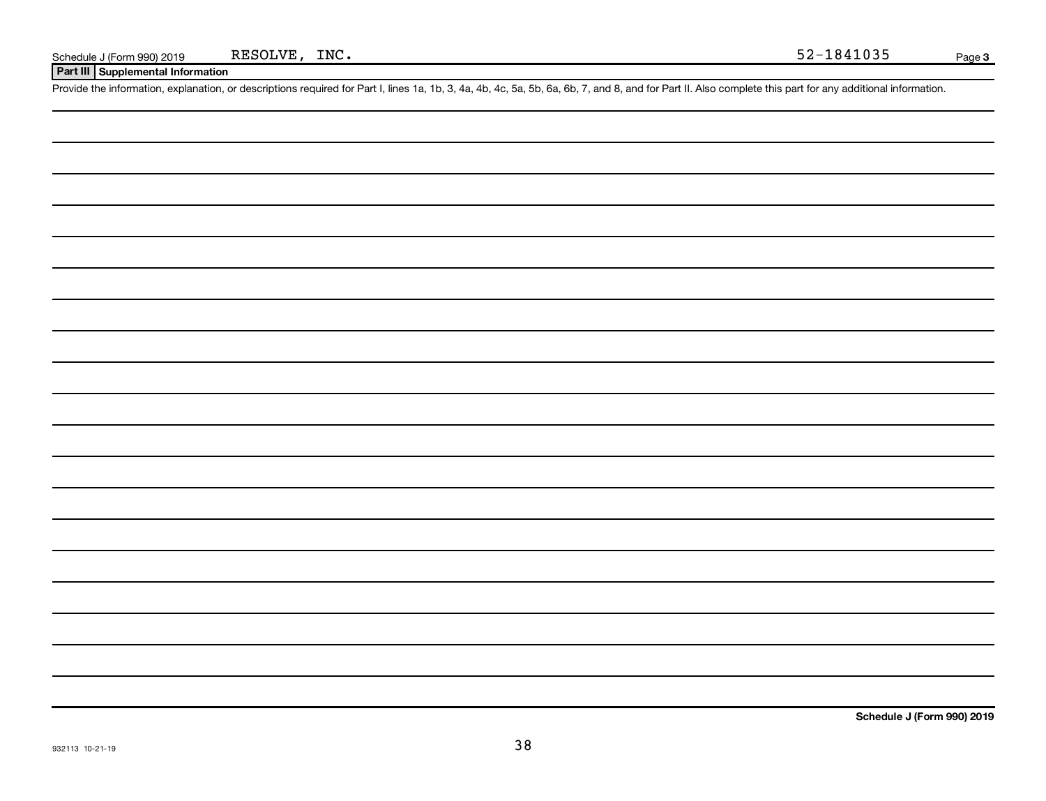**Part III Supplemental Information**

Provide the information, explanation, or descriptions required for Part I, lines 1a, 1b, 3, 4a, 4b, 4c, 5a, 5b, 6a, 6b, 7, and 8, and for Part II. Also complete this part for any additional information.

**Schedule J (Form 990) 2019**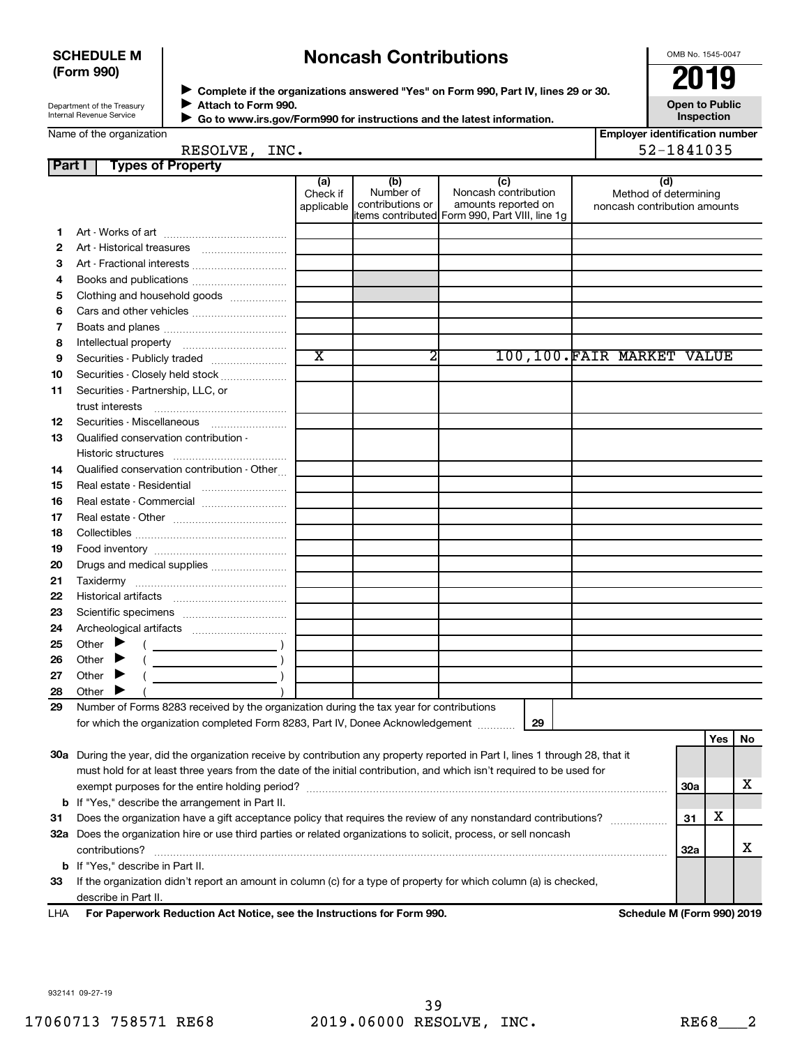### **SCHEDULE M (Form 990)**

# **Noncash Contributions**

OMB No. 1545-0047

Department of the Treasury Internal Revenue Service

◆ Complete if the organizations answered "Yes" on Form 990, Part IV, lines 29 or 30.<br>▶ Complete if the organizations answered "Yes" on Form 990, Part IV, lines 29 or 30. **Attach to Form 990.**  $\blacktriangleright$ 

**Open to Public Inspection**

| Name of the organization |  |
|--------------------------|--|
|--------------------------|--|

| Go to www.irs.gov/Form990 for instructions and the latest information. |
|------------------------------------------------------------------------|
|                                                                        |

| <b>Employer identification number</b> |
|---------------------------------------|
| $52 - 1841035$                        |

RESOLVE, INC. 52-1841035

| Part I | <b>Types of Property</b>                                                                                                       |                             |                               |                                                |                                                       |            |     |    |
|--------|--------------------------------------------------------------------------------------------------------------------------------|-----------------------------|-------------------------------|------------------------------------------------|-------------------------------------------------------|------------|-----|----|
|        |                                                                                                                                | (a)                         | (b)                           | (c)                                            | (d)                                                   |            |     |    |
|        |                                                                                                                                | Check if<br>applicable      | Number of<br>contributions or | Noncash contribution<br>amounts reported on    | Method of determining<br>noncash contribution amounts |            |     |    |
|        |                                                                                                                                |                             |                               | items contributed Form 990, Part VIII, line 1g |                                                       |            |     |    |
| 1      |                                                                                                                                |                             |                               |                                                |                                                       |            |     |    |
| 2      |                                                                                                                                |                             |                               |                                                |                                                       |            |     |    |
| З      | Art - Fractional interests                                                                                                     |                             |                               |                                                |                                                       |            |     |    |
| 4      | Books and publications                                                                                                         |                             |                               |                                                |                                                       |            |     |    |
| 5      | Clothing and household goods                                                                                                   |                             |                               |                                                |                                                       |            |     |    |
| 6      | Cars and other vehicles                                                                                                        |                             |                               |                                                |                                                       |            |     |    |
| 7      |                                                                                                                                |                             |                               |                                                |                                                       |            |     |    |
| 8      |                                                                                                                                |                             |                               |                                                |                                                       |            |     |    |
| 9      | Securities - Publicly traded                                                                                                   | $\overline{\textnormal{x}}$ | 2                             |                                                | 100,100.FAIR MARKET VALUE                             |            |     |    |
| 10     | Securities - Closely held stock                                                                                                |                             |                               |                                                |                                                       |            |     |    |
| 11     | Securities - Partnership, LLC, or                                                                                              |                             |                               |                                                |                                                       |            |     |    |
|        |                                                                                                                                |                             |                               |                                                |                                                       |            |     |    |
| 12     |                                                                                                                                |                             |                               |                                                |                                                       |            |     |    |
| 13     | Qualified conservation contribution -                                                                                          |                             |                               |                                                |                                                       |            |     |    |
|        |                                                                                                                                |                             |                               |                                                |                                                       |            |     |    |
| 14     | Qualified conservation contribution - Other                                                                                    |                             |                               |                                                |                                                       |            |     |    |
| 15     | Real estate - Residential                                                                                                      |                             |                               |                                                |                                                       |            |     |    |
| 16     | Real estate - Commercial                                                                                                       |                             |                               |                                                |                                                       |            |     |    |
| 17     |                                                                                                                                |                             |                               |                                                |                                                       |            |     |    |
| 18     |                                                                                                                                |                             |                               |                                                |                                                       |            |     |    |
| 19     |                                                                                                                                |                             |                               |                                                |                                                       |            |     |    |
| 20     | Drugs and medical supplies                                                                                                     |                             |                               |                                                |                                                       |            |     |    |
| 21     |                                                                                                                                |                             |                               |                                                |                                                       |            |     |    |
| 22     |                                                                                                                                |                             |                               |                                                |                                                       |            |     |    |
|        |                                                                                                                                |                             |                               |                                                |                                                       |            |     |    |
| 23     |                                                                                                                                |                             |                               |                                                |                                                       |            |     |    |
| 24     |                                                                                                                                |                             |                               |                                                |                                                       |            |     |    |
| 25     | Other $\blacktriangleright$                                                                                                    |                             |                               |                                                |                                                       |            |     |    |
| 26     | Other $\blacktriangleright$                                                                                                    |                             |                               |                                                |                                                       |            |     |    |
| 27     | Other $\blacktriangleright$                                                                                                    |                             |                               |                                                |                                                       |            |     |    |
| 28     | Other $\blacktriangleright$                                                                                                    |                             |                               |                                                |                                                       |            |     |    |
| 29     | Number of Forms 8283 received by the organization during the tax year for contributions                                        |                             |                               |                                                |                                                       |            |     |    |
|        | for which the organization completed Form 8283, Part IV, Donee Acknowledgement                                                 |                             |                               | 29                                             |                                                       |            |     |    |
|        |                                                                                                                                |                             |                               |                                                |                                                       |            | Yes | No |
|        | 30a During the year, did the organization receive by contribution any property reported in Part I, lines 1 through 28, that it |                             |                               |                                                |                                                       |            |     |    |
|        | must hold for at least three years from the date of the initial contribution, and which isn't required to be used for          |                             |                               |                                                |                                                       |            |     | х  |
|        |                                                                                                                                |                             |                               |                                                |                                                       | 30a        |     |    |
|        | <b>b</b> If "Yes," describe the arrangement in Part II.                                                                        |                             |                               |                                                |                                                       |            | х   |    |
| 31     | Does the organization have a gift acceptance policy that requires the review of any nonstandard contributions?                 |                             |                               |                                                |                                                       | 31         |     |    |
|        | 32a Does the organization hire or use third parties or related organizations to solicit, process, or sell noncash              |                             |                               |                                                |                                                       |            |     |    |
|        | contributions?                                                                                                                 |                             |                               |                                                |                                                       | <b>32a</b> |     | х  |
|        | <b>b</b> If "Yes," describe in Part II.                                                                                        |                             |                               |                                                |                                                       |            |     |    |
| 33     | If the organization didn't report an amount in column (c) for a type of property for which column (a) is checked,              |                             |                               |                                                |                                                       |            |     |    |
|        | describe in Part II.                                                                                                           |                             |                               |                                                |                                                       |            |     |    |
| LHA    | For Paperwork Reduction Act Notice, see the Instructions for Form 990.                                                         |                             |                               |                                                | Schedule M (Form 990) 2019                            |            |     |    |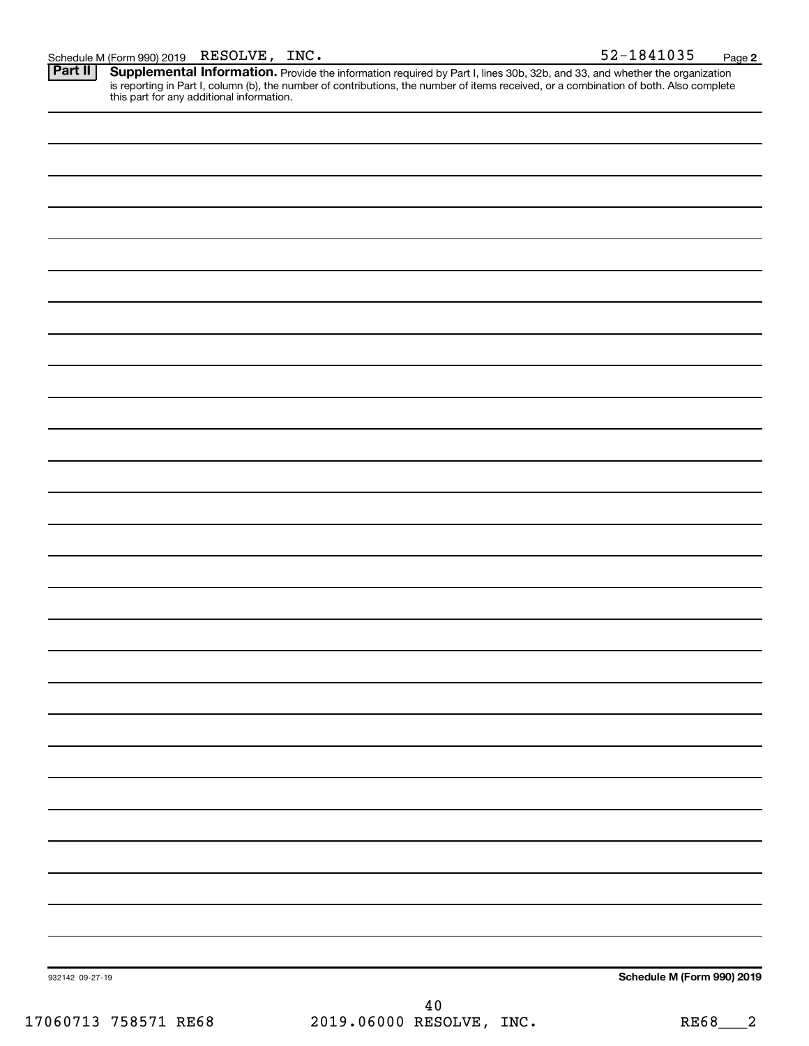**2** RESOLVE, INC. 52-1841035

Provide the information required by Part I, lines 30b, 32b, and 33, and whether the organization is reporting in Part I, column (b), the number of contributions, the number of items received, or a combination of both. Also complete this part for any additional information. **Part II Supplemental Information.** 

| 932142 09-27-19 | Schedule M (Form 990) 2019 |
|-----------------|----------------------------|
|                 |                            |
|                 |                            |
|                 |                            |
|                 |                            |
|                 |                            |
|                 |                            |
|                 |                            |
|                 |                            |
|                 |                            |
|                 |                            |
|                 |                            |
|                 |                            |
|                 |                            |
|                 |                            |
|                 |                            |
|                 |                            |
|                 |                            |
|                 |                            |
|                 |                            |
|                 |                            |
|                 |                            |
|                 |                            |
|                 |                            |
|                 |                            |
|                 |                            |
|                 |                            |
|                 |                            |
|                 |                            |
|                 |                            |
|                 |                            |
|                 |                            |
|                 |                            |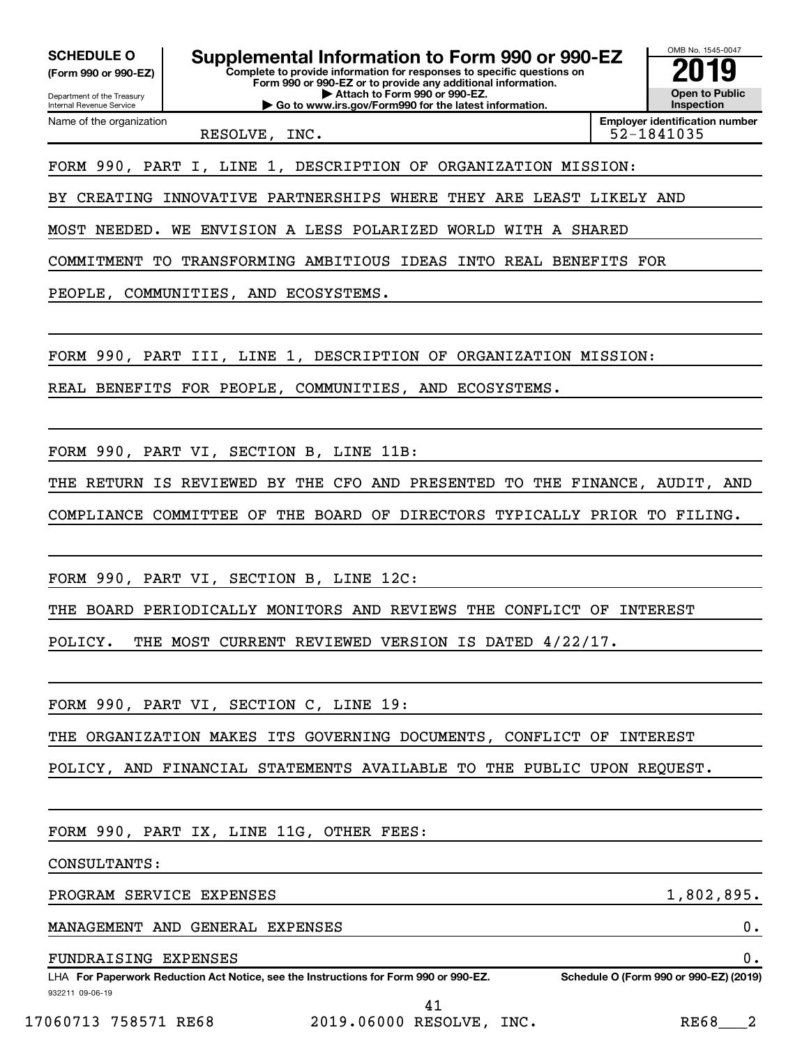**(Form 990 or 990-EZ)**

Department of the Treasury Internal Revenue Service Name of the organization

**Complete to provide information for responses to specific questions on Form 990 or 990-EZ or to provide any additional information. | Attach to Form 990 or 990-EZ. | Go to www.irs.gov/Form990 for the latest information. SCHEDULE O Supplemental Information to Form 990 or 990-EZ 2019** 



RESOLVE, INC. 52-1841035

**Employer identification number**

FORM 990, PART I, LINE 1, DESCRIPTION OF ORGANIZATION MISSION:

BY CREATING INNOVATIVE PARTNERSHIPS WHERE THEY ARE LEAST LIKELY AND

MOST NEEDED. WE ENVISION A LESS POLARIZED WORLD WITH A SHARED

COMMITMENT TO TRANSFORMING AMBITIOUS IDEAS INTO REAL BENEFITS FOR

PEOPLE, COMMUNITIES, AND ECOSYSTEMS.

FORM 990, PART III, LINE 1, DESCRIPTION OF ORGANIZATION MISSION:

REAL BENEFITS FOR PEOPLE, COMMUNITIES, AND ECOSYSTEMS.

FORM 990, PART VI, SECTION B, LINE 11B:

THE RETURN IS REVIEWED BY THE CFO AND PRESENTED TO THE FINANCE, AUDIT, AND

COMPLIANCE COMMITTEE OF THE BOARD OF DIRECTORS TYPICALLY PRIOR TO FILING.

FORM 990, PART VI, SECTION B, LINE 12C:

THE BOARD PERIODICALLY MONITORS AND REVIEWS THE CONFLICT OF INTEREST

POLICY. THE MOST CURRENT REVIEWED VERSION IS DATED 4/22/17.

FORM 990, PART VI, SECTION C, LINE 19:

THE ORGANIZATION MAKES ITS GOVERNING DOCUMENTS, CONFLICT OF INTEREST

POLICY, AND FINANCIAL STATEMENTS AVAILABLE TO THE PUBLIC UPON REQUEST.

FORM 990, PART IX, LINE 11G, OTHER FEES:

CONSULTANTS:

PROGRAM SERVICE EXPENSES 1,802,895.

MANAGEMENT AND GENERAL EXPENSES  $\qquad \qquad \qquad \qquad 0$ .

FUNDRAISING EXPENSES 0.

932211 09-06-19 LHA For Paperwork Reduction Act Notice, see the Instructions for Form 990 or 990-EZ. Schedule O (Form 990 or 990-EZ) (2019)

17060713 758571 RE68 2019.06000 RESOLVE, INC. RE68 2 41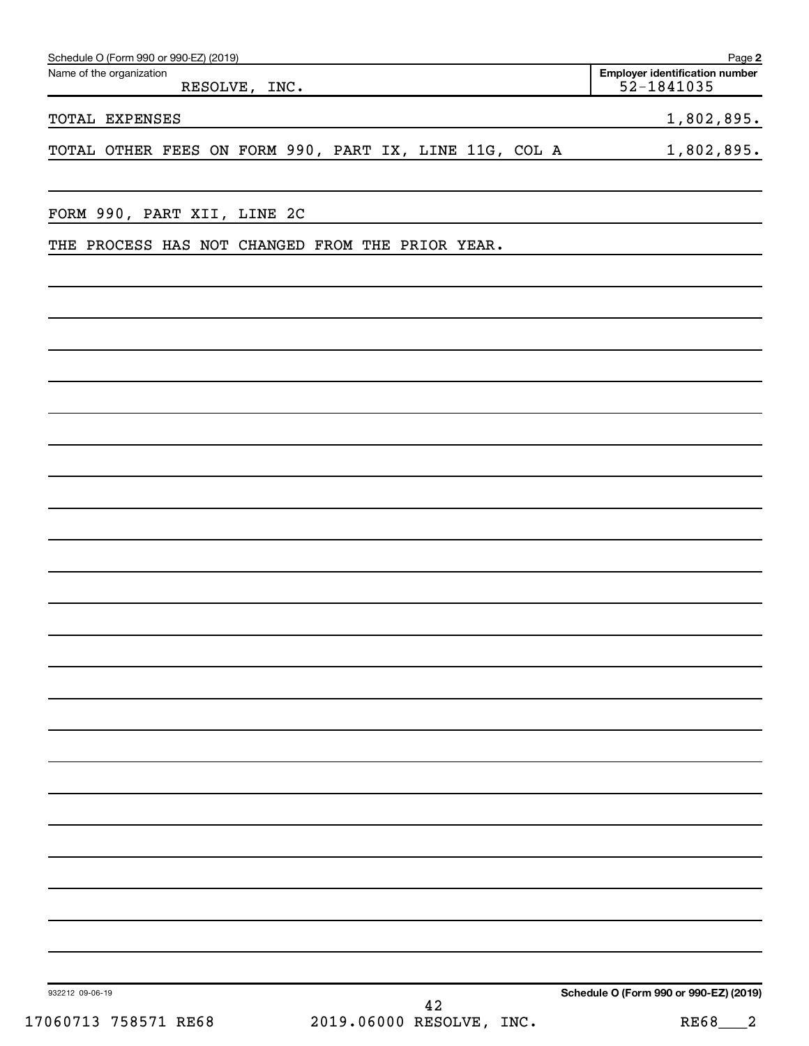| Schedule O (Form 990 or 990-EZ) (2019)<br>Name of the organization<br>RESOLVE, INC. |                                                        | Page 2<br><b>Employer identification number</b><br>52-1841035 |
|-------------------------------------------------------------------------------------|--------------------------------------------------------|---------------------------------------------------------------|
| TOTAL EXPENSES                                                                      |                                                        | 1,802,895.                                                    |
|                                                                                     | TOTAL OTHER FEES ON FORM 990, PART IX, LINE 11G, COL A | 1,802,895.                                                    |
| FORM 990, PART XII, LINE 2C                                                         |                                                        |                                                               |
|                                                                                     | THE PROCESS HAS NOT CHANGED FROM THE PRIOR YEAR.       |                                                               |
|                                                                                     |                                                        |                                                               |
|                                                                                     |                                                        |                                                               |
|                                                                                     |                                                        |                                                               |
|                                                                                     |                                                        |                                                               |
|                                                                                     |                                                        |                                                               |
|                                                                                     |                                                        |                                                               |
|                                                                                     |                                                        |                                                               |
|                                                                                     |                                                        |                                                               |
|                                                                                     |                                                        |                                                               |
|                                                                                     |                                                        |                                                               |
|                                                                                     |                                                        |                                                               |
|                                                                                     |                                                        |                                                               |
|                                                                                     |                                                        |                                                               |
|                                                                                     |                                                        |                                                               |
| 932212 09-06-19                                                                     | 42                                                     | Schedule O (Form 990 or 990-EZ) (2019)                        |
| 17060713 758571 RE68                                                                | 2019.06000 RESOLVE, INC.                               | RE68____2                                                     |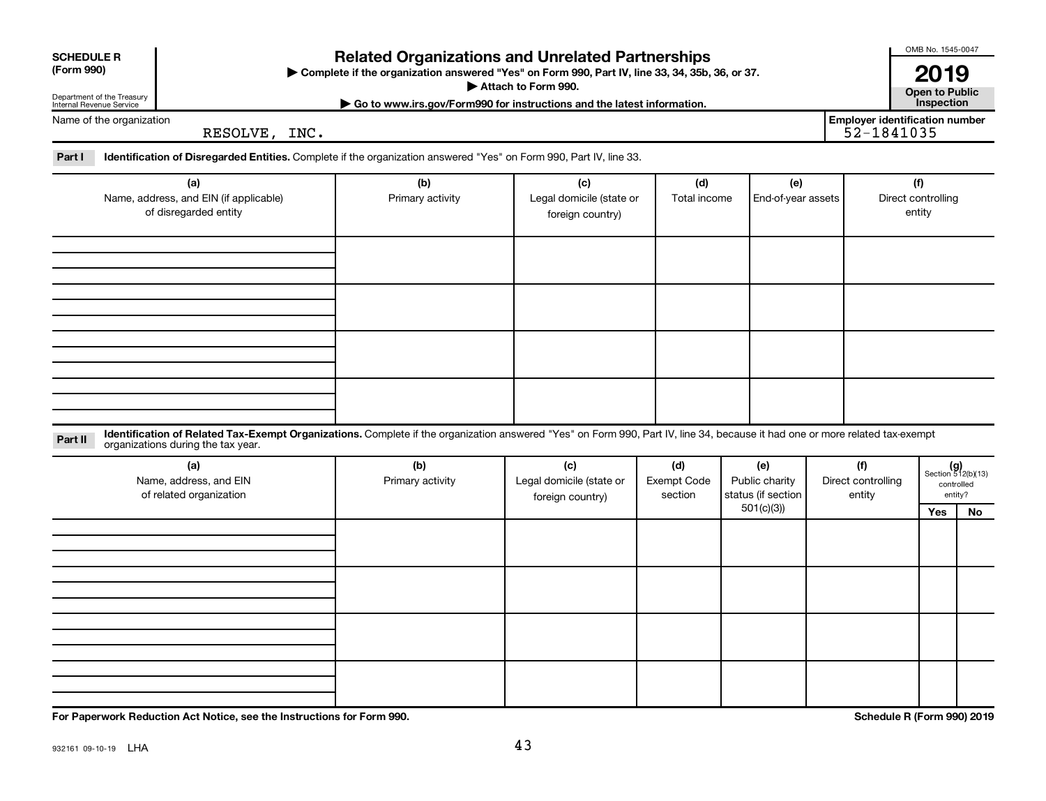| <b>SCHEDULE R</b><br>(Form 990)<br>Department of the Treasury<br>Internal Revenue Service |                          |                                                                        |                                                                                                                                                                              | <b>Related Organizations and Unrelated Partnerships</b><br>> Complete if the organization answered "Yes" on Form 990, Part IV, line 33, 34, 35b, 36, or 37.<br>Attach to Form 990.<br>Go to www.irs.gov/Form990 for instructions and the latest information. |                               |                                                          |                                       |                            | OMB No. 1545-0047<br>2019<br><b>Open to Public</b><br>Inspection |                                                      |
|-------------------------------------------------------------------------------------------|--------------------------|------------------------------------------------------------------------|------------------------------------------------------------------------------------------------------------------------------------------------------------------------------|--------------------------------------------------------------------------------------------------------------------------------------------------------------------------------------------------------------------------------------------------------------|-------------------------------|----------------------------------------------------------|---------------------------------------|----------------------------|------------------------------------------------------------------|------------------------------------------------------|
|                                                                                           | Name of the organization | RESOLVE, INC.                                                          |                                                                                                                                                                              |                                                                                                                                                                                                                                                              |                               |                                                          | <b>Employer identification number</b> | 52-1841035                 |                                                                  |                                                      |
| Part I                                                                                    |                          |                                                                        | Identification of Disregarded Entities. Complete if the organization answered "Yes" on Form 990, Part IV, line 33.                                                           |                                                                                                                                                                                                                                                              |                               |                                                          |                                       |                            |                                                                  |                                                      |
|                                                                                           |                          | (a)<br>Name, address, and EIN (if applicable)<br>of disregarded entity | (b)<br>Primary activity                                                                                                                                                      | (c)<br>Legal domicile (state or<br>foreign country)                                                                                                                                                                                                          | (d)<br>Total income           | (e)<br>End-of-year assets                                |                                       |                            | (f)<br>Direct controlling<br>entity                              |                                                      |
|                                                                                           |                          |                                                                        |                                                                                                                                                                              |                                                                                                                                                                                                                                                              |                               |                                                          |                                       |                            |                                                                  |                                                      |
|                                                                                           |                          |                                                                        |                                                                                                                                                                              |                                                                                                                                                                                                                                                              |                               |                                                          |                                       |                            |                                                                  |                                                      |
| Part II                                                                                   |                          | organizations during the tax year.                                     | Identification of Related Tax-Exempt Organizations. Complete if the organization answered "Yes" on Form 990, Part IV, line 34, because it had one or more related tax-exempt |                                                                                                                                                                                                                                                              |                               |                                                          |                                       |                            |                                                                  |                                                      |
|                                                                                           |                          | (a)<br>Name, address, and EIN<br>of related organization               | (b)<br>Primary activity                                                                                                                                                      | (c)<br>Legal domicile (state or<br>foreign country)                                                                                                                                                                                                          | (d)<br>Exempt Code<br>section | (e)<br>Public charity<br>status (if section<br>501(c)(3) | (f)<br>Direct controlling<br>entity   |                            |                                                                  | $(g)$<br>Section 512(b)(13)<br>controlled<br>entity? |
|                                                                                           |                          |                                                                        |                                                                                                                                                                              |                                                                                                                                                                                                                                                              |                               |                                                          |                                       |                            | Yes                                                              | No                                                   |
|                                                                                           |                          |                                                                        |                                                                                                                                                                              |                                                                                                                                                                                                                                                              |                               |                                                          |                                       |                            |                                                                  |                                                      |
|                                                                                           |                          |                                                                        |                                                                                                                                                                              |                                                                                                                                                                                                                                                              |                               |                                                          |                                       |                            |                                                                  |                                                      |
|                                                                                           |                          | For Paperwork Reduction Act Notice, see the Instructions for Form 990. |                                                                                                                                                                              |                                                                                                                                                                                                                                                              |                               |                                                          |                                       | Schedule R (Form 990) 2019 |                                                                  |                                                      |

932161 09-10-19 LHA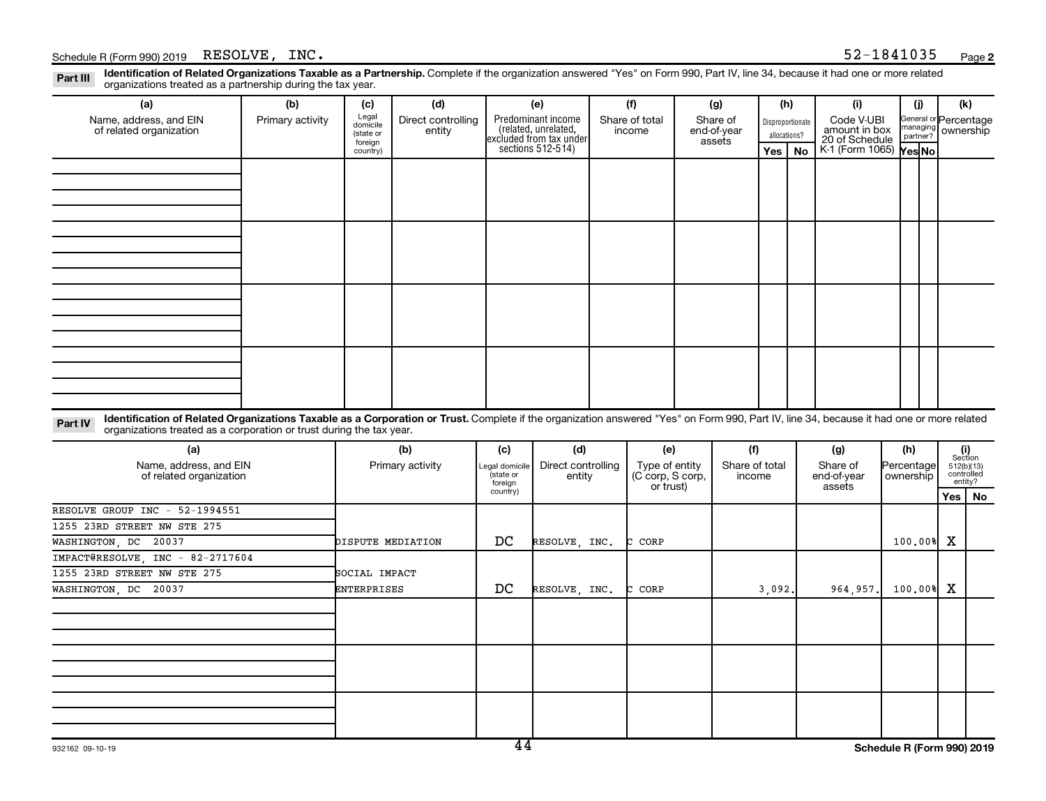Part III Identification of Related Organizations Taxable as a Partnership. Complete if the organization answered "Yes" on Form 990, Part IV, line 34, because it had one or more related<br>Read to the organizations tracted as organizations treated as a partnership during the tax year.

| (a)                                                                                                                                                                                                                                                                         | (b)              | (c)                                       | (d)                          | (e)                                                                                        | (f)                      | (g)                               |                                  | (h) | (i)                                           | (i) | (k)                                         |
|-----------------------------------------------------------------------------------------------------------------------------------------------------------------------------------------------------------------------------------------------------------------------------|------------------|-------------------------------------------|------------------------------|--------------------------------------------------------------------------------------------|--------------------------|-----------------------------------|----------------------------------|-----|-----------------------------------------------|-----|---------------------------------------------|
| Name, address, and EIN<br>of related organization                                                                                                                                                                                                                           | Primary activity | Legal<br>domicile<br>(state or<br>foreign | Direct controlling<br>entity | Predominant income<br>(related, unrelated,<br>excluded from tax under<br>sections 512-514) | Share of total<br>income | Share of<br>end-of-year<br>assets | Disproportionate<br>allocations? |     | Code V-UBI<br>amount in box<br>20 of Schedule |     | General or Percentage<br>managing ownership |
|                                                                                                                                                                                                                                                                             |                  | country)                                  |                              |                                                                                            |                          |                                   | Yes <sub>l</sub>                 | No  | K-1 (Form 1065) Yes No                        |     |                                             |
|                                                                                                                                                                                                                                                                             |                  |                                           |                              |                                                                                            |                          |                                   |                                  |     |                                               |     |                                             |
|                                                                                                                                                                                                                                                                             |                  |                                           |                              |                                                                                            |                          |                                   |                                  |     |                                               |     |                                             |
|                                                                                                                                                                                                                                                                             |                  |                                           |                              |                                                                                            |                          |                                   |                                  |     |                                               |     |                                             |
|                                                                                                                                                                                                                                                                             |                  |                                           |                              |                                                                                            |                          |                                   |                                  |     |                                               |     |                                             |
|                                                                                                                                                                                                                                                                             |                  |                                           |                              |                                                                                            |                          |                                   |                                  |     |                                               |     |                                             |
|                                                                                                                                                                                                                                                                             |                  |                                           |                              |                                                                                            |                          |                                   |                                  |     |                                               |     |                                             |
|                                                                                                                                                                                                                                                                             |                  |                                           |                              |                                                                                            |                          |                                   |                                  |     |                                               |     |                                             |
|                                                                                                                                                                                                                                                                             |                  |                                           |                              |                                                                                            |                          |                                   |                                  |     |                                               |     |                                             |
|                                                                                                                                                                                                                                                                             |                  |                                           |                              |                                                                                            |                          |                                   |                                  |     |                                               |     |                                             |
|                                                                                                                                                                                                                                                                             |                  |                                           |                              |                                                                                            |                          |                                   |                                  |     |                                               |     |                                             |
|                                                                                                                                                                                                                                                                             |                  |                                           |                              |                                                                                            |                          |                                   |                                  |     |                                               |     |                                             |
|                                                                                                                                                                                                                                                                             |                  |                                           |                              |                                                                                            |                          |                                   |                                  |     |                                               |     |                                             |
|                                                                                                                                                                                                                                                                             |                  |                                           |                              |                                                                                            |                          |                                   |                                  |     |                                               |     |                                             |
|                                                                                                                                                                                                                                                                             |                  |                                           |                              |                                                                                            |                          |                                   |                                  |     |                                               |     |                                             |
|                                                                                                                                                                                                                                                                             |                  |                                           |                              |                                                                                            |                          |                                   |                                  |     |                                               |     |                                             |
|                                                                                                                                                                                                                                                                             |                  |                                           |                              |                                                                                            |                          |                                   |                                  |     |                                               |     |                                             |
| Identification of Related Organizations Taxable as a Corporation or Trust. Complete if the organization answered "Yes" on Form 990, Part IV, line 34, because it had one or more related<br>Part IV<br>organizations treated as a corporation or trust during the tax year. |                  |                                           |                              |                                                                                            |                          |                                   |                                  |     |                                               |     |                                             |

| (a)                                               | (b)                | (c)                                    | (d)                          | (e)                                             | (f)                      | (g)                               | (h)                     |                            | (i)<br>Section |
|---------------------------------------------------|--------------------|----------------------------------------|------------------------------|-------------------------------------------------|--------------------------|-----------------------------------|-------------------------|----------------------------|----------------|
| Name, address, and EIN<br>of related organization | Primary activity   | Legal domicile<br>(state or<br>foreign | Direct controlling<br>entity | Type of entity<br>(C corp, S corp,<br>or trust) | Share of total<br>income | Share of<br>end-of-year<br>assets | Percentage<br>ownership | $512(b)(13)$<br>controlled | entity?        |
|                                                   |                    | country)                               |                              |                                                 |                          |                                   |                         |                            | Yes   No       |
| RESOLVE GROUP INC - 52-1994551                    |                    |                                        |                              |                                                 |                          |                                   |                         |                            |                |
| 1255 23RD STREET NW STE 275                       |                    |                                        |                              |                                                 |                          |                                   |                         |                            |                |
| WASHINGTON, DC 20037                              | DISPUTE MEDIATION  | DC                                     | RESOLVE, INC.                | C CORP                                          |                          |                                   | 100.00%                 | X                          |                |
| IMPACT@RESOLVE, INC - 82-2717604                  |                    |                                        |                              |                                                 |                          |                                   |                         |                            |                |
| 1255 23RD STREET NW STE 275                       | SOCIAL IMPACT      |                                        |                              |                                                 |                          |                                   |                         |                            |                |
| WASHINGTON, DC 20037                              | <b>ENTERPRISES</b> | DC                                     | RESOLVE, INC.                | C CORP                                          | 3,092.                   | 964, 957.                         | 100.00%                 | x                          |                |
|                                                   |                    |                                        |                              |                                                 |                          |                                   |                         |                            |                |
|                                                   |                    |                                        |                              |                                                 |                          |                                   |                         |                            |                |
|                                                   |                    |                                        |                              |                                                 |                          |                                   |                         |                            |                |
|                                                   |                    |                                        |                              |                                                 |                          |                                   |                         |                            |                |
|                                                   |                    |                                        |                              |                                                 |                          |                                   |                         |                            |                |
|                                                   |                    |                                        |                              |                                                 |                          |                                   |                         |                            |                |
|                                                   |                    |                                        |                              |                                                 |                          |                                   |                         |                            |                |
|                                                   |                    |                                        |                              |                                                 |                          |                                   |                         |                            |                |
|                                                   |                    |                                        |                              |                                                 |                          |                                   |                         |                            |                |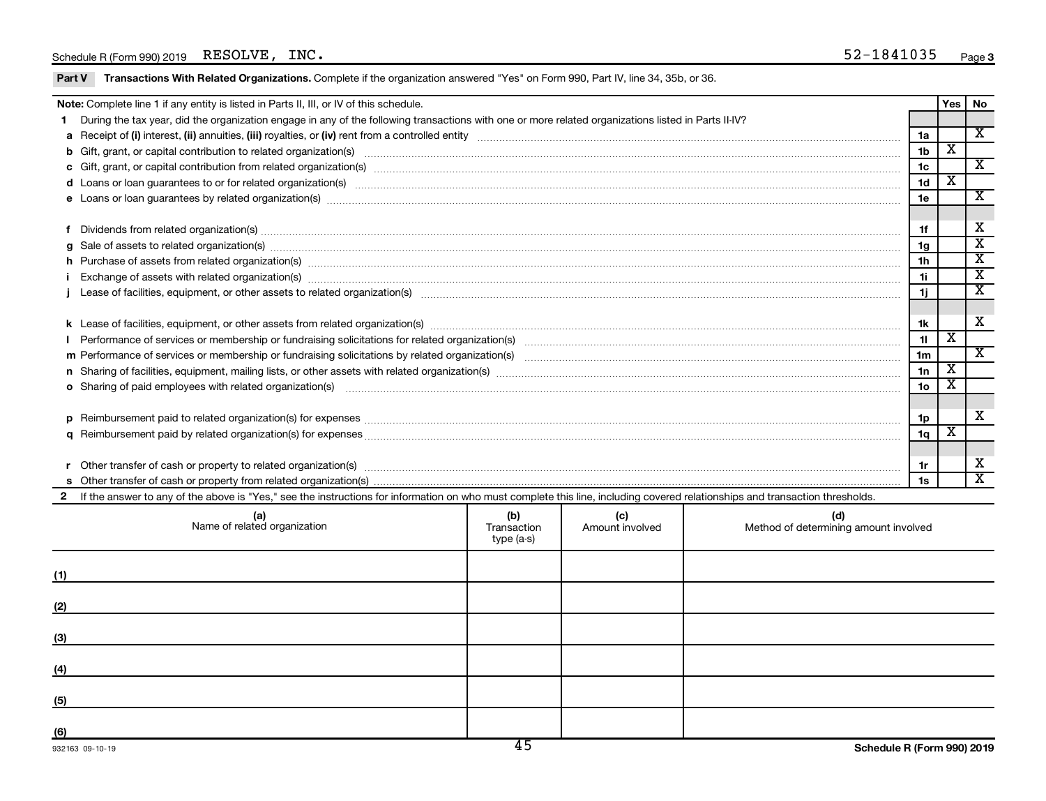### Schedule R (Form 990) 2019 Page RESOLVE, INC. 52-1841035

|  | <b>Part V</b> Transactions With Related Organizations. Complete if the organization answered "Yes" on Form 990, Part IV, line 34, 35b, or 36. |  |  |  |  |
|--|-----------------------------------------------------------------------------------------------------------------------------------------------|--|--|--|--|
|--|-----------------------------------------------------------------------------------------------------------------------------------------------|--|--|--|--|

|   | Note: Complete line 1 if any entity is listed in Parts II, III, or IV of this schedule.                                                                                                                                        |                 | Yes                     | <b>No</b>               |
|---|--------------------------------------------------------------------------------------------------------------------------------------------------------------------------------------------------------------------------------|-----------------|-------------------------|-------------------------|
|   | During the tax year, did the organization engage in any of the following transactions with one or more related organizations listed in Parts II-IV?                                                                            |                 |                         |                         |
|   |                                                                                                                                                                                                                                | 1a              |                         | $\overline{\mathbf{X}}$ |
|   | b Gift, grant, or capital contribution to related organization(s) manufaction contribution of the contribution to related organization(s) manufaction contribution to related organization(s) manufaction contribution contrib | 1 <sub>b</sub>  | X                       |                         |
|   |                                                                                                                                                                                                                                | 1 <sub>c</sub>  |                         | $\mathbf{x}$            |
|   | d Loans or loan guarantees to or for related organization(s) www.communically.com/www.communically.com/www.communically.com/www.communically.com/www.communically.com/www.communically.com/www.communically.com/www.communical | 1d              | x                       |                         |
|   |                                                                                                                                                                                                                                | 1e              |                         | X                       |
|   |                                                                                                                                                                                                                                |                 |                         |                         |
|   | Dividends from related organization(s) machinesis and contract and contract and contract and contract and contract and contract and contract and contract and contract and contract and contract and contract and contract and | 1f              |                         | х                       |
| a | Sale of assets to related organization(s) www.assettion.com/www.assettion.com/www.assettion.com/www.assettion.com/www.assettion.com/www.assettion.com/www.assettion.com/www.assettion.com/www.assettion.com/www.assettion.com/ | 1 <sub>g</sub>  |                         | $\overline{\text{x}}$   |
|   | h Purchase of assets from related organization(s) manufactured content to content the content of the content of the content of the content of the content of the content of the content of the content of the content of the c | 1 <sub>h</sub>  |                         | $\overline{\textbf{x}}$ |
|   |                                                                                                                                                                                                                                | 1i              |                         | $\mathbf x$             |
|   |                                                                                                                                                                                                                                | 1i              |                         | $\overline{\textbf{x}}$ |
|   |                                                                                                                                                                                                                                |                 |                         |                         |
|   |                                                                                                                                                                                                                                | 1k              |                         | X                       |
|   |                                                                                                                                                                                                                                | 11              | X                       |                         |
|   |                                                                                                                                                                                                                                | 1 <sub>m</sub>  |                         | $\mathbf{x}$            |
|   |                                                                                                                                                                                                                                | 1n              | $\overline{\textbf{x}}$ |                         |
|   | <b>o</b> Sharing of paid employees with related organization(s)                                                                                                                                                                | 10 <sub>o</sub> |                         |                         |
|   |                                                                                                                                                                                                                                |                 |                         |                         |
|   |                                                                                                                                                                                                                                | 1p              |                         | X                       |
|   |                                                                                                                                                                                                                                | 1q              | $\overline{\textbf{x}}$ |                         |
|   |                                                                                                                                                                                                                                |                 |                         |                         |
|   | Other transfer of cash or property to related organization(s) www.communically.communically content transfer of cash or property to related organization(s)                                                                    | -1r             |                         | х                       |
|   |                                                                                                                                                                                                                                | 1s              |                         | X                       |
|   | 2 If the answer to any of the above is "Yes," see the instructions for information on who must complete this line, including covered relationships and transaction thresholds.                                                 |                 |                         |                         |

| (a)<br>Name of related organization | (b)<br>Transaction<br>type (a-s) | (c)<br>Amount involved | (d)<br>Method of determining amount involved |
|-------------------------------------|----------------------------------|------------------------|----------------------------------------------|
| (1)                                 |                                  |                        |                                              |
| (2)                                 |                                  |                        |                                              |
| (3)                                 |                                  |                        |                                              |
| (4)                                 |                                  |                        |                                              |
| (5)                                 |                                  |                        |                                              |
| (6)                                 | $\overline{15}$                  |                        |                                              |